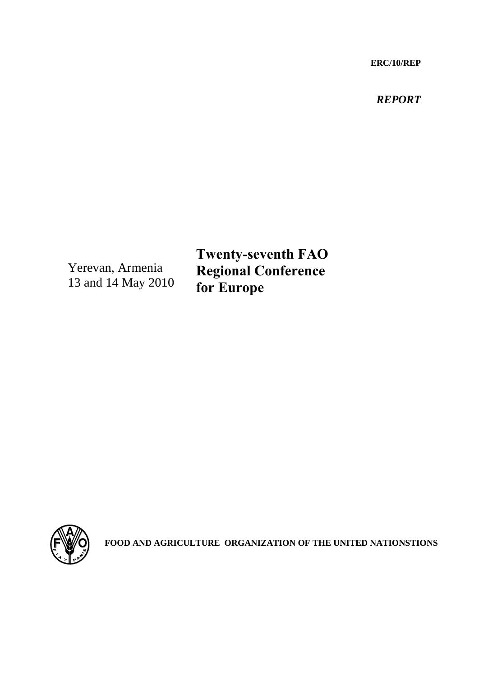**ERC/10/REP**

*REPORT*

Yerevan, Armenia 13 and 14 May 2010

**Twenty-seventh FAO Regional Conference for Europe**



**FOOD AND AGRICULTURE ORGANIZATION OF THE UNITED NATIONSTIONS**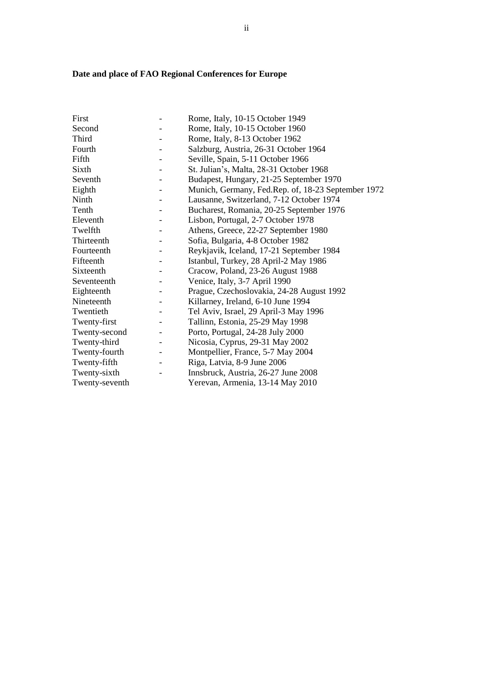# **Date and place of FAO Regional Conferences for Europe**

| First          | Rome, Italy, 10-15 October 1949                    |
|----------------|----------------------------------------------------|
| Second         | Rome, Italy, 10-15 October 1960                    |
| Third          | Rome, Italy, 8-13 October 1962                     |
| Fourth         | Salzburg, Austria, 26-31 October 1964              |
| Fifth          | Seville, Spain, 5-11 October 1966                  |
| Sixth          | St. Julian's, Malta, 28-31 October 1968            |
| Seventh        | Budapest, Hungary, 21-25 September 1970            |
| Eighth         | Munich, Germany, Fed.Rep. of, 18-23 September 1972 |
| Ninth          | Lausanne, Switzerland, 7-12 October 1974           |
| Tenth          | Bucharest, Romania, 20-25 September 1976           |
| Eleventh       | Lisbon, Portugal, 2-7 October 1978                 |
| Twelfth        | Athens, Greece, 22-27 September 1980               |
| Thirteenth     | Sofia, Bulgaria, 4-8 October 1982                  |
| Fourteenth     | Reykjavik, Iceland, 17-21 September 1984           |
| Fifteenth      | Istanbul, Turkey, 28 April-2 May 1986              |
| Sixteenth      | Cracow, Poland, 23-26 August 1988                  |
| Seventeenth    | Venice, Italy, 3-7 April 1990                      |
| Eighteenth     | Prague, Czechoslovakia, 24-28 August 1992          |
| Nineteenth     | Killarney, Ireland, 6-10 June 1994                 |
| Twentieth      | Tel Aviv, Israel, 29 April-3 May 1996              |
| Twenty-first   | Tallinn, Estonia, 25-29 May 1998                   |
| Twenty-second  | Porto, Portugal, 24-28 July 2000                   |
| Twenty-third   | Nicosia, Cyprus, 29-31 May 2002                    |
| Twenty-fourth  | Montpellier, France, 5-7 May 2004                  |
| Twenty-fifth   | Riga, Latvia, 8-9 June 2006                        |
| Twenty-sixth   | Innsbruck, Austria, 26-27 June 2008                |
| Twenty-seventh | Yerevan, Armenia, 13-14 May 2010                   |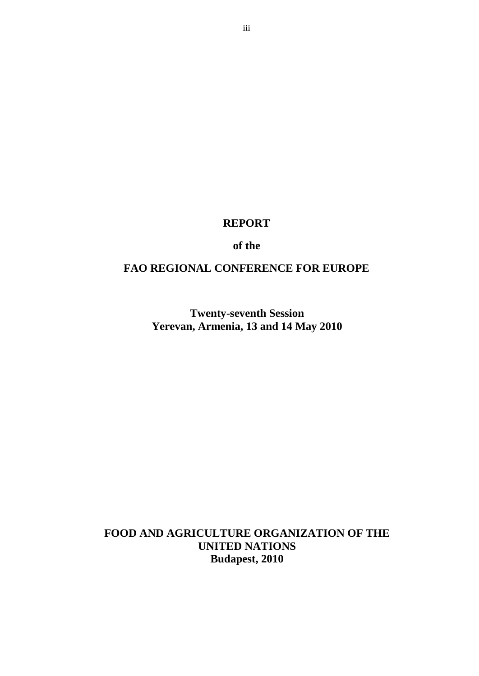**REPORT**

**of the**

# **FAO REGIONAL CONFERENCE FOR EUROPE**

**Twenty-seventh Session Yerevan, Armenia, 13 and 14 May 2010**

**FOOD AND AGRICULTURE ORGANIZATION OF THE UNITED NATIONS Budapest, 2010**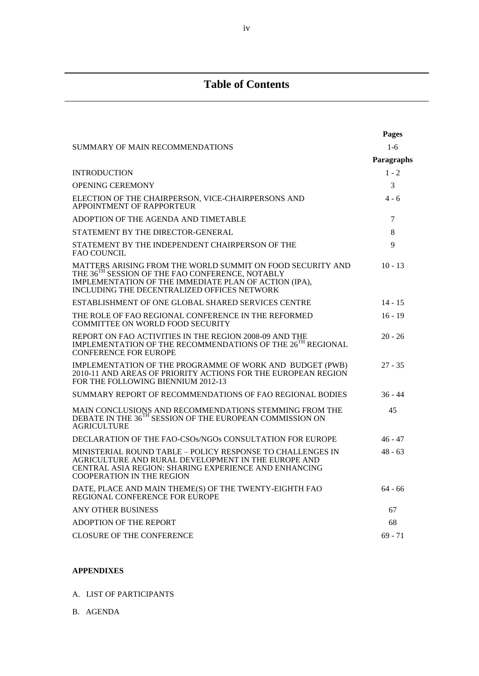# **Table of Contents**

|                                                                                                                                                                                                                                   | Pages      |
|-----------------------------------------------------------------------------------------------------------------------------------------------------------------------------------------------------------------------------------|------------|
| SUMMARY OF MAIN RECOMMENDATIONS                                                                                                                                                                                                   | $1-6$      |
|                                                                                                                                                                                                                                   | Paragraphs |
| <b>INTRODUCTION</b>                                                                                                                                                                                                               | $1 - 2$    |
| <b>OPENING CEREMONY</b>                                                                                                                                                                                                           | 3          |
| ELECTION OF THE CHAIRPERSON, VICE-CHAIRPERSONS AND<br>APPOINTMENT OF RAPPORTEUR                                                                                                                                                   | 4 - 6      |
| ADOPTION OF THE AGENDA AND TIMETABLE                                                                                                                                                                                              | 7          |
| STATEMENT BY THE DIRECTOR-GENERAL                                                                                                                                                                                                 | 8          |
| STATEMENT BY THE INDEPENDENT CHAIRPERSON OF THE<br><b>FAO COUNCIL</b>                                                                                                                                                             | 9          |
| MATTERS ARISING FROM THE WORLD SUMMIT ON FOOD SECURITY AND<br>THE 36 <sup>TH</sup> SESSION OF THE FAO CONFERENCE, NOTABLY<br>IMPLEMENTATION OF THE IMMEDIATE PLAN OF ACTION (IPA),<br>INCLUDING THE DECENTRALIZED OFFICES NETWORK | $10 - 13$  |
| ESTABLISHMENT OF ONE GLOBAL SHARED SERVICES CENTRE                                                                                                                                                                                | $14 - 15$  |
| THE ROLE OF FAO REGIONAL CONFERENCE IN THE REFORMED<br>COMMITTEE ON WORLD FOOD SECURITY                                                                                                                                           | $16 - 19$  |
| REPORT ON FAO ACTIVITIES IN THE REGION 2008-09 AND THE<br>IMPLEMENTATION OF THE RECOMMENDATIONS OF THE 26 <sup>TH</sup> REGIONAL<br><b>CONFERENCE FOR EUROPE</b>                                                                  | $20 - 26$  |
| IMPLEMENTATION OF THE PROGRAMME OF WORK AND BUDGET (PWB)<br>2010-11 AND AREAS OF PRIORITY ACTIONS FOR THE EUROPEAN REGION<br>FOR THE FOLLOWING BIENNIUM 2012-13                                                                   | $27 - 35$  |
| SUMMARY REPORT OF RECOMMENDATIONS OF FAO REGIONAL BODIES                                                                                                                                                                          | $36 - 44$  |
| MAIN CONCLUSIONS AND RECOMMENDATIONS STEMMING FROM THE<br>DEBATE IN THE 36 <sup>TH</sup> SESSION OF THE EUROPEAN COMMISSION ON<br><b>AGRICULTURE</b>                                                                              | 45         |
| DECLARATION OF THE FAO-CSOs/NGOs CONSULTATION FOR EUROPE                                                                                                                                                                          | $46 - 47$  |
| MINISTERIAL ROUND TABLE – POLICY RESPONSE TO CHALLENGES IN<br>AGRICULTURE AND RURAL DEVELOPMENT IN THE EUROPE AND<br>CENTRAL ASIA REGION: SHARING EXPERIENCE AND ENHANCING<br><b>COOPERATION IN THE REGION</b>                    | $48 - 63$  |
| DATE, PLACE AND MAIN THEME(S) OF THE TWENTY-EIGHTH FAO<br>REGIONAL CONFERENCE FOR EUROPE                                                                                                                                          | $64 - 66$  |
| <b>ANY OTHER BUSINESS</b>                                                                                                                                                                                                         | 67         |
| <b>ADOPTION OF THE REPORT</b>                                                                                                                                                                                                     | 68         |
| <b>CLOSURE OF THE CONFERENCE</b>                                                                                                                                                                                                  | $69 - 71$  |

## **APPENDIXES**

A. LIST OF PARTICIPANTS

B. AGENDA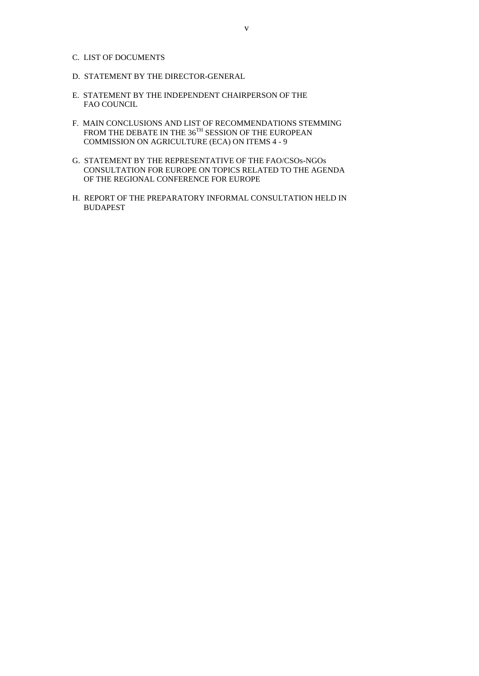- C. LIST OF DOCUMENTS
- D. STATEMENT BY THE DIRECTOR-GENERAL
- E. STATEMENT BY THE INDEPENDENT CHAIRPERSON OF THE FAO COUNCIL
- F. MAIN CONCLUSIONS AND LIST OF RECOMMENDATIONS STEMMING FROM THE DEBATE IN THE  $36^{TH}$  SESSION OF THE EUROPEAN COMMISSION ON AGRICULTURE (ECA) ON ITEMS 4 - 9
- G. STATEMENT BY THE REPRESENTATIVE OF THE FAO/CSOs-NGOs CONSULTATION FOR EUROPE ON TOPICS RELATED TO THE AGENDA OF THE REGIONAL CONFERENCE FOR EUROPE
- H. REPORT OF THE PREPARATORY INFORMAL CONSULTATION HELD IN BUDAPEST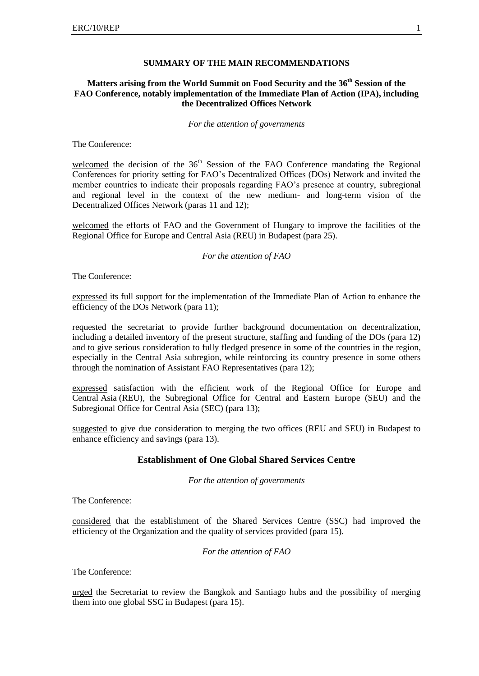#### **SUMMARY OF THE MAIN RECOMMENDATIONS**

## **Matters arising from the World Summit on Food Security and the 36th Session of the FAO Conference, notably implementation of the Immediate Plan of Action (IPA), including the Decentralized Offices Network**

*For the attention of governments*

The Conference:

welcomed the decision of the  $36<sup>th</sup>$  Session of the FAO Conference mandating the Regional Conferences for priority setting for FAO's Decentralized Offices (DOs) Network and invited the member countries to indicate their proposals regarding FAO's presence at country, subregional and regional level in the context of the new medium- and long-term vision of the Decentralized Offices Network (paras 11 and 12);

welcomed the efforts of FAO and the Government of Hungary to improve the facilities of the Regional Office for Europe and Central Asia (REU) in Budapest (para 25).

*For the attention of FAO*

The Conference:

expressed its full support for the implementation of the Immediate Plan of Action to enhance the efficiency of the DOs Network (para 11);

requested the secretariat to provide further background documentation on decentralization, including a detailed inventory of the present structure, staffing and funding of the DOs (para 12) and to give serious consideration to fully fledged presence in some of the countries in the region, especially in the Central Asia subregion, while reinforcing its country presence in some others through the nomination of Assistant FAO Representatives (para 12);

expressed satisfaction with the efficient work of the Regional Office for Europe and Central Asia (REU), the Subregional Office for Central and Eastern Europe (SEU) and the Subregional Office for Central Asia (SEC) (para 13);

suggested to give due consideration to merging the two offices (REU and SEU) in Budapest to enhance efficiency and savings (para 13).

## **Establishment of One Global Shared Services Centre**

*For the attention of governments*

The Conference:

considered that the establishment of the Shared Services Centre (SSC) had improved the efficiency of the Organization and the quality of services provided (para 15).

*For the attention of FAO*

The Conference:

urged the Secretariat to review the Bangkok and Santiago hubs and the possibility of merging them into one global SSC in Budapest (para 15).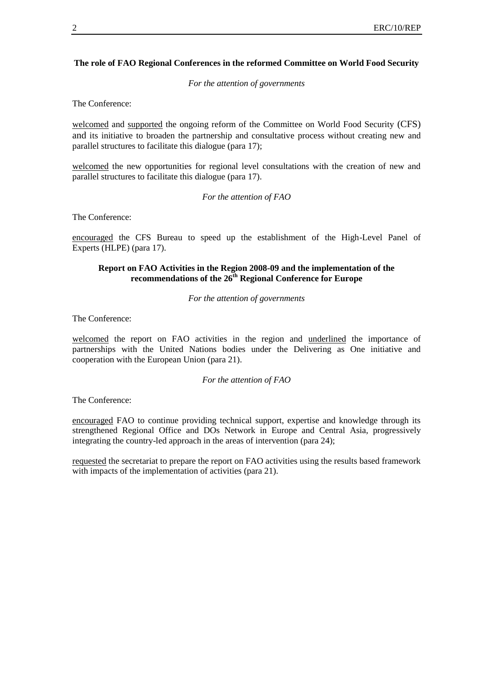#### **The role of FAO Regional Conferences in the reformed Committee on World Food Security**

*For the attention of governments*

The Conference:

welcomed and supported the ongoing reform of the Committee on World Food Security (CFS) and its initiative to broaden the partnership and consultative process without creating new and parallel structures to facilitate this dialogue (para 17);

welcomed the new opportunities for regional level consultations with the creation of new and parallel structures to facilitate this dialogue (para 17).

*For the attention of FAO*

The Conference:

encouraged the CFS Bureau to speed up the establishment of the High-Level Panel of Experts (HLPE) (para 17).

## **Report on FAO Activities in the Region 2008-09 and the implementation of the recommendations of the 26th Regional Conference for Europe**

*For the attention of governments*

The Conference:

welcomed the report on FAO activities in the region and underlined the importance of partnerships with the United Nations bodies under the Delivering as One initiative and cooperation with the European Union (para 21).

*For the attention of FAO*

The Conference:

encouraged FAO to continue providing technical support, expertise and knowledge through its strengthened Regional Office and DOs Network in Europe and Central Asia, progressively integrating the country-led approach in the areas of intervention (para 24);

requested the secretariat to prepare the report on FAO activities using the results based framework with impacts of the implementation of activities (para 21).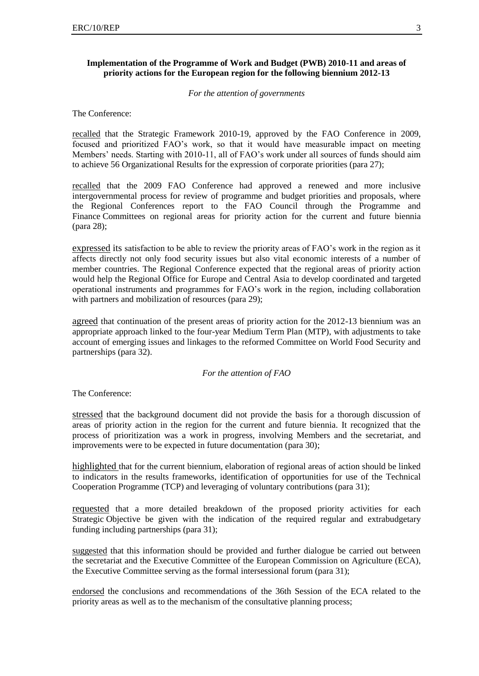## **Implementation of the Programme of Work and Budget (PWB) 2010-11 and areas of priority actions for the European region for the following biennium 2012-13**

*For the attention of governments*

The Conference:

recalled that the Strategic Framework 2010-19, approved by the FAO Conference in 2009, focused and prioritized FAO's work, so that it would have measurable impact on meeting Members' needs. Starting with 2010-11, all of FAO's work under all sources of funds should aim to achieve 56 Organizational Results for the expression of corporate priorities (para 27);

recalled that the 2009 FAO Conference had approved a renewed and more inclusive intergovernmental process for review of programme and budget priorities and proposals, where the Regional Conferences report to the FAO Council through the Programme and Finance Committees on regional areas for priority action for the current and future biennia (para 28);

expressed its satisfaction to be able to review the priority areas of FAO's work in the region as it affects directly not only food security issues but also vital economic interests of a number of member countries. The Regional Conference expected that the regional areas of priority action would help the Regional Office for Europe and Central Asia to develop coordinated and targeted operational instruments and programmes for FAO's work in the region, including collaboration with partners and mobilization of resources (para 29);

agreed that continuation of the present areas of priority action for the 2012-13 biennium was an appropriate approach linked to the four-year Medium Term Plan (MTP), with adjustments to take account of emerging issues and linkages to the reformed Committee on World Food Security and partnerships (para 32).

#### *For the attention of FAO*

The Conference:

stressed that the background document did not provide the basis for a thorough discussion of areas of priority action in the region for the current and future biennia. It recognized that the process of prioritization was a work in progress, involving Members and the secretariat, and improvements were to be expected in future documentation (para 30);

highlighted that for the current biennium, elaboration of regional areas of action should be linked to indicators in the results frameworks, identification of opportunities for use of the Technical Cooperation Programme (TCP) and leveraging of voluntary contributions (para 31);

requested that a more detailed breakdown of the proposed priority activities for each Strategic Objective be given with the indication of the required regular and extrabudgetary funding including partnerships (para 31);

suggested that this information should be provided and further dialogue be carried out between the secretariat and the Executive Committee of the European Commission on Agriculture (ECA), the Executive Committee serving as the formal intersessional forum (para 31);

endorsed the conclusions and recommendations of the 36th Session of the ECA related to the priority areas as well as to the mechanism of the consultative planning process;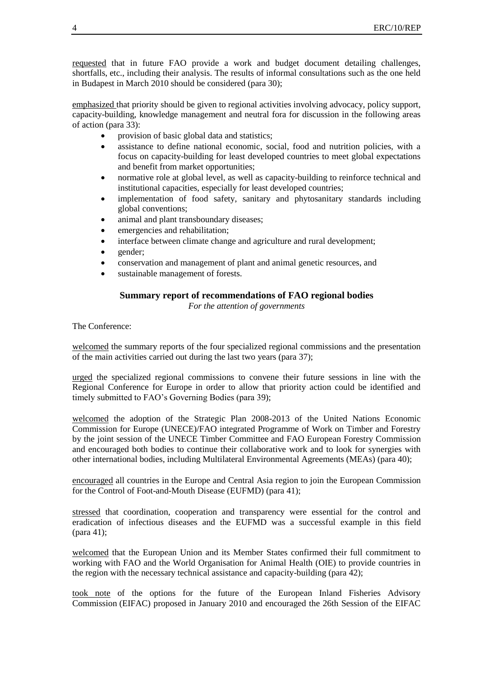requested that in future FAO provide a work and budget document detailing challenges, shortfalls, etc., including their analysis. The results of informal consultations such as the one held in Budapest in March 2010 should be considered (para 30);

emphasized that priority should be given to regional activities involving advocacy, policy support, capacity-building, knowledge management and neutral fora for discussion in the following areas of action (para 33):

- provision of basic global data and statistics;
- assistance to define national economic, social, food and nutrition policies, with a focus on capacity-building for least developed countries to meet global expectations and benefit from market opportunities;
- normative role at global level, as well as capacity-building to reinforce technical and institutional capacities, especially for least developed countries;
- implementation of food safety, sanitary and phytosanitary standards including global conventions;
- animal and plant transboundary diseases;
- emergencies and rehabilitation;
- interface between climate change and agriculture and rural development;
- gender;
- conservation and management of plant and animal genetic resources, and
- sustainable management of forests.

## **Summary report of recommendations of FAO regional bodies**

*For the attention of governments*

The Conference:

welcomed the summary reports of the four specialized regional commissions and the presentation of the main activities carried out during the last two years (para 37);

urged the specialized regional commissions to convene their future sessions in line with the Regional Conference for Europe in order to allow that priority action could be identified and timely submitted to FAO's Governing Bodies (para 39);

welcomed the adoption of the Strategic Plan 2008-2013 of the United Nations Economic Commission for Europe (UNECE)/FAO integrated Programme of Work on Timber and Forestry by the joint session of the UNECE Timber Committee and FAO European Forestry Commission and encouraged both bodies to continue their collaborative work and to look for synergies with other international bodies, including Multilateral Environmental Agreements (MEAs) (para 40);

encouraged all countries in the Europe and Central Asia region to join the European Commission for the Control of Foot-and-Mouth Disease (EUFMD) (para 41);

stressed that coordination, cooperation and transparency were essential for the control and eradication of infectious diseases and the EUFMD was a successful example in this field (para 41);

welcomed that the European Union and its Member States confirmed their full commitment to working with FAO and the World Organisation for Animal Health (OIE) to provide countries in the region with the necessary technical assistance and capacity-building (para 42);

took note of the options for the future of the European Inland Fisheries Advisory Commission (EIFAC) proposed in January 2010 and encouraged the 26th Session of the EIFAC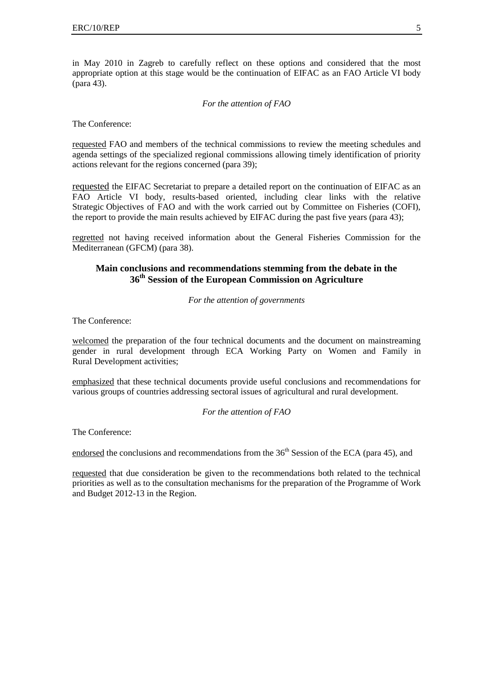in May 2010 in Zagreb to carefully reflect on these options and considered that the most appropriate option at this stage would be the continuation of EIFAC as an FAO Article VI body (para 43).

#### *For the attention of FAO*

The Conference:

requested FAO and members of the technical commissions to review the meeting schedules and agenda settings of the specialized regional commissions allowing timely identification of priority actions relevant for the regions concerned (para 39);

requested the EIFAC Secretariat to prepare a detailed report on the continuation of EIFAC as an FAO Article VI body, results-based oriented, including clear links with the relative Strategic Objectives of FAO and with the work carried out by Committee on Fisheries (COFI), the report to provide the main results achieved by EIFAC during the past five years (para 43);

regretted not having received information about the General Fisheries Commission for the Mediterranean (GFCM) (para 38).

## **Main conclusions and recommendations stemming from the debate in the 36th Session of the European Commission on Agriculture**

*For the attention of governments*

The Conference:

welcomed the preparation of the four technical documents and the document on mainstreaming gender in rural development through ECA Working Party on Women and Family in Rural Development activities;

emphasized that these technical documents provide useful conclusions and recommendations for various groups of countries addressing sectoral issues of agricultural and rural development.

*For the attention of FAO*

The Conference:

endorsed the conclusions and recommendations from the  $36<sup>th</sup>$  Session of the ECA (para 45), and

requested that due consideration be given to the recommendations both related to the technical priorities as well as to the consultation mechanisms for the preparation of the Programme of Work and Budget 2012-13 in the Region.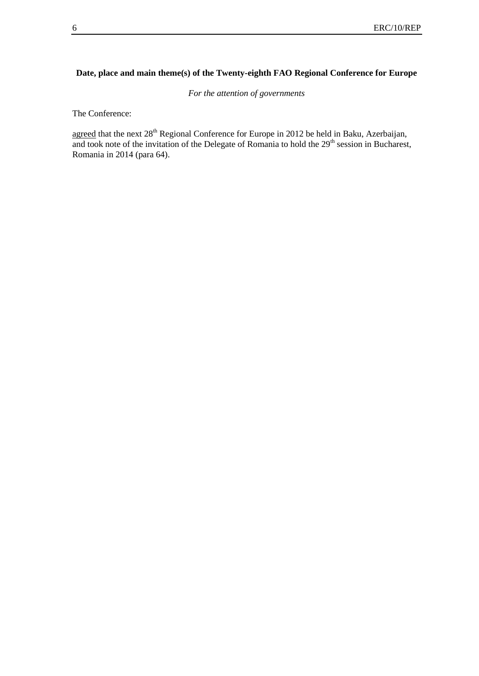## **Date, place and main theme(s) of the Twenty-eighth FAO Regional Conference for Europe**

*For the attention of governments*

The Conference:

agreed that the next 28<sup>th</sup> Regional Conference for Europe in 2012 be held in Baku, Azerbaijan, and took note of the invitation of the Delegate of Romania to hold the 29<sup>th</sup> session in Bucharest, Romania in 2014 (para 64).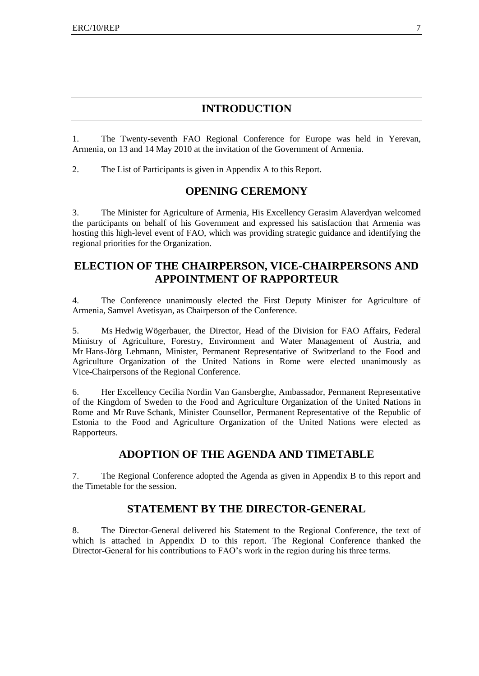## **INTRODUCTION**

1. The Twenty-seventh FAO Regional Conference for Europe was held in Yerevan, Armenia, on 13 and 14 May 2010 at the invitation of the Government of Armenia.

2. The List of Participants is given in Appendix A to this Report.

## **OPENING CEREMONY**

3. The Minister for Agriculture of Armenia, His Excellency Gerasim Alaverdyan welcomed the participants on behalf of his Government and expressed his satisfaction that Armenia was hosting this high-level event of FAO, which was providing strategic guidance and identifying the regional priorities for the Organization.

# **ELECTION OF THE CHAIRPERSON, VICE-CHAIRPERSONS AND APPOINTMENT OF RAPPORTEUR**

4. The Conference unanimously elected the First Deputy Minister for Agriculture of Armenia, Samvel Avetisyan, as Chairperson of the Conference.

5. Ms Hedwig Wögerbauer, the Director, Head of the Division for FAO Affairs, Federal Ministry of Agriculture, Forestry, Environment and Water Management of Austria, and Mr Hans-Jörg Lehmann, Minister, Permanent Representative of Switzerland to the Food and Agriculture Organization of the United Nations in Rome were elected unanimously as Vice-Chairpersons of the Regional Conference.

6. Her Excellency Cecilia Nordin Van Gansberghe, Ambassador, Permanent Representative of the Kingdom of Sweden to the Food and Agriculture Organization of the United Nations in Rome and Mr Ruve Schank, Minister Counsellor, Permanent Representative of the Republic of Estonia to the Food and Agriculture Organization of the United Nations were elected as Rapporteurs.

# **ADOPTION OF THE AGENDA AND TIMETABLE**

7. The Regional Conference adopted the Agenda as given in Appendix B to this report and the Timetable for the session.

# **STATEMENT BY THE DIRECTOR-GENERAL**

8. The Director-General delivered his Statement to the Regional Conference, the text of which is attached in Appendix D to this report. The Regional Conference thanked the Director-General for his contributions to FAO's work in the region during his three terms.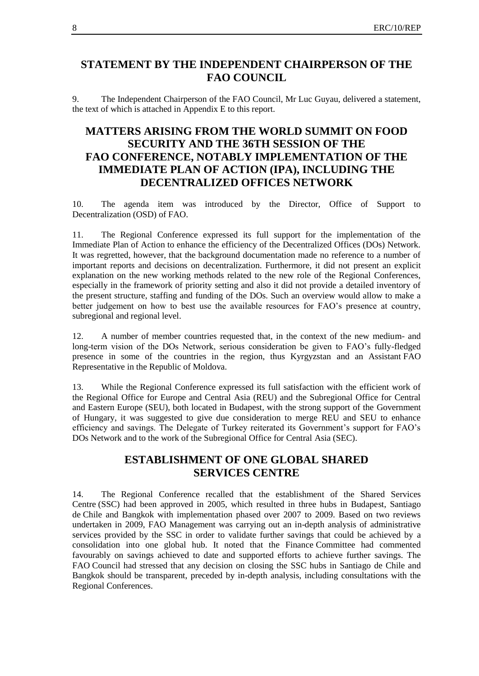# **STATEMENT BY THE INDEPENDENT CHAIRPERSON OF THE FAO COUNCIL**

9. The Independent Chairperson of the FAO Council, Mr Luc Guyau, delivered a statement, the text of which is attached in Appendix E to this report.

# **MATTERS ARISING FROM THE WORLD SUMMIT ON FOOD SECURITY AND THE 36TH SESSION OF THE FAO CONFERENCE, NOTABLY IMPLEMENTATION OF THE IMMEDIATE PLAN OF ACTION (IPA), INCLUDING THE DECENTRALIZED OFFICES NETWORK**

10. The agenda item was introduced by the Director, Office of Support to Decentralization (OSD) of FAO.

11. The Regional Conference expressed its full support for the implementation of the Immediate Plan of Action to enhance the efficiency of the Decentralized Offices (DOs) Network. It was regretted, however, that the background documentation made no reference to a number of important reports and decisions on decentralization. Furthermore, it did not present an explicit explanation on the new working methods related to the new role of the Regional Conferences, especially in the framework of priority setting and also it did not provide a detailed inventory of the present structure, staffing and funding of the DOs. Such an overview would allow to make a better judgement on how to best use the available resources for FAO's presence at country, subregional and regional level.

12. A number of member countries requested that, in the context of the new medium- and long-term vision of the DOs Network, serious consideration be given to FAO's fully-fledged presence in some of the countries in the region, thus Kyrgyzstan and an Assistant FAO Representative in the Republic of Moldova.

13. While the Regional Conference expressed its full satisfaction with the efficient work of the Regional Office for Europe and Central Asia (REU) and the Subregional Office for Central and Eastern Europe (SEU), both located in Budapest, with the strong support of the Government of Hungary, it was suggested to give due consideration to merge REU and SEU to enhance efficiency and savings. The Delegate of Turkey reiterated its Government's support for FAO's DOs Network and to the work of the Subregional Office for Central Asia (SEC).

# **ESTABLISHMENT OF ONE GLOBAL SHARED SERVICES CENTRE**

14. The Regional Conference recalled that the establishment of the Shared Services Centre (SSC) had been approved in 2005, which resulted in three hubs in Budapest, Santiago de Chile and Bangkok with implementation phased over 2007 to 2009. Based on two reviews undertaken in 2009, FAO Management was carrying out an in-depth analysis of administrative services provided by the SSC in order to validate further savings that could be achieved by a consolidation into one global hub. It noted that the Finance Committee had commented favourably on savings achieved to date and supported efforts to achieve further savings. The FAO Council had stressed that any decision on closing the SSC hubs in Santiago de Chile and Bangkok should be transparent, preceded by in-depth analysis, including consultations with the Regional Conferences.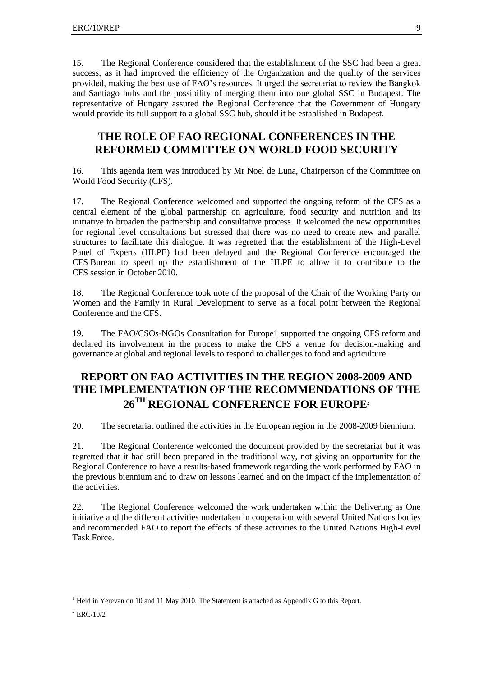15. The Regional Conference considered that the establishment of the SSC had been a great success, as it had improved the efficiency of the Organization and the quality of the services provided, making the best use of FAO's resources. It urged the secretariat to review the Bangkok and Santiago hubs and the possibility of merging them into one global SSC in Budapest. The representative of Hungary assured the Regional Conference that the Government of Hungary would provide its full support to a global SSC hub, should it be established in Budapest.

# **THE ROLE OF FAO REGIONAL CONFERENCES IN THE REFORMED COMMITTEE ON WORLD FOOD SECURITY**

16. This agenda item was introduced by Mr Noel de Luna, Chairperson of the Committee on World Food Security (CFS).

17. The Regional Conference welcomed and supported the ongoing reform of the CFS as a central element of the global partnership on agriculture, food security and nutrition and its initiative to broaden the partnership and consultative process. It welcomed the new opportunities for regional level consultations but stressed that there was no need to create new and parallel structures to facilitate this dialogue. It was regretted that the establishment of the High-Level Panel of Experts (HLPE) had been delayed and the Regional Conference encouraged the CFS Bureau to speed up the establishment of the HLPE to allow it to contribute to the CFS session in October 2010.

18. The Regional Conference took note of the proposal of the Chair of the Working Party on Women and the Family in Rural Development to serve as a focal point between the Regional Conference and the CFS.

19. The FAO/CSOs-NGOs Consultation for Europe1 supported the ongoing CFS reform and declared its involvement in the process to make the CFS a venue for decision-making and governance at global and regional levels to respond to challenges to food and agriculture.

# **REPORT ON FAO ACTIVITIES IN THE REGION 2008-2009 AND THE IMPLEMENTATION OF THE RECOMMENDATIONS OF THE 26TH REGIONAL CONFERENCE FOR EUROPE<sup>2</sup>**

20. The secretariat outlined the activities in the European region in the 2008-2009 biennium.

21. The Regional Conference welcomed the document provided by the secretariat but it was regretted that it had still been prepared in the traditional way, not giving an opportunity for the Regional Conference to have a results-based framework regarding the work performed by FAO in the previous biennium and to draw on lessons learned and on the impact of the implementation of the activities.

22. The Regional Conference welcomed the work undertaken within the Delivering as One initiative and the different activities undertaken in cooperation with several United Nations bodies and recommended FAO to report the effects of these activities to the United Nations High-Level Task Force.

1

<sup>&</sup>lt;sup>1</sup> Held in Yerevan on 10 and 11 May 2010. The Statement is attached as Appendix G to this Report.

 $^{2}$  ERC/10/2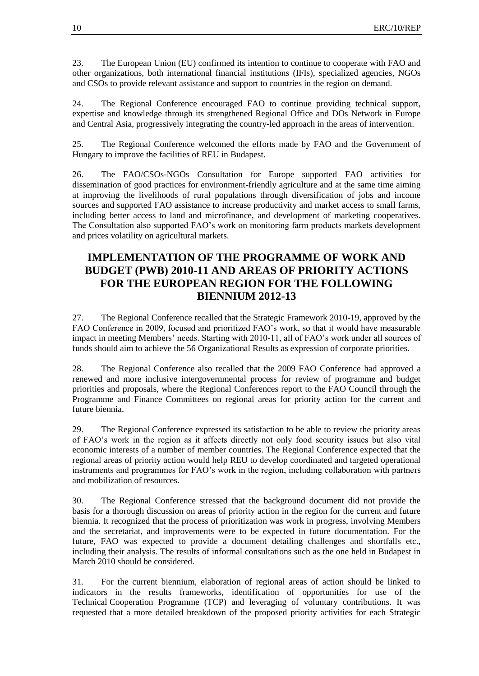23. The European Union (EU) confirmed its intention to continue to cooperate with FAO and other organizations, both international financial institutions (IFIs), specialized agencies, NGOs and CSOs to provide relevant assistance and support to countries in the region on demand.

24. The Regional Conference encouraged FAO to continue providing technical support, expertise and knowledge through its strengthened Regional Office and DOs Network in Europe and Central Asia, progressively integrating the country-led approach in the areas of intervention.

25. The Regional Conference welcomed the efforts made by FAO and the Government of Hungary to improve the facilities of REU in Budapest.

26. The FAO/CSOs-NGOs Consultation for Europe supported FAO activities for dissemination of good practices for environment-friendly agriculture and at the same time aiming at improving the livelihoods of rural populations through diversification of jobs and income sources and supported FAO assistance to increase productivity and market access to small farms, including better access to land and microfinance, and development of marketing cooperatives. The Consultation also supported FAO's work on monitoring farm products markets development and prices volatility on agricultural markets.

# **IMPLEMENTATION OF THE PROGRAMME OF WORK AND BUDGET (PWB) 2010-11 AND AREAS OF PRIORITY ACTIONS FOR THE EUROPEAN REGION FOR THE FOLLOWING BIENNIUM 2012-13**

27. The Regional Conference recalled that the Strategic Framework 2010-19, approved by the FAO Conference in 2009, focused and prioritized FAO's work, so that it would have measurable impact in meeting Members' needs. Starting with 2010-11, all of FAO's work under all sources of funds should aim to achieve the 56 Organizational Results as expression of corporate priorities.

28. The Regional Conference also recalled that the 2009 FAO Conference had approved a renewed and more inclusive intergovernmental process for review of programme and budget priorities and proposals, where the Regional Conferences report to the FAO Council through the Programme and Finance Committees on regional areas for priority action for the current and future biennia.

29. The Regional Conference expressed its satisfaction to be able to review the priority areas of FAO's work in the region as it affects directly not only food security issues but also vital economic interests of a number of member countries. The Regional Conference expected that the regional areas of priority action would help REU to develop coordinated and targeted operational instruments and programmes for FAO's work in the region, including collaboration with partners and mobilization of resources.

30. The Regional Conference stressed that the background document did not provide the basis for a thorough discussion on areas of priority action in the region for the current and future biennia. It recognized that the process of prioritization was work in progress, involving Members and the secretariat, and improvements were to be expected in future documentation. For the future, FAO was expected to provide a document detailing challenges and shortfalls etc., including their analysis. The results of informal consultations such as the one held in Budapest in March 2010 should be considered.

31. For the current biennium, elaboration of regional areas of action should be linked to indicators in the results frameworks, identification of opportunities for use of the Technical Cooperation Programme (TCP) and leveraging of voluntary contributions. It was requested that a more detailed breakdown of the proposed priority activities for each Strategic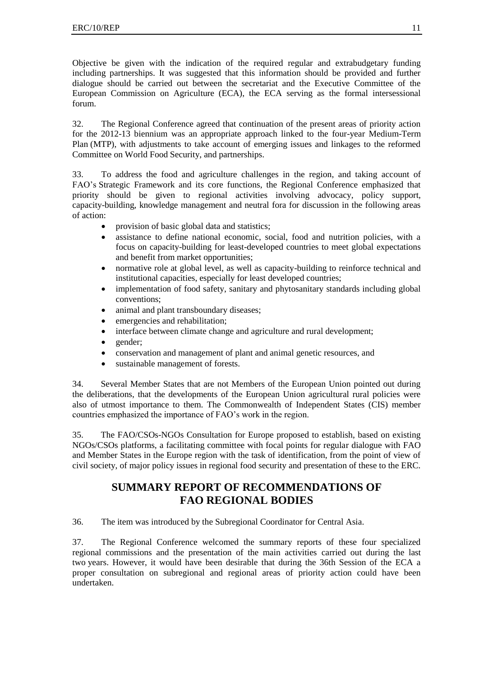Objective be given with the indication of the required regular and extrabudgetary funding including partnerships. It was suggested that this information should be provided and further dialogue should be carried out between the secretariat and the Executive Committee of the European Commission on Agriculture (ECA), the ECA serving as the formal intersessional forum.

32. The Regional Conference agreed that continuation of the present areas of priority action for the 2012-13 biennium was an appropriate approach linked to the four-year Medium-Term Plan (MTP), with adjustments to take account of emerging issues and linkages to the reformed Committee on World Food Security, and partnerships.

33. To address the food and agriculture challenges in the region, and taking account of FAO's Strategic Framework and its core functions, the Regional Conference emphasized that priority should be given to regional activities involving advocacy, policy support, capacity-building, knowledge management and neutral fora for discussion in the following areas of action:

- provision of basic global data and statistics;
- assistance to define national economic, social, food and nutrition policies, with a focus on capacity-building for least-developed countries to meet global expectations and benefit from market opportunities;
- normative role at global level, as well as capacity-building to reinforce technical and institutional capacities, especially for least developed countries;
- implementation of food safety, sanitary and phytosanitary standards including global conventions;
- animal and plant transboundary diseases;
- emergencies and rehabilitation;
- interface between climate change and agriculture and rural development;
- gender;
- conservation and management of plant and animal genetic resources, and
- sustainable management of forests.

34. Several Member States that are not Members of the European Union pointed out during the deliberations, that the developments of the European Union agricultural rural policies were also of utmost importance to them. The Commonwealth of Independent States (CIS) member countries emphasized the importance of FAO's work in the region.

35. The FAO/CSOs-NGOs Consultation for Europe proposed to establish, based on existing NGOs/CSOs platforms, a facilitating committee with focal points for regular dialogue with FAO and Member States in the Europe region with the task of identification, from the point of view of civil society, of major policy issues in regional food security and presentation of these to the ERC.

# **SUMMARY REPORT OF RECOMMENDATIONS OF FAO REGIONAL BODIES**

36. The item was introduced by the Subregional Coordinator for Central Asia.

37. The Regional Conference welcomed the summary reports of these four specialized regional commissions and the presentation of the main activities carried out during the last two years. However, it would have been desirable that during the 36th Session of the ECA a proper consultation on subregional and regional areas of priority action could have been undertaken.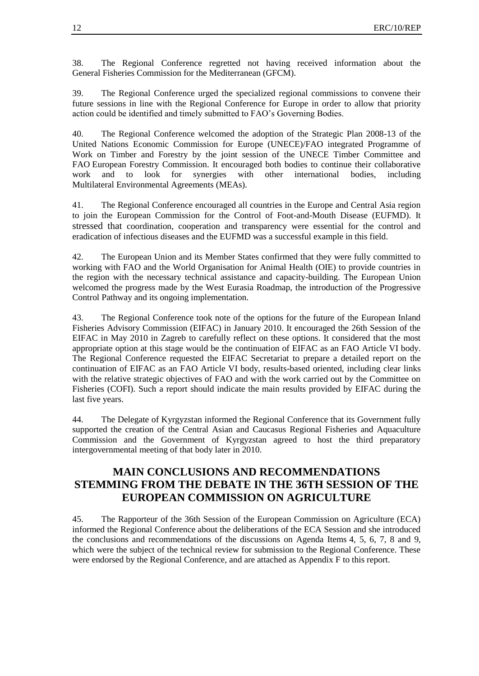38. The Regional Conference regretted not having received information about the General Fisheries Commission for the Mediterranean (GFCM).

39. The Regional Conference urged the specialized regional commissions to convene their future sessions in line with the Regional Conference for Europe in order to allow that priority action could be identified and timely submitted to FAO's Governing Bodies.

40. The Regional Conference welcomed the adoption of the Strategic Plan 2008-13 of the United Nations Economic Commission for Europe (UNECE)/FAO integrated Programme of Work on Timber and Forestry by the joint session of the UNECE Timber Committee and FAO European Forestry Commission. It encouraged both bodies to continue their collaborative work and to look for synergies with other international bodies, including Multilateral Environmental Agreements (MEAs).

41. The Regional Conference encouraged all countries in the Europe and Central Asia region to join the European Commission for the Control of Foot-and-Mouth Disease (EUFMD). It stressed that coordination, cooperation and transparency were essential for the control and eradication of infectious diseases and the EUFMD was a successful example in this field.

42. The European Union and its Member States confirmed that they were fully committed to working with FAO and the World Organisation for Animal Health (OIE) to provide countries in the region with the necessary technical assistance and capacity-building. The European Union welcomed the progress made by the West Eurasia Roadmap, the introduction of the Progressive Control Pathway and its ongoing implementation.

43. The Regional Conference took note of the options for the future of the European Inland Fisheries Advisory Commission (EIFAC) in January 2010. It encouraged the 26th Session of the EIFAC in May 2010 in Zagreb to carefully reflect on these options. It considered that the most appropriate option at this stage would be the continuation of EIFAC as an FAO Article VI body. The Regional Conference requested the EIFAC Secretariat to prepare a detailed report on the continuation of EIFAC as an FAO Article VI body, results-based oriented, including clear links with the relative strategic objectives of FAO and with the work carried out by the Committee on Fisheries (COFI). Such a report should indicate the main results provided by EIFAC during the last five years.

44. The Delegate of Kyrgyzstan informed the Regional Conference that its Government fully supported the creation of the Central Asian and Caucasus Regional Fisheries and Aquaculture Commission and the Government of Kyrgyzstan agreed to host the third preparatory intergovernmental meeting of that body later in 2010.

# **MAIN CONCLUSIONS AND RECOMMENDATIONS STEMMING FROM THE DEBATE IN THE 36TH SESSION OF THE EUROPEAN COMMISSION ON AGRICULTURE**

45. The Rapporteur of the 36th Session of the European Commission on Agriculture (ECA) informed the Regional Conference about the deliberations of the ECA Session and she introduced the conclusions and recommendations of the discussions on Agenda Items 4, 5, 6, 7, 8 and 9, which were the subject of the technical review for submission to the Regional Conference. These were endorsed by the Regional Conference, and are attached as Appendix F to this report.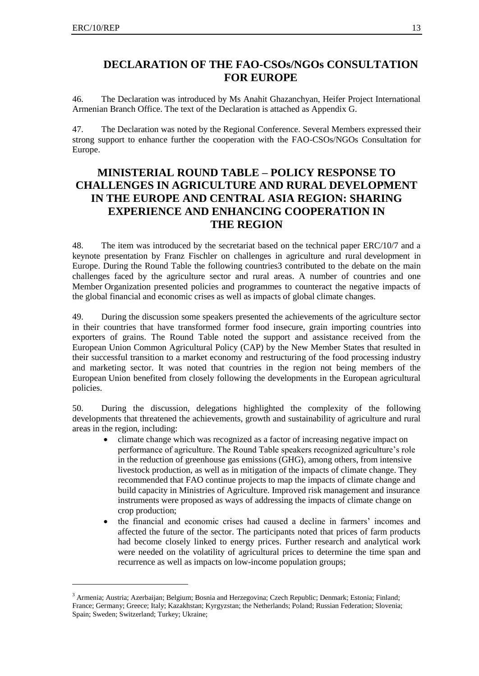-

## **DECLARATION OF THE FAO-CSOs/NGOs CONSULTATION FOR EUROPE**

46. The Declaration was introduced by Ms Anahit Ghazanchyan, Heifer Project International Armenian Branch Office. The text of the Declaration is attached as Appendix G.

47. The Declaration was noted by the Regional Conference. Several Members expressed their strong support to enhance further the cooperation with the FAO-CSOs/NGOs Consultation for Europe.

# **MINISTERIAL ROUND TABLE – POLICY RESPONSE TO CHALLENGES IN AGRICULTURE AND RURAL DEVELOPMENT IN THE EUROPE AND CENTRAL ASIA REGION: SHARING EXPERIENCE AND ENHANCING COOPERATION IN THE REGION**

48. The item was introduced by the secretariat based on the technical paper ERC/10/7 and a keynote presentation by Franz Fischler on challenges in agriculture and rural development in Europe. During the Round Table the following countries3 contributed to the debate on the main challenges faced by the agriculture sector and rural areas. A number of countries and one Member Organization presented policies and programmes to counteract the negative impacts of the global financial and economic crises as well as impacts of global climate changes.

49. During the discussion some speakers presented the achievements of the agriculture sector in their countries that have transformed former food insecure, grain importing countries into exporters of grains. The Round Table noted the support and assistance received from the European Union Common Agricultural Policy (CAP) by the New Member States that resulted in their successful transition to a market economy and restructuring of the food processing industry and marketing sector. It was noted that countries in the region not being members of the European Union benefited from closely following the developments in the European agricultural policies.

50. During the discussion, delegations highlighted the complexity of the following developments that threatened the achievements, growth and sustainability of agriculture and rural areas in the region, including:

- climate change which was recognized as a factor of increasing negative impact on performance of agriculture. The Round Table speakers recognized agriculture's role in the reduction of greenhouse gas emissions (GHG), among others, from intensive livestock production, as well as in mitigation of the impacts of climate change. They recommended that FAO continue projects to map the impacts of climate change and build capacity in Ministries of Agriculture. Improved risk management and insurance instruments were proposed as ways of addressing the impacts of climate change on crop production;
- the financial and economic crises had caused a decline in farmers' incomes and affected the future of the sector. The participants noted that prices of farm products had become closely linked to energy prices. Further research and analytical work were needed on the volatility of agricultural prices to determine the time span and recurrence as well as impacts on low-income population groups;

<sup>&</sup>lt;sup>3</sup> Armenia; Austria; Azerbaijan; Belgium; Bosnia and Herzegovina; Czech Republic; Denmark; Estonia; Finland; France; Germany; Greece; Italy; Kazakhstan; Kyrgyzstan; the Netherlands; Poland; Russian Federation; Slovenia; Spain; Sweden; Switzerland; Turkey; Ukraine;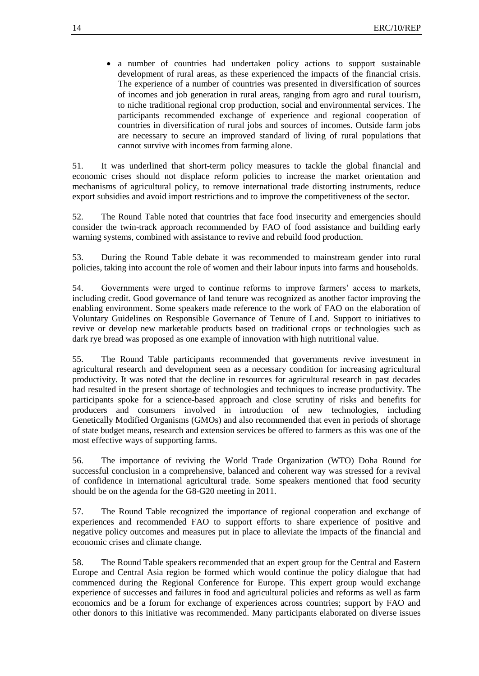a number of countries had undertaken policy actions to support sustainable development of rural areas, as these experienced the impacts of the financial crisis. The experience of a number of countries was presented in diversification of sources of incomes and job generation in rural areas, ranging from agro and rural tourism, to niche traditional regional crop production, social and environmental services. The participants recommended exchange of experience and regional cooperation of countries in diversification of rural jobs and sources of incomes. Outside farm jobs are necessary to secure an improved standard of living of rural populations that cannot survive with incomes from farming alone.

51. It was underlined that short-term policy measures to tackle the global financial and economic crises should not displace reform policies to increase the market orientation and mechanisms of agricultural policy, to remove international trade distorting instruments, reduce export subsidies and avoid import restrictions and to improve the competitiveness of the sector.

52. The Round Table noted that countries that face food insecurity and emergencies should consider the twin-track approach recommended by FAO of food assistance and building early warning systems, combined with assistance to revive and rebuild food production.

53. During the Round Table debate it was recommended to mainstream gender into rural policies, taking into account the role of women and their labour inputs into farms and households.

54. Governments were urged to continue reforms to improve farmers' access to markets, including credit. Good governance of land tenure was recognized as another factor improving the enabling environment. Some speakers made reference to the work of FAO on the elaboration of Voluntary Guidelines on Responsible Governance of Tenure of Land. Support to initiatives to revive or develop new marketable products based on traditional crops or technologies such as dark rye bread was proposed as one example of innovation with high nutritional value.

55. The Round Table participants recommended that governments revive investment in agricultural research and development seen as a necessary condition for increasing agricultural productivity. It was noted that the decline in resources for agricultural research in past decades had resulted in the present shortage of technologies and techniques to increase productivity. The participants spoke for a science-based approach and close scrutiny of risks and benefits for producers and consumers involved in introduction of new technologies, including Genetically Modified Organisms (GMOs) and also recommended that even in periods of shortage of state budget means, research and extension services be offered to farmers as this was one of the most effective ways of supporting farms.

56. The importance of reviving the World Trade Organization (WTO) Doha Round for successful conclusion in a comprehensive, balanced and coherent way was stressed for a revival of confidence in international agricultural trade. Some speakers mentioned that food security should be on the agenda for the G8-G20 meeting in 2011.

57. The Round Table recognized the importance of regional cooperation and exchange of experiences and recommended FAO to support efforts to share experience of positive and negative policy outcomes and measures put in place to alleviate the impacts of the financial and economic crises and climate change.

58. The Round Table speakers recommended that an expert group for the Central and Eastern Europe and Central Asia region be formed which would continue the policy dialogue that had commenced during the Regional Conference for Europe. This expert group would exchange experience of successes and failures in food and agricultural policies and reforms as well as farm economics and be a forum for exchange of experiences across countries; support by FAO and other donors to this initiative was recommended. Many participants elaborated on diverse issues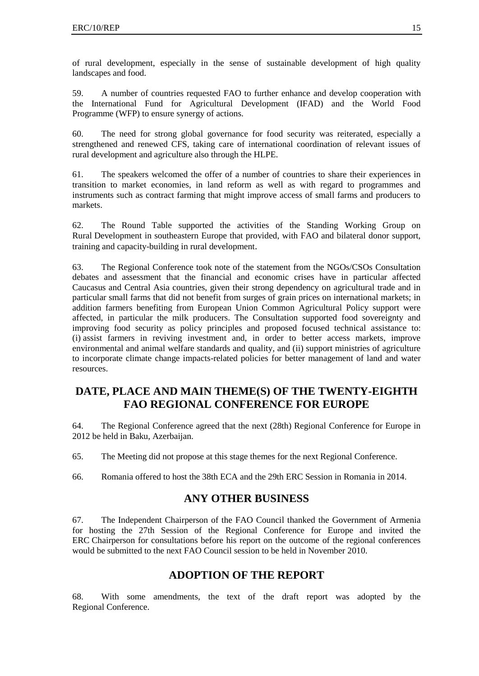of rural development, especially in the sense of sustainable development of high quality landscapes and food.

59. A number of countries requested FAO to further enhance and develop cooperation with the International Fund for Agricultural Development (IFAD) and the World Food Programme (WFP) to ensure synergy of actions.

60. The need for strong global governance for food security was reiterated, especially a strengthened and renewed CFS, taking care of international coordination of relevant issues of rural development and agriculture also through the HLPE.

61. The speakers welcomed the offer of a number of countries to share their experiences in transition to market economies, in land reform as well as with regard to programmes and instruments such as contract farming that might improve access of small farms and producers to markets.

62. The Round Table supported the activities of the Standing Working Group on Rural Development in southeastern Europe that provided, with FAO and bilateral donor support, training and capacity-building in rural development.

63. The Regional Conference took note of the statement from the NGOs/CSOs Consultation debates and assessment that the financial and economic crises have in particular affected Caucasus and Central Asia countries, given their strong dependency on agricultural trade and in particular small farms that did not benefit from surges of grain prices on international markets; in addition farmers benefiting from European Union Common Agricultural Policy support were affected, in particular the milk producers. The Consultation supported food sovereignty and improving food security as policy principles and proposed focused technical assistance to: (i) assist farmers in reviving investment and, in order to better access markets, improve environmental and animal welfare standards and quality, and (ii) support ministries of agriculture to incorporate climate change impacts-related policies for better management of land and water resources.

## **DATE, PLACE AND MAIN THEME(S) OF THE TWENTY-EIGHTH FAO REGIONAL CONFERENCE FOR EUROPE**

64. The Regional Conference agreed that the next (28th) Regional Conference for Europe in 2012 be held in Baku, Azerbaijan.

65. The Meeting did not propose at this stage themes for the next Regional Conference.

66. Romania offered to host the 38th ECA and the 29th ERC Session in Romania in 2014.

## **ANY OTHER BUSINESS**

67. The Independent Chairperson of the FAO Council thanked the Government of Armenia for hosting the 27th Session of the Regional Conference for Europe and invited the ERC Chairperson for consultations before his report on the outcome of the regional conferences would be submitted to the next FAO Council session to be held in November 2010.

## **ADOPTION OF THE REPORT**

68. With some amendments, the text of the draft report was adopted by the Regional Conference.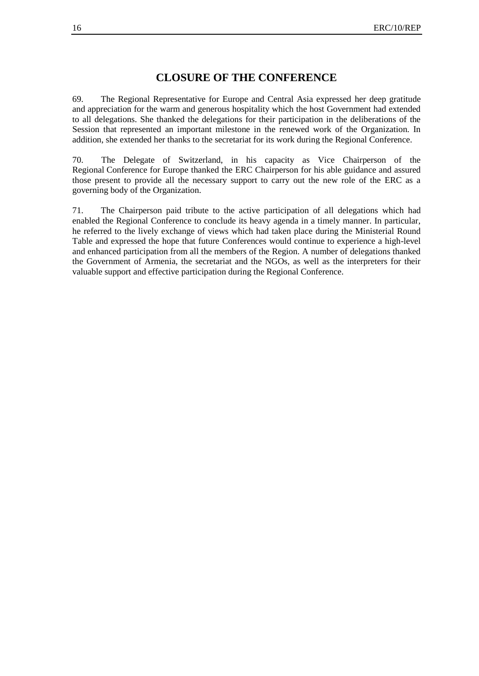## **CLOSURE OF THE CONFERENCE**

69. The Regional Representative for Europe and Central Asia expressed her deep gratitude and appreciation for the warm and generous hospitality which the host Government had extended to all delegations. She thanked the delegations for their participation in the deliberations of the Session that represented an important milestone in the renewed work of the Organization. In addition, she extended her thanks to the secretariat for its work during the Regional Conference.

70. The Delegate of Switzerland, in his capacity as Vice Chairperson of the Regional Conference for Europe thanked the ERC Chairperson for his able guidance and assured those present to provide all the necessary support to carry out the new role of the ERC as a governing body of the Organization.

71. The Chairperson paid tribute to the active participation of all delegations which had enabled the Regional Conference to conclude its heavy agenda in a timely manner. In particular, he referred to the lively exchange of views which had taken place during the Ministerial Round Table and expressed the hope that future Conferences would continue to experience a high-level and enhanced participation from all the members of the Region. A number of delegations thanked the Government of Armenia, the secretariat and the NGOs, as well as the interpreters for their valuable support and effective participation during the Regional Conference.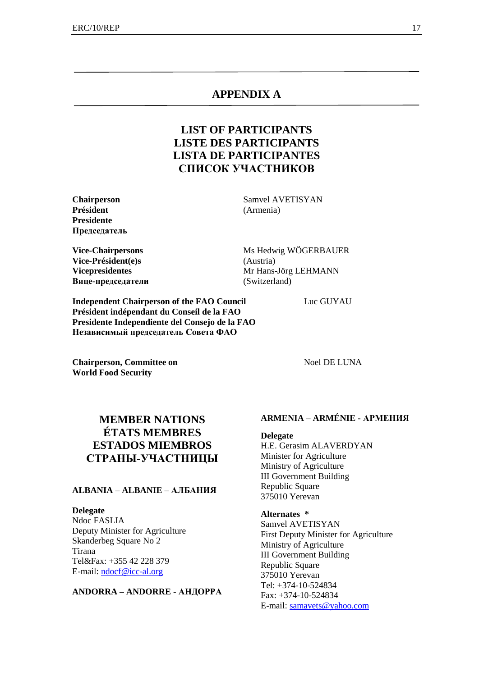## **APPENDIX A**

# **LIST OF PARTICIPANTS LISTE DES PARTICIPANTS LISTA DE PARTICIPANTES СПИСОК УЧАСТНИКОВ**

**Président** (Armenia) **Presidente Председатель**

**Vice-Président(e)s** (Austria) **Вице-председатели** (Switzerland)

**Chairperson** Samvel AVETISYAN

**Vice-Chairpersons** Ms Hedwig WÖGERBAUER **Vicepresidentes** Mr Hans-Jörg LEHMANN

**Independent Chairperson of the FAO Council** Luc GUYAU **Président indépendant du Conseil de la FAO Presidente Independiente del Consejo de la FAO Независимый председатель Совета ФАО**

**Chairperson, Committee on** Noel DE LUNA **World Food Security**

# **MEMBER NATIONS ÉTATS MEMBRES ESTADOS MIEMBROS СТРАНЫ-УЧАСТНИЦЫ**

## **ALBANIA – ALBANIE – АЛБАНИЯ**

## **Delegate**

Ndoc FASLIA Deputy Minister for Agriculture Skanderbeg Square No 2 Tirana Tel&Fax: +355 42 228 379 E-mail: [ndocf@icc-al.org](mailto:ndocf@icc-al.org)

#### **ANDORRA – ANDORRE - АНДОРРА**

## **ARMENIA – ARMÉNIE - АРМЕНИЯ**

**Delegate** H.E. Gerasim ALAVERDYAN Minister for Agriculture Ministry of Agriculture III Government Building Republic Square 375010 Yerevan

## **Alternates \***

Samvel AVETISYAN First Deputy Minister for Agriculture Ministry of Agriculture III Government Building Republic Square 375010 Yerevan Tel: +374-10-524834 Fax: +374-10-524834 E-mail: [samavets@yahoo.com](mailto:samavets@yahoo.com)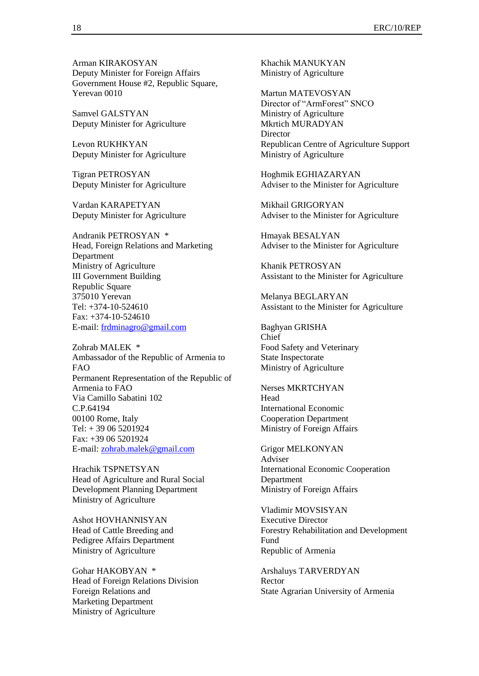Arman KIRAKOSYAN Deputy Minister for Foreign Affairs Government House #2, Republic Square, Yerevan 0010

Samvel GALSTYAN Deputy Minister for Agriculture

Levon RUKHKYAN Deputy Minister for Agriculture

Tigran PETROSYAN Deputy Minister for Agriculture

Vardan KARAPETYAN Deputy Minister for Agriculture

Andranik PETROSYAN \* Head, Foreign Relations and Marketing Department Ministry of Agriculture III Government Building Republic Square 375010 Yerevan Tel: +374-10-524610 Fax: +374-10-524610 E-mail: [frdminagro@gmail.com](mailto:frdminagro@gmail.com)

Zohrab MALEK \* Ambassador of the Republic of Armenia to FAO Permanent Representation of the Republic of Armenia to FAO Via Camillo Sabatini 102 C.P.64194 00100 Rome, Italy Tel: + 39 06 5201924 Fax: +39 06 5201924 E-mail: [zohrab.malek@gmail.com](mailto:zohrab.malek@gmail.com)

Hrachik TSPNETSYAN Head of Agriculture and Rural Social Development Planning Department Ministry of Agriculture

Ashot HOVHANNISYAN Head of Cattle Breeding and Pedigree Affairs Department Ministry of Agriculture

Gohar HAKOBYAN \* Head of Foreign Relations Division Foreign Relations and Marketing Department Ministry of Agriculture

Khachik MANUKYAN Ministry of Agriculture

Martun MATEVOSYAN Director of "ArmForest" SNCO Ministry of Agriculture Mkrtich MURADYAN **Director** Republican Centre of Agriculture Support Ministry of Agriculture

Hoghmik EGHIAZARYAN Adviser to the Minister for Agriculture

Mikhail GRIGORYAN Adviser to the Minister for Agriculture

Hmayak BESALYAN Adviser to the Minister for Agriculture

Khanik PETROSYAN Assistant to the Minister for Agriculture

Melanya BEGLARYAN Assistant to the Minister for Agriculture

Baghyan GRISHA Chief Food Safety and Veterinary State Inspectorate Ministry of Agriculture

Nerses MKRTCHYAN Head International Economic Cooperation Department Ministry of Foreign Affairs

Grigor MELKONYAN Adviser International Economic Cooperation Department Ministry of Foreign Affairs

Vladimir MOVSISYAN Executive Director Forestry Rehabilitation and Development Fund Republic of Armenia

Arshaluys TARVERDYAN Rector State Agrarian University of Armenia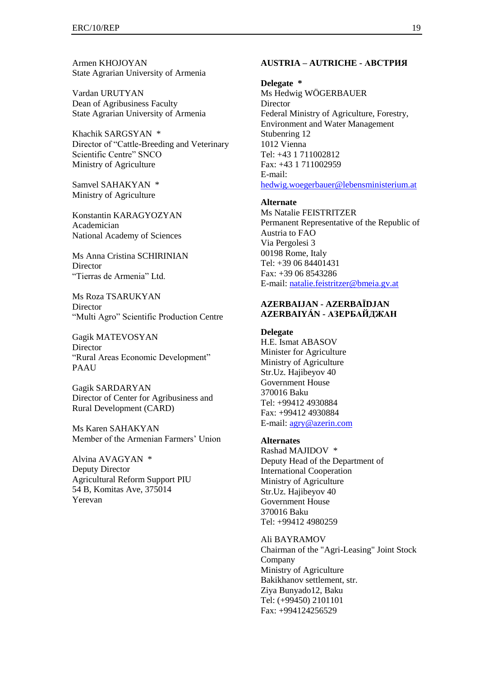Armen KHOJOYAN State Agrarian University of Armenia

Vardan URUTYAN Dean of Agribusiness Faculty State Agrarian University of Armenia

Khachik SARGSYAN \* Director of "Cattle-Breeding and Veterinary Scientific Centre" SNCO Ministry of Agriculture

Samvel SAHAKYAN \* Ministry of Agriculture

Konstantin KARAGYOZYAN Academician National Academy of Sciences

Ms Anna Cristina SCHIRINIAN **Director** "Tierras de Armenia" Ltd.

Ms Roza TSARUKYAN **Director** "Multi Agro" Scientific Production Centre

Gagik MATEVOSYAN Director "Rural Areas Economic Development" PAAU

Gagik SARDARYAN Director of Center for Agribusiness and Rural Development (CARD)

Ms Karen SAHAKYAN Member of the Armenian Farmers' Union

Alvina AVAGYAN \* Deputy Director Agricultural Reform Support PIU 54 B, Komitas Ave, 375014 Yerevan

#### **AUSTRIA – AUTRICHE - АВСТРИЯ**

#### **Delegate \***

Ms Hedwig WÖGERBAUER Director Federal Ministry of Agriculture, Forestry, Environment and Water Management Stubenring 12 1012 Vienna Tel: +43 1 711002812 Fax: +43 1 711002959 E-mail: [hedwig.woegerbauer@lebensministerium.at](mailto:Hedwig.woegerbauer@lebensministerium.at)

#### **Alternate**

Ms Natalie FEISTRITZER Permanent Representative of the Republic of Austria to FAO Via Pergolesi 3 00198 Rome, Italy Tel: +39 06 84401431 Fax: +39 06 8543286 E-mail: [natalie.feistritzer@bmeia.gv.at](mailto:natalie.feistritzer@bmeia.gv.at)

## **AZERBAIJAN - AZERBAÏDJAN AZERBAIYÁN - АЗЕРБАЙДЖАН**

**Delegate** H.E. Ismat ABASOV Minister for Agriculture Ministry of Agriculture Str.Uz. Hajibeyov 40 Government House 370016 Baku Tel: +99412 4930884 Fax: +99412 4930884 E-mail: [agry@azerin.com](mailto:agry@azerin.com)

#### **Alternates**

Rashad MAJIDOV \* Deputy Head of the Department of International Cooperation Ministry of Agriculture Str.Uz. Hajibeyov 40 Government House 370016 Baku Tel: +99412 4980259

Ali BAYRAMOV Chairman of the "Agri-Leasing" Joint Stock Company Ministry of Agriculture Bakikhanov settlement, str. Ziya Bunyado12, Baku Tel: (+99450) 2101101 Fax: +994124256529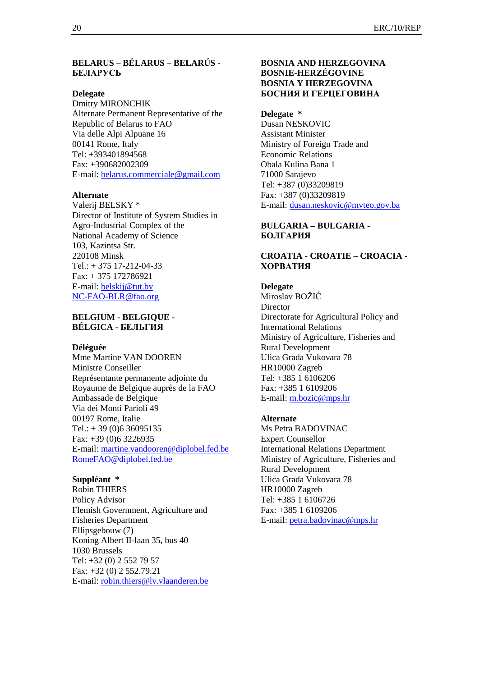## **BELARUS – BÉLARUS – BELARÚS - БЕЛАРУСЬ**

#### **Delegate**

Dmitry MIRONCHIK Alternate Permanent Representative of the Republic of Belarus to FAO Via delle Alpi Alpuane 16 00141 Rome, Italy Tel: +393401894568 Fax: +390682002309 E-mail: [belarus.commerciale@gmail.com](mailto:belarus.commerciale@gmail.com)

#### **Alternate**

Valerij BELSKY \* Director of Institute of System Studies in Agro-Industrial Complex of the National Academy of Science 103, Kazintsa Str. 220108 Minsk Tel.: + 375 17-212-04-33 Fax: + 375 172786921 E-mail: [belskij@tut.by](mailto:belskij@tut.by) [NC-FAO-BLR@fao.org](mailto:NC-FAO-BLR@fao.org)

## **BELGIUM - BELGIQUE - BÉLGICA - БЕЛЬГИЯ**

#### **Déléguée**

Mme Martine VAN DOOREN Ministre Conseiller Représentante permanente adjointe du Royaume de Belgique auprès de la FAO Ambassade de Belgique Via dei Monti Parioli 49 00197 Rome, Italie  $Tel.: + 39(0)636095135$ Fax: +39 (0)6 3226935 E-mail: [martine.vandooren@diplobel.fed.be](mailto:martine.vandooren@diplobel.fed.be) [RomeFAO@diplobel.fed.be](mailto:RomeFAO@diplobel.fed.be)

## **Suppléant \***

Robin THIERS Policy Advisor Flemish Government, Agriculture and Fisheries Department Ellipsgebouw (7) Koning Albert II-laan 35, bus 40 1030 Brussels Tel: +32 (0) 2 552 79 57 Fax: +32 (0) 2 552.79.21 E-mail: [robin.thiers@lv.vlaanderen.be](mailto:robin.thiers@lv.vlaanderen.be)

## **BOSNIA AND HERZEGOVINA BOSNIE-HERZÉGOVINE BOSNIA Y HERZEGOVINA БОСНИЯ И ГЕРЦЕГОВИНА**

#### **Delegate \***

Dusan NESKOVIC Assistant Minister Ministry of Foreign Trade and Economic Relations Obala Kulina Bana 1 71000 Sarajevo Tel: +387 (0)33209819 Fax: +387 (0)33209819 E-mail: [dusan.neskovic@mvteo.gov.ba](mailto:dusan.neskovic@mvteo.gov.ba)

## **BULGARIA – BULGARIA - БОЛГАРИЯ**

## **CROATIA - CROATIE – CROACIA - ХОРВАТИЯ**

### **Delegate**

Miroslav BOŽIĆ **Director** Directorate for Agricultural Policy and International Relations Ministry of Agriculture, Fisheries and Rural Development Ulica Grada Vukovara 78 HR10000 Zagreb Tel: +385 1 6106206 Fax: +385 1 6109206 E-mail: [m.bozic@mps.hr](mailto:m.bozic@mps.hr)

## **Alternate**

Ms Petra BADOVINAC Expert Counsellor International Relations Department Ministry of Agriculture, Fisheries and Rural Development Ulica Grada Vukovara 78 HR10000 Zagreb Tel: +385 1 6106726 Fax: +385 1 6109206 E-mail: [petra.badovinac@mps.hr](mailto:petra.badovinac@mps.hr)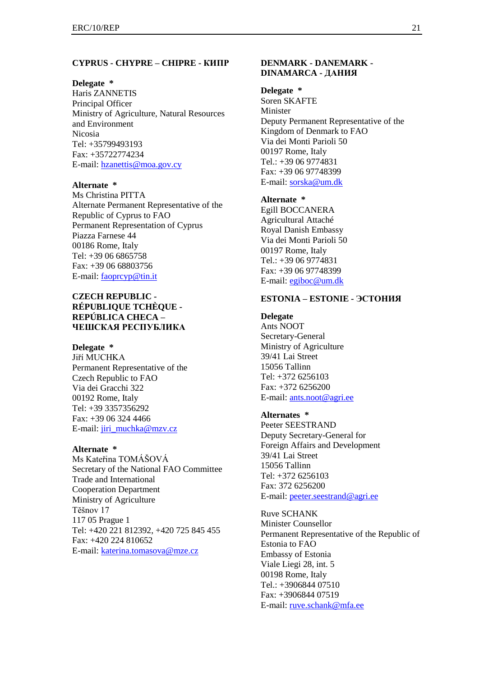#### **CYPRUS - CHYPRE – CHIPRE - КИПР**

#### **Delegate \***

Haris ZANNETIS Principal Officer Ministry of Agriculture, Natural Resources and Environment Nicosia Tel: +35799493193 Fax: +35722774234 E-mail: [hzanettis@moa.gov.cy](mailto:hzanettis@moa.gov.cy)

#### **Alternate \***

Ms Christina PITTA Alternate Permanent Representative of the Republic of Cyprus to FAO Permanent Representation of Cyprus Piazza Farnese 44 00186 Rome, Italy Tel: +39 06 6865758 Fax: +39 06 68803756 E-mail: [faoprcyp@tin.it](mailto:faoprcyp@tin.it)

## **CZECH REPUBLIC - RÉPUBLIQUE TCHÈQUE - REPÚBLICA CHECA – ЧЕШСКАЯ РЕСПУБЛИКА**

#### **Delegate \***

Jiří MUCHKA Permanent Representative of the Czech Republic to FAO Via dei Gracchi 322 00192 Rome, Italy Tel: +39 3357356292 Fax: +39 06 324 4466 E-mail: [jiri\\_muchka@mzv.cz](mailto:jiri_muchka@mzv.cz)

### **Alternate \***

Ms Kateřina TOMÁŠOVÁ Secretary of the National FAO Committee Trade and International Cooperation Department Ministry of Agriculture Tĕšnov 17 117 05 Prague 1 Tel: +420 221 812392, +420 725 845 455 Fax: +420 224 810652 E-mail: [katerina.tomasova@mze.cz](mailto:katerina.tomasova@mze.cz)

## **DENMARK - DANEMARK - DINAMARCA - ДАНИЯ**

#### **Delegate \***

Soren SKAFTE Minister Deputy Permanent Representative of the Kingdom of Denmark to FAO Via dei Monti Parioli 50 00197 Rome, Italy Tel.: +39 06 9774831 Fax: +39 06 97748399 E-mail: [sorska@um.dk](mailto:sorska@um.dk)

#### **Alternate \***

Egill BOCCANERA Agricultural Attaché Royal Danish Embassy Via dei Monti Parioli 50 00197 Rome, Italy Tel.: +39 06 9774831 Fax: +39 06 97748399 E-mail: [egiboc@um.dk](mailto:egiboc@um.dk)

## **ESTONIA – ESTONIE - ЭСТОНИЯ**

**Delegate** Ants NOOT Secretary-General Ministry of Agriculture 39/41 Lai Street 15056 Tallinn  $Tel·+372.6256103$ Fax: +372 6256200 E-mail: [ants.noot@agri.ee](mailto:ants.noot@agri.ee)

#### **Alternates \***

Peeter SEESTRAND Deputy Secretary-General for Foreign Affairs and Development 39/41 Lai Street 15056 Tallinn Tel: +372 6256103 Fax: 372 6256200 E-mail: [peeter.seestrand@agri.ee](mailto:peeter.seestrand@agri.ee)

Ruve SCHANK Minister Counsellor Permanent Representative of the Republic of Estonia to FAO Embassy of Estonia Viale Liegi 28, int. 5 00198 Rome, Italy Tel.: +3906844 07510 Fax: +3906844 07519 E-mail: [ruve.schank@mfa.ee](mailto:ruve.schank@mfa.ee)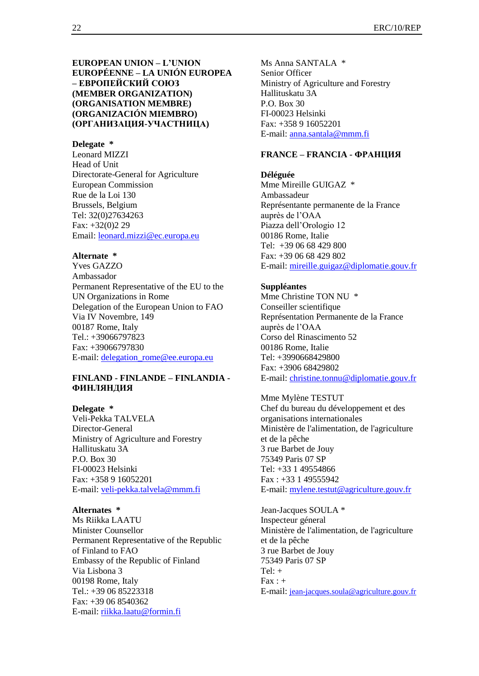**EUROPEAN UNION – L'UNION EUROPÉENNE – LA UNIÓN EUROPEA – ЕВРОПЕЙСКИЙ СОЮЗ (MEMBER ORGANIZATION) (ORGANISATION MEMBRE) (ORGANIZACIÓN MIEMBRO) (ОРГАНИЗАЦИЯ-УЧАСТНИЦА)**

#### **Delegate \***

Leonard MIZZI Head of Unit Directorate-General for Agriculture European Commission Rue de la Loi 130 Brussels, Belgium Tel: 32(0)27634263 Fax: +32(0)2 29 Email: [leonard.mizzi@ec.europa.eu](mailto:leonard.mizzi@ec.europa.eu)

#### **Alternate \***

Yves GAZZO Ambassador Permanent Representative of the EU to the UN Organizations in Rome Delegation of the European Union to FAO Via IV Novembre, 149 00187 Rome, Italy Tel.: +39066797823 Fax: +39066797830 E-mail: [delegation\\_rome@ee.europa.eu](mailto:delegation_rome@ee.europa.eu)

## **FINLAND - FINLANDE – FINLANDIA - ФИНЛЯНДИЯ**

#### **Delegate \***

Veli-Pekka TALVELA Director-General Ministry of Agriculture and Forestry Hallituskatu 3A P.O. Box 30 FI-00023 Helsinki Fax: +358 9 16052201 E-mail: [veli-pekka.talvela@mmm.fi](mailto:veli-pekka.talvela@mmm.fi)

### **Alternates \***

Ms Riikka LAATU Minister Counsellor Permanent Representative of the Republic of Finland to FAO Embassy of the Republic of Finland Via Lisbona 3 00198 Rome, Italy Tel.: +39 06 85223318 Fax: +39 06 8540362 E-mail: [riikka.laatu@formin.fi](mailto:riikka.laatu@formin.fi)

Ms Anna SANTALA \* Senior Officer Ministry of Agriculture and Forestry Hallituskatu 3A P.O. Box 30 FI-00023 Helsinki Fax: +358 9 16052201 E-mail: [anna.santala@mmm.fi](mailto:anna.santala@mmm.fi)

#### **FRANCE – FRANCIA - ФРАНЦИЯ**

**Déléguée** Mme Mireille GUIGAZ \* Ambassadeur Représentante permanente de la France auprès de l'OAA Piazza dell'Orologio 12 00186 Rome, Italie Tel: +39 06 68 429 800 Fax: +39 06 68 429 802 E-mail: [mireille.guigaz@diplomatie.gouv.fr](mailto:jean-jacques.soula@diplomatie.gouv.fr)

#### **Suppléantes**

Mme Christine TON NU \* Conseiller scientifique Représentation Permanente de la France auprès de l'OAA Corso del Rinascimento 52 00186 Rome, Italie Tel: +3990668429800 Fax: +3906 68429802 E-mail: [christine.tonnu@diplomatie.gouv.fr](mailto:christine.tonnu@diplomatie.gouv.fr)

Mme Mylène TESTUT Chef du bureau du développement et des organisations internationales Ministère de l'alimentation, de l'agriculture et de la pêche 3 rue Barbet de Jouy 75349 Paris 07 SP Tel: +33 1 49554866 Fax : +33 1 49555942 E-mail: [mylene.testut@agriculture.gouv.fr](mailto:mylene.testut@agriculture.gouv.fr)

Jean-Jacques SOULA \* Inspecteur géneral Ministère de l'alimentation, de l'agriculture et de la pêche 3 rue Barbet de Jouy 75349 Paris 07 SP Tel $\cdot$  +  $\text{Fax}$  : + E-mail: [jean-jacques.soula@agriculture.gouv.fr](mailto:jean-jacques.soula@agriculture.gouv.fr)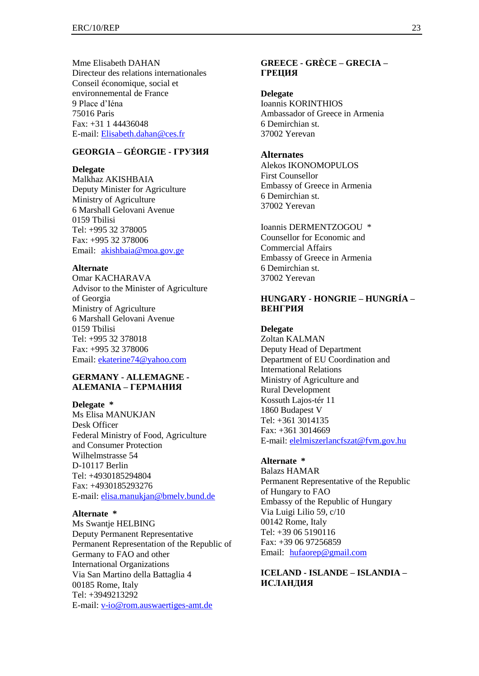Mme Elisabeth DAHAN Directeur des relations internationales Conseil économique, social et environnemental de France 9 Place d'Iéna 75016 Paris Fax: +31 1 44436048 E-mail: [Elisabeth.dahan@ces.fr](mailto:Elisabeth.dahan@ces.fr)

## **GEORGIA – GÉORGIE - ГРУЗИЯ**

#### **Delegate**

Malkhaz AKISHBAIA Deputy Minister for Agriculture Ministry of Agriculture 6 Marshall Gelovani Avenue 0159 Tbilisi Tel: +995 32 378005 Fax: +995 32 378006 Email: [akishbaia@moa.gov.ge](mailto:akishbaia@moa.gov.ge)

#### **Alternate**

Omar KACHARAVA Advisor to the Minister of Agriculture of Georgia Ministry of Agriculture 6 Marshall Gelovani Avenue 0159 Tbilisi Tel: +995 32 378018 Fax: +995 32 378006 Email: [ekaterine74@yahoo.com](mailto:ekaterine74@yahoo.com)

## **GERMANY - ALLEMAGNE - ALEMANIA – ГЕРМАНИЯ**

**Delegate \*** Ms Elisa MANUKJAN Desk Officer Federal Ministry of Food, Agriculture and Consumer Protection Wilhelmstrasse 54 D-10117 Berlin Tel: +4930185294804 Fax: +4930185293276 E-mail: [elisa.manukjan@bmelv.bund.de](mailto:elisa.manukjan@bmelv.bund.de)

#### **Alternate \***

Ms Swantje HELBING Deputy Permanent Representative Permanent Representation of the Republic of Germany to FAO and other International Organizations Via San Martino della Battaglia 4 00185 Rome, Italy Tel: +3949213292 E-mail: [v-io@rom.auswaertiges-amt.de](mailto:v-io@rom.auswaertiges-amt.de)

## **GREECE - GRÈCE – GRECIA – ГРЕЦИЯ**

**Delegate** Ioannis KORINTHIOS Ambassador of Greece in Armenia 6 Demirchian st. 37002 Yerevan

#### **Alternates**

Alekos IKONOMOPULOS First Counsellor Embassy of Greece in Armenia 6 Demirchian st. 37002 Yerevan

Ioannis DERMENTZOGOU \* Counsellor for Economic and Commercial Affairs Embassy of Greece in Armenia 6 Demirchian st. 37002 Yerevan

## **HUNGARY - HONGRIE – HUNGRÍA – ВЕНГРИЯ**

**Delegate** Zoltan KALMAN Deputy Head of Department Department of EU Coordination and International Relations Ministry of Agriculture and Rural Development Kossuth Lajos-tér 11 1860 Budapest V Tel: +361 3014135 Fax: +361 3014669 E-mail: [elelmiszerlancfszat@fvm.gov.hu](mailto:elelmiszerlancfszat@fvm.gov.hu)

## **Alternate \***

Balazs HAMAR Permanent Representative of the Republic of Hungary to FAO Embassy of the Republic of Hungary Via Luigi Lilio 59, c/10 00142 Rome, Italy Tel: +39 06 5190116 Fax: +39 06 97256859 Email: [hufaorep@gmail.com](mailto:hufaorep@fastwebnet.it)

## **ICELAND - ISLANDE – ISLANDIA – ИСЛАНДИЯ**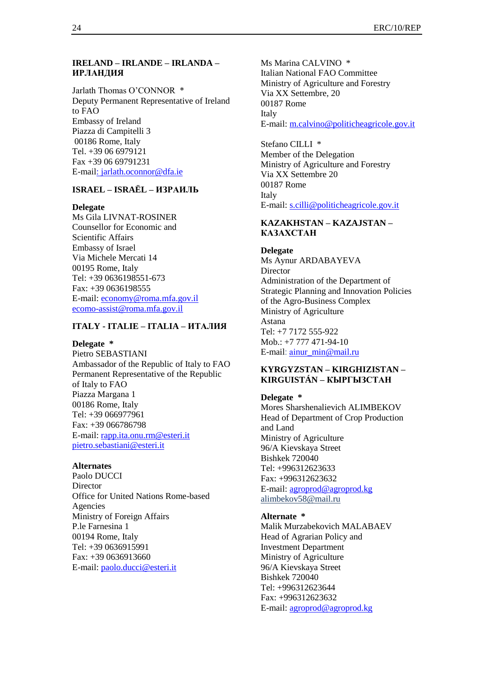## **IRELAND – IRLANDE – IRLANDA – ИРЛАНДИЯ**

Jarlath Thomas O'CONNOR \* Deputy Permanent Representative of Ireland to FAO Embassy of Ireland Piazza di Campitelli 3 00186 Rome, Italy Tel. +39 06 6979121 Fax +39 06 69791231 E-mail: [jarlath.oconnor@dfa.ie](mailto:jarlath.oconnor@dfa.ie)

## **ISRAEL – ISRAËL – ИЗРАИЛЬ**

#### **Delegate**

Ms Gila LIVNAT-ROSINER Counsellor for Economic and Scientific Affairs Embassy of Israel Via Michele Mercati 14 00195 Rome, Italy Tel: +39 0636198551-673 Fax: +39 0636198555 E-mail: [economy@roma.mfa.gov.il](mailto:economy@roma.mfa.gov.il) [ecomo-assist@roma.mfa.gov.il](mailto:economo-assist@roma.mfa.gov.il)

## **ITALY - ITALIE – ITALIA – ИТАЛИЯ**

#### **Delegate \***

Pietro SEBASTIANI Ambassador of the Republic of Italy to FAO Permanent Representative of the Republic of Italy to FAO Piazza Margana 1 00186 Rome, Italy Tel: +39 066977961 Fax: +39 066786798 E-mail: [rapp.ita.onu.rm@esteri.it](mailto:rapp.ita.onu.rm@esteri.it) [pietro.sebastiani@esteri.it](mailto:pietro.sebastiani@esteri.it)

#### **Alternates**

Paolo DUCCI **Director** Office for United Nations Rome-based Agencies Ministry of Foreign Affairs P.le Farnesina 1 00194 Rome, Italy Tel: +39 0636915991 Fax: +39 0636913660 E-mail: [paolo.ducci@esteri.it](mailto:paolo.ducci@esteri.it)

Ms Marina CALVINO \* Italian National FAO Committee Ministry of Agriculture and Forestry Via XX Settembre, 20 00187 Rome Italy E-mail: [m.calvino@politicheagricole.gov.it](mailto:m.calvino@politicheagricole.gov.it)

Stefano CILLI \* Member of the Delegation Ministry of Agriculture and Forestry Via XX Settembre 20 00187 Rome Italy E-mail: [s.cilli@politicheagricole.gov.it](mailto:s.cilli@politicheagricole.gov.it)

## **KAZAKHSTAN – KAZAJSTAN – КАЗАХСТАН**

## **Delegate**

Ms Aynur ARDABAYEVA **Director** Administration of the Department of Strategic Planning and Innovation Policies of the Agro-Business Complex Ministry of Agriculture Astana Tel: +7 7172 555-922 Mob.: +7 777 471-94-10 E-mail: [аinur\\_min@mail.ru](mailto:аinur_min@mail.ru)

## **KYRGYZSTAN – KIRGHIZISTAN – KIRGUISTÁN – КЫРГЫЗСТАН**

#### **Delegate \***

Mores Sharshenalievich ALIMBEKOV Head of Department of Crop Production and Land Ministry of Agriculture 96/A Kievskaya Street Bishkek 720040 Tel: +996312623633 Fax: +996312623632 E-mail: [agroprod@agroprod.kg](mailto:agroprod@agroprod.kg) [alimbekov58@mail.ru](mailto:alimbekov58@mail.ru)

#### **Alternate \***

Malik Murzabekovich MALABAEV Head of Agrarian Policy and Investment Department Ministry of Agriculture 96/A Kievskaya Street Bishkek 720040 Tel: +996312623644 Fax: +996312623632 E-mail: [agroprod@agroprod.kg](mailto:agroprod@agroprod.kg)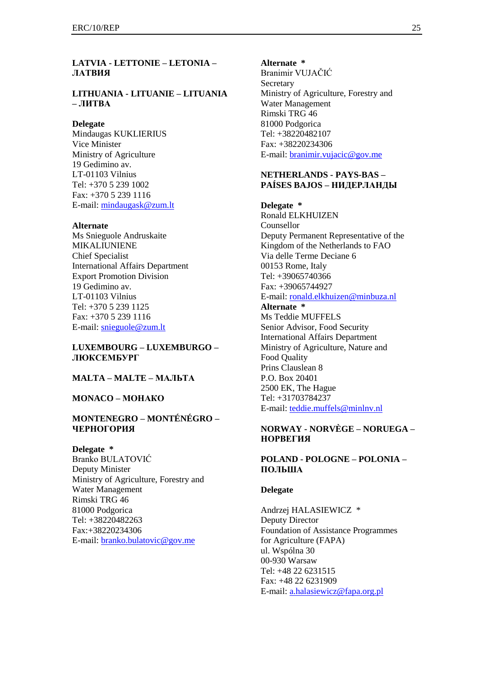## **LATVIA - LETTONIE – LETONIA – ЛАТВИЯ**

## **LITHUANIA - LITUANIE – LITUANIA – ЛИТВА**

### **Delegate**

Mindaugas KUKLIERIUS Vice Minister Ministry of Agriculture 19 Gedimino av. LT-01103 Vilnius Tel: +370 5 239 1002 Fax: +370 5 239 1116 E-mail: [mindaugask@zum.lt](mailto:mindaugask@zum.lt)

#### **Alternate**

Ms Snieguole Andruskaite MIKALIUNIENE Chief Specialist International Affairs Department Export Promotion Division 19 Gedimino av. LT-01103 Vilnius Tel: +370 5 239 1125 Fax: +370 5 239 1116 E-mail: [snieguole@zum.lt](mailto:snieguole@zum.lt)

## **LUXEMBOURG – LUXEMBURGO – ЛЮКСЕМБУРГ**

## **MALTA – MALTE – МАЛЬТА**

#### **MONACO – МОНАКО**

## **MONTENEGRO – MONTÉNÉGRO – ЧЕРНОГОРИЯ**

**Delegate \*** Branko BULATOVIĆ

Deputy Minister Ministry of Agriculture, Forestry and Water Management Rimski TRG 46 81000 Podgorica Tel: +38220482263 Fax:+38220234306 E-mail: [branko.bulatovic@gov.me](mailto:branko.bulatovic@gov.me)

#### **Alternate \***

Branimir VUJAČIĆ **Secretary** Ministry of Agriculture, Forestry and Water Management Rimski TRG 46 81000 Podgorica Tel: +38220482107 Fax: +38220234306 E-mail: [branimir.vujacic@gov.me](mailto:branimir.vujacic@gov.me)

## **NETHERLANDS - PAYS-BAS – PAÍSES BAJOS – НИДЕРЛАНДЫ**

**Delegate \***

Ronald ELKHUIZEN Counsellor Deputy Permanent Representative of the Kingdom of the Netherlands to FAO Via delle Terme Deciane 6 00153 Rome, Italy Tel: +39065740366 Fax: +39065744927 E-mail: [ronald.elkhuizen@minbuza.nl](mailto:ronald.elkhuizen@minbuza.nl)

#### **Alternate \***

Ms Teddie MUFFELS Senior Advisor, Food Security International Affairs Department Ministry of Agriculture, Nature and Food Quality Prins Clauslean 8 P.O. Box 20401 2500 EK, The Hague Tel: +31703784237 E-mail: [teddie.muffels@minlnv.nl](mailto:teddie.muffels@minlnv.nl)

## **NORWAY - NORVÈGE – NORUEGA – НОРВЕГИЯ**

## **POLAND - POLOGNE – POLONIA – ПОЛЬША**

#### **Delegate**

Andrzej HALASIEWICZ \* Deputy Director Foundation of Assistance Programmes for Agriculture (FAPA) ul. Wspólna 30 00-930 Warsaw Tel: +48 22 6231515 Fax: +48 22 6231909 E-mail: [a.halasiewicz@fapa.org.pl](mailto:a.halasiewicz@fapa.org.pl)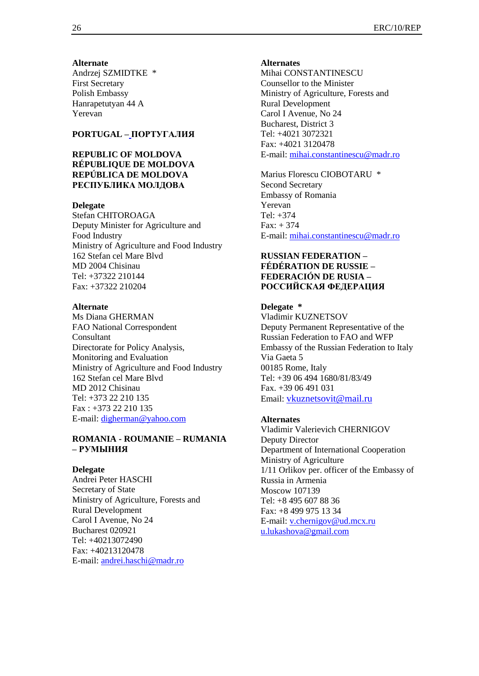#### **Alternate**

Andrzej SZMIDTKE \* First Secretary Polish Embassy Hanrapetutyan 44 A Yerevan

## **PORTUGAL – ПОРТУГАЛИЯ**

## **REPUBLIC OF MOLDOVA RÉPUBLIQUE DE MOLDOVA REPÚBLICA DE MOLDOVA РЕСПУБЛИКА МОЛДОВА**

### **Delegate**

Stefan CHITOROAGA Deputy Minister for Agriculture and Food Industry Ministry of Agriculture and Food Industry 162 Stefan cel Mare Blvd MD 2004 Chisinau Tel: +37322 210144 Fax: +37322 210204

### **Alternate**

Ms Diana GHERMAN FAO National Correspondent Consultant Directorate for Policy Analysis, Monitoring and Evaluation Ministry of Agriculture and Food Industry 162 Stefan cel Mare Blvd MD 2012 Chisinau Tel: +373 22 210 135 Fax : +373 22 210 135 E-mail: [digherman@yahoo.com](mailto:digherman@yahoo.com)

## **ROMANIA - ROUMANIE – RUMANIA – РУМЫНИЯ**

### **Delegate**

Andrei Peter HASCHI Secretary of State Ministry of Agriculture, Forests and Rural Development Carol I Avenue, No 24 Bucharest 020921 Tel: +40213072490 Fax: +40213120478 E-mail: [andrei.haschi@madr.ro](mailto:andrei.haschi@madr.ro)

#### **Alternates**

Mihai CONSTANTINESCU Counsellor to the Minister Ministry of Agriculture, Forests and Rural Development Carol I Avenue, No 24 Bucharest, District 3 Tel: +4021 3072321 Fax: +4021 3120478 E-mail: [mihai.constantinescu@madr.ro](mailto:mihai.constantinescu@madr.ro)

Marius Florescu CIOBOTARU \* Second Secretary Embassy of Romania Yerevan Tel: +374  $Fax: + 374$ E-mail: [mihai.constantinescu@madr.ro](mailto:mihai.constantinescu@madr.ro)

## **RUSSIAN FEDERATION – FÉDÉRATION DE RUSSIE – FEDERACIÓN DE RUSIA – РОССИЙСКАЯ ФЕДЕРАЦИЯ**

### **Delegate \***

Vladimir KUZNETSOV Deputy Permanent Representative of the Russian Federation to FAO and WFP Embassy of the Russian Federation to Italy Via Gaeta 5 00185 Rome, Italy Tel: +39 06 494 1680/81/83/49 Fax. +39 06 491 031 Email: [vkuznetsovit@mail.ru](mailto:vkuznetsovit@mail.ru)

## **Alternates**

Vladimir Valerievich CHERNIGOV Deputy Director Department of International Cooperation Ministry of Agriculture 1/11 Orlikov per. officer of the Embassy of Russia in Armenia Moscow 107139 Tel: +8 495 607 88 36 Fax: +8 499 975 13 34 E-mail: [v.chernigov@ud.mcx.ru](mailto:v.chernigov@ud.mcx.ru) [u.lukashova@gmail.com](mailto:u.lukashova@gmail.com)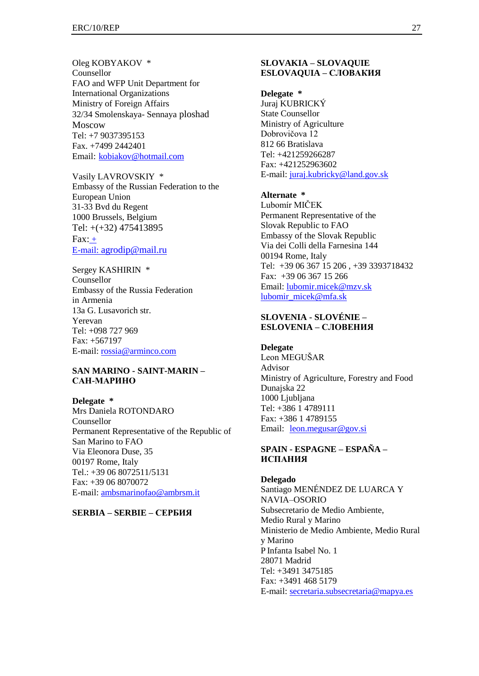Oleg KOBYAKOV \* Counsellor FAO and WFP Unit Department for International Organizations Ministry of Foreign Affairs 32/34 Smolenskaya- Sennaya ploshad Moscow Tel: +7 9037395153 Fax. +7499 2442401 Email: [kobiakov@hotmail.com](mailto:kobiakov@hotmail.com)

Vasily LAVROVSKIY \* Embassy of the Russian Federation to the European Union 31-33 Bvd du Regent 1000 Brussels, Belgium Tel: +(+32) 475413895  $Fax: +$ E-mail: [agrodip@mail.ru](mailto:agrodip@mail.ru)

Sergey KASHIRIN \* Counsellor Embassy of the Russia Federation in Armenia 13a G. Lusavorich str. Yerevan Tel: +098 727 969 Fax: +567197 E-mail: [rossia@arminco.com](mailto:rossia@arminco.com)

#### **SAN MARINO - SAINT-MARIN – САН-МАРИНО**

**Delegate \*** Mrs Daniela ROTONDARO Counsellor Permanent Representative of the Republic of San Marino to FAO Via Eleonora Duse, 35 00197 Rome, Italy Tel.: +39 06 8072511/5131 Fax: +39 06 8070072 E-mail: [ambsmarinofao@ambrsm.it](mailto:ambsmarinofao@ambrsm.it)

**SERBIA – SERBIE – СЕРБИЯ**

## **SLOVAKIA – SLOVAQUIE ESLOVAQUIA – СЛОВАКИЯ**

**Delegate \*** Juraj KUBRICKÝ State Counsellor Ministry of Agriculture Dobrovičova 12 812 66 Bratislava Tel: +421259266287 Fax: +421252963602 E-mail: [juraj.kubricky@land.gov.sk](mailto:juraj.kubricky@land.gov.sk)

#### **Alternate \***

Lubomír MIČEK Permanent Representative of the Slovak Republic to FAO Embassy of the Slovak Republic Via dei Colli della Farnesina 144 00194 Rome, Italy Tel: +39 06 367 15 206 , +39 3393718432 Fax: +39 06 367 15 266 Email: [lubomir.micek@mzv.sk](mailto:lubomir.micek@mzv.sk) [lubomir\\_micek@mfa.sk](mailto:lubomir_micek@mfa.sk)

## **SLOVENIA - SLOVÉNIE – ESLOVENIA – СЛОВЕНИЯ**

**Delegate** Leon MEGUŠAR Advisor Ministry of Agriculture, Forestry and Food Dunajska 22 1000 Ljubljana Tel: +386 1 4789111 Fax: +386 1 4789155 Email: <u>leon.megusar@go</u>v.si

## **SPAIN - ESPAGNE – ESPAÑA – ИСПАНИЯ**

**Delegado** Santiago MENÉNDEZ DE LUARCA Y NAVIA–OSORIO Subsecretario de Medio Ambiente, Medio Rural y Marino Ministerio de Medio Ambiente, Medio Rural y Marino P Infanta Isabel No. 1 28071 Madrid Tel: +3491 3475185 Fax: +3491 468 5179 E-mail: [secretaria.subsecretaria@mapya.es](mailto:secretaria.subsecretaria@mapya.es)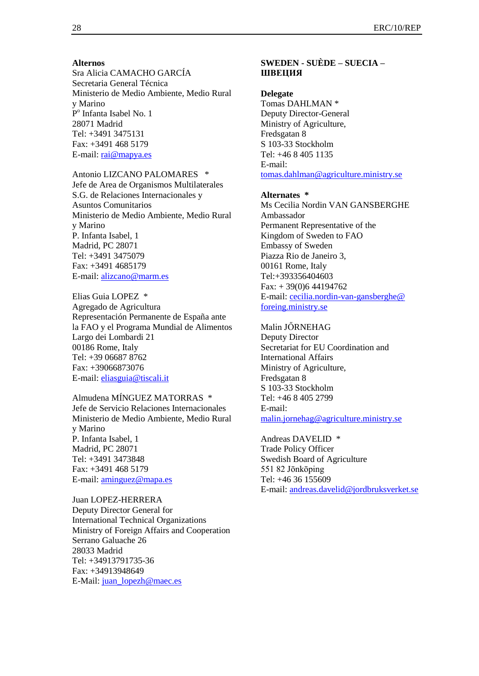#### **Alternos**

Sra Alicia CAMACHO GARCÍA Secretaria General Técnica Ministerio de Medio Ambiente, Medio Rural y Marino P<sup>o</sup> Infanta Isabel No. 1 28071 Madrid Tel: +3491 3475131 Fax: +3491 468 5179 E-mail: [rai@mapya.es](mailto:rai@mapya.es)

## Antonio LIZCANO PALOMARES \*

Jefe de Area de Organismos Multilaterales S.G. de Relaciones Internacionales y Asuntos Comunitarios Ministerio de Medio Ambiente, Medio Rural y Marino P. Infanta Isabel, 1 Madrid, PC 28071 Tel: +3491 3475079 Fax: +3491 4685179 E-mail: [alizcano@marm.es](mailto:alizcano@marm.es)

Elias Guia LOPEZ \* Agregado de Agricultura Representación Permanente de España ante la FAO y el Programa Mundial de Alimentos Largo dei Lombardi 21 00186 Rome, Italy Tel: +39 06687 8762 Fax: +39066873076 E-mail: [eliasguia@tiscali.it](mailto:eliasguia@tiscali.it)

Almudena MÍNGUEZ MATORRAS \* Jefe de Servicio Relaciones Internacionales Ministerio de Medio Ambiente, Medio Rural y Marino P. Infanta Isabel, 1 Madrid, PC 28071 Tel: +3491 3473848 Fax: +3491 468 5179 E-mail: [aminguez@mapa.es](mailto:aminguez@mapa.es)

Juan LOPEZ-HERRERA Deputy Director General for International Technical Organizations Ministry of Foreign Affairs and Cooperation Serrano Galuache 26 28033 Madrid Tel: +34913791735-36 Fax: +34913948649 E-Mail: [juan\\_lopezh@maec.es](mailto:juan_lopezh@maec.es)

## **SWEDEN - SUÈDE – SUECIA – ШВЕЦИЯ**

#### **Delegate**

Tomas DAHLMAN \* Deputy Director-General Ministry of Agriculture, Fredsgatan 8 S 103-33 Stockholm Tel: +46 8 405 1135 E-mail: [tomas.dahlman@agriculture.ministry.se](mailto:tomas.dahlman@agriculture.ministry.se)

#### **Alternates \***

Ms Cecilia Nordin VAN GANSBERGHE Ambassador Permanent Representative of the Kingdom of Sweden to FAO Embassy of Sweden Piazza Rio de Janeiro 3, 00161 Rome, Italy Tel:+393356404603  $Fax: + 39(0)644194762$ E-mail: cecilia.nordin-van-gansberghe@ foreing.ministry.se

### Malin JŐRNEHAG

Deputy Director Secretariat for EU Coordination and International Affairs Ministry of Agriculture, Fredsgatan 8 S 103-33 Stockholm Tel: +46 8 405 2799 E-mail: [malin.jornehag@agriculture.ministry.se](mailto:malin.jornehag@agriculture.ministry.se)

Andreas DAVELID \* Trade Policy Officer Swedish Board of Agriculture 551 82 Jōnkōping Tel: +46 36 155609 E-mail: [andreas.davelid@jordbruksverket.se](mailto:andreas.davelid@jordbruksverket.se)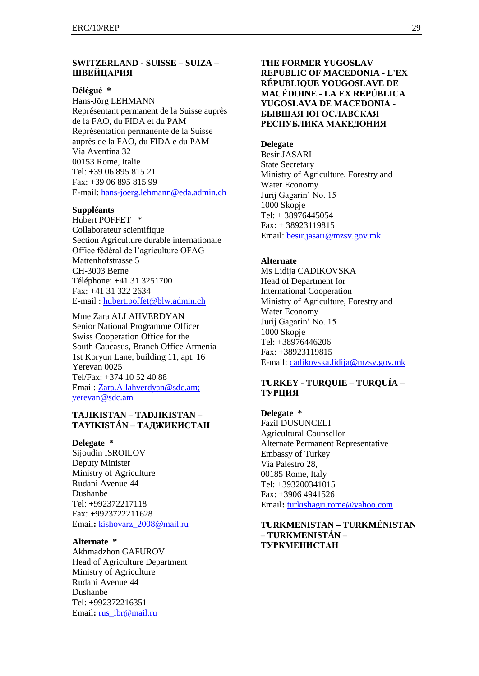### **SWITZERLAND - SUISSE – SUIZA – ШВЕЙЦАРИЯ**

#### **Délégué \***

Hans-Jörg LEHMANN Représentant permanent de la Suisse auprès de la FAO, du FIDA et du PAM Représentation permanente de la Suisse auprès de la FAO, du FIDA e du PAM Via Aventina 32 00153 Rome, Italie Tel: +39 06 895 815 21 Fax: +39 06 895 815 99 E-mail: [hans-joerg.lehmann@eda.admin.ch](mailto:hansjoerg.lehmann@eda.admin.ch)

## **Suppléants**

Hubert POFFET \* Collaborateur scientifique Section Agriculture durable internationale Office fédéral de l'agriculture OFAG Mattenhofstrasse 5 CH-3003 Berne Téléphone: +41 31 3251700 Fax: +41 31 322 2634 E-mail : [hubert.poffet@blw.admin.ch](mailto:hubert.poffet@blw.admin.ch)

Mme Zara ALLAHVERDYAN Senior National Programme Officer Swiss Cooperation Office for the South Caucasus, Branch Office Armenia 1st Koryun Lane, building 11, apt. 16 Yerevan 0025 Tel/Fax: +374 10 52 40 88 Email: [Zara.Allahverdyan@sdc.am;](mailto:Zara.Allahverdyan@sdc.am) [yerevan@sdc.am](mailto:yerevan@sdc.am)

#### **TAJIKISTAN – TADJIKISTAN – TAYIKISTÁN – ТАДЖИКИСТАН**

## **Delegate \***

Sijoudin ISROILOV Deputy Minister Ministry of Agriculture Rudani Avenue 44 Dushanbe Tel: +992372217118 Fax: +9923722211628 Email**:** [kishovarz\\_2008@mail.ru](mailto:kishovarz_2008@mail.ru)

## **Alternate \***

Akhmadzhon GAFUROV Head of Agriculture Department Ministry of Agriculture Rudani Avenue 44 Dushanbe Tel: +992372216351 Email: [rus\\_ibr@mail.ru](mailto:rus_ibr@mail.ru)

## **THE FORMER YUGOSLAV REPUBLIC OF MACEDONIA - L'EX RÉPUBLIQUE YOUGOSLAVE DE MACÉDOINE - LA EX REPÚBLICA YUGOSLAVA DE MACEDONIA - БЫВШАЯ ЮГОСЛАВСКАЯ РЕСПУБЛИКА МАКЕДОНИЯ**

#### **Delegate**

Besir JASARI State Secretary Ministry of Agriculture, Forestry and Water Economy Jurij Gagarin' No. 15 1000 Skopje Tel: + 38976445054 Fax: + 38923119815 Email: [besir.jasari@mzsv.gov.mk](mailto:besir.jasari@mzsv.gov.mk)

#### **Alternate**

Ms Lidija CADIKOVSKA Head of Department for International Cooperation Ministry of Agriculture, Forestry and Water Economy Jurij Gagarin' No. 15 1000 Skopje Tel: +38976446206 Fax: +38923119815 E-mail: [cadikovska.lidija@mzsv.gov.mk](mailto:cadikovska.lidija@mzsv.gov.mk)

## **TURKEY - TURQUIE – TURQUÍA – ТУРЦИЯ**

**Delegate \*** Fazil DUSUNCELI Agricultural Counsellor Alternate Permanent Representative Embassy of Turkey Via Palestro 28, 00185 Rome, Italy Tel: +393200341015 Fax: +3906 4941526 Email**:** [turkishagri.rome@yahoo.com](mailto:turkishagri.rome@yahoo.com,)

## **TURKMENISTAN – TURKMÉNISTAN – TURKMENISTÁN – ТУРКМЕНИСТАН**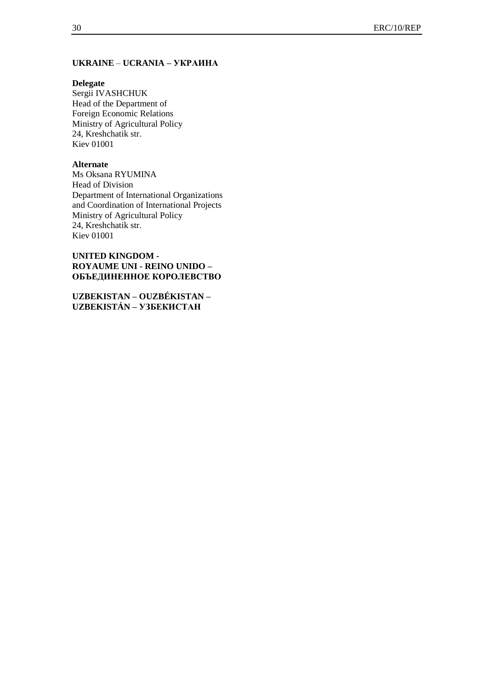## **UKRAINE** – **UCRANIA – УКРАИНА**

## **Delegate**

Sergii IVASHCHUK Head of the Department of Foreign Economic Relations Ministry of Agricultural Policy 24, Kreshchatik str. Kiev 01001

### **Alternate**

Ms Oksana RYUMINA Head of Division Department of International Organizations and Coordination of International Projects Ministry of Agricultural Policy 24, Kreshchatik str. Kiev 01001

## **UNITED KINGDOM - ROYAUME UNI - REINO UNIDO – ОБЪЕДИНЕННОЕ КОРОЛЕВСТВО**

**UZBEKISTAN – OUZBÉKISTAN – UZBEKISTÁN – УЗБЕКИСТАН**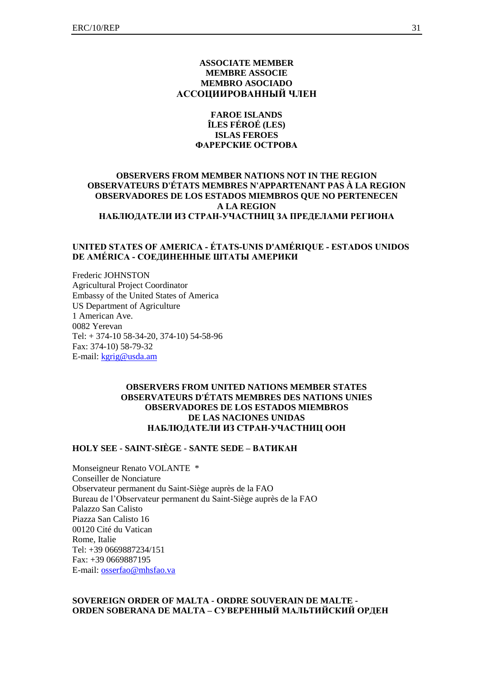#### **ASSOCIATE MEMBER MEMBRE ASSOCIE MEMBRO ASOCIADO АССОЦИИРОВАННЫЙ ЧЛЕН**

#### **FAROE ISLANDS ÎLES FÉROÉ (LES) ISLAS FEROES ФАРЕРСКИЕ ОСТРОВА**

#### **OBSERVERS FROM MEMBER NATIONS NOT IN THE REGION OBSERVATEURS D'ÉTATS MEMBRES N'APPARTENANT PAS À LA REGION OBSERVADORES DE LOS ESTADOS MIEMBROS QUE NO PERTENECEN A LA REGION НАБЛЮДАТЕЛИ ИЗ СТРАН-УЧАСТНИЦ ЗА ПРЕДЕЛАМИ РЕГИОНА**

#### **UNITED STATES OF AMERICA - ÉTATS-UNIS [D'AMÉRIQUE](javascript:ajaxpage() - [ESTADOS](javascript:ajaxpage() UNIDOS DE [AMÉRICA](javascript:ajaxpage() - [СОЕДИНЕННЫЕШТАТЫАМЕРИКИ](javascript:ajaxpage()**

Frederic JOHNSTON Agricultural Project Coordinator Embassy of the United States of America US Department of Agriculture 1 American Ave. 0082 Yerevan Tel: + 374-10 58-34-20, 374-10) 54-58-96 Fax: 374-10) 58-79-32 E-mail[: kgrig@usda.am](mailto:kgrig@usda.am)

#### **OBSERVERS FROM UNITED NATIONS MEMBER STATES OBSERVATEURS D'ÉTATS MEMBRES DES NATIONS UNIES OBSERVADORES DE LOS ESTADOS MIEMBROS DE LAS NACIONES UNIDAS НАБЛЮДАТЕЛИ ИЗ СТРАН-УЧАСТНИЦ ООН**

#### **HOLY SEE - SAINT-SIÈGE - SANTE SEDE – ВАТИКАН**

Monseigneur Renato VOLANTE \* Conseiller de Nonciature Observateur permanent du Saint-Siège auprès de la FAO Bureau de l'Observateur permanent du Saint-Siège auprès de la FAO Palazzo San Calisto Piazza San Calisto 16 00120 Cité du Vatican Rome, Italie Tel: +39 0669887234/151 Fax: +39 0669887195 E-mail[: osserfao@mhsfao.va](mailto:osserfao@mhsfao.va)

#### **SOVEREIGN ORDER OF MALTA - ORDRE SOUVERAIN DE MALTE - ORDEN SOBERANA DE MALTA – СУВЕРЕННЫЙ МАЛЬТИЙСКИЙ ОРДЕН**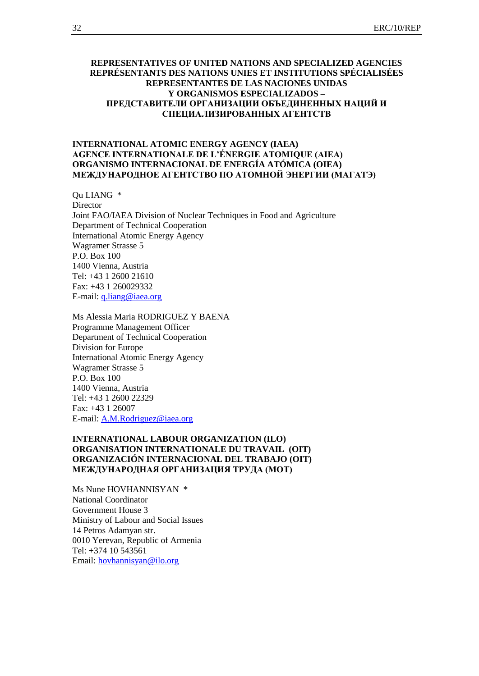#### **REPRESENTATIVES OF UNITED NATIONS AND SPECIALIZED AGENCIES REPRÉSENTANTS DES NATIONS UNIES ET INSTITUTIONS SPÉCIALISÉES REPRESENTANTES DE LAS NACIONES UNIDAS Y ORGANISMOS ESPECIALIZADOS – ПРЕДСТАВИТЕЛИ ОРГАНИЗАЦИИ ОБЪЕДИНЕННЫХ НАЦИЙ И СПЕЦИАЛИЗИРОВАННЫХ АГЕНТСТВ**

#### **INTERNATIONAL ATOMIC ENERGY AGENCY (IAEA) AGENCE INTERNATIONALE DE L'ÉNERGIE ATOMIQUE (AIEA) ORGANISMO INTERNACIONAL DE ENERGÍA ATÓMICA (OIEA) МЕЖДУНАРОДНОЕ АГЕНТСТВО ПО АТОМНОЙ ЭНЕРГИИ (МАГАТЭ)**

Qu LIANG \* **Director** Joint FAO/IAEA Division of Nuclear Techniques in Food and Agriculture Department of Technical Cooperation International Atomic Energy Agency Wagramer Strasse 5 P.O. Box 100 1400 Vienna, Austria Tel: +43 1 2600 21610 Fax: +43 1 260029332 E-mail[: q.liang@iaea.org](mailto:q.liang@iaea.org)

Ms Alessia Maria RODRIGUEZ Y BAENA Programme Management Officer Department of Technical Cooperation Division for Europe International Atomic Energy Agency Wagramer Strasse 5 P.O. Box 100 1400 Vienna, Austria Tel: +43 1 2600 22329 Fax: +43 1 26007 E-mail[: A.M.Rodriguez@iaea.org](mailto:A.M.Rodriguez@iaea.org)

#### **INTERNATIONAL LABOUR ORGANIZATION (ILO) ORGANISATION INTERNATIONALE DU TRAVAIL (OIT) ORGANIZACIÓN INTERNACIONAL DEL TRABAJO (OIT) МЕЖДУНАРОДНАЯ ОРГАНИЗАЦИЯ ТРУДА (МОТ)**

Ms Nune HOVHANNISYAN \* National Coordinator Government House 3 Ministry of Labour and Social Issues 14 Petros Adamyan str. 0010 Yerevan, Republic of Armenia Tel: +374 10 543561 Email: [hovhannisyan@ilo.org](mailto:hovhannisyan@ilo.org)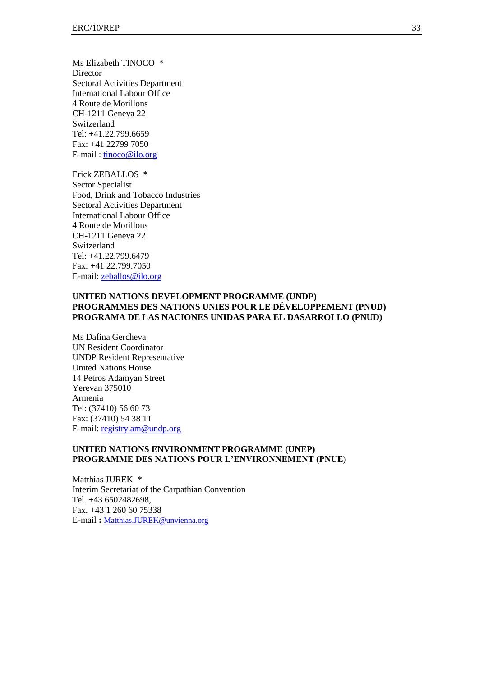Ms Elizabeth TINOCO \* **Director** Sectoral Activities Department International Labour Office 4 Route de Morillons CH-1211 Geneva 22 Switzerland Tel: +41.22.799.6659 Fax: +41 22799 7050 E-mail : [tinoco@ilo.org](mailto:flores-girod@ilo.org)

Erick ZEBALLOS \* Sector Specialist Food, Drink and Tobacco Industries Sectoral Activities Department International Labour Office 4 Route de Morillons CH-1211 Geneva 22 Switzerland Tel: +41.22.799.6479 Fax: +41 22.799.7050 E-mail[: zeballos@ilo.org](mailto:flores-girod@ilo.org)

## **UNITED NATIONS DEVELOPMENT PROGRAMME (UNDP) PROGRAMMES DES NATIONS UNIES POUR LE DÉVELOPPEMENT (PNUD) PROGRAMA DE LAS NACIONES UNIDAS PARA EL DASARROLLO (PNUD)**

Ms Dafina Gercheva UN Resident Coordinator UNDP Resident Representative United Nations House 14 Petros Adamyan Street Yerevan 375010 Armenia Tel: (37410) 56 60 73 Fax: (37410) 54 38 11 E-mail[: registry.am@undp.org](mailto:registry.am@undp.org)

#### **UNITED NATIONS ENVIRONMENT PROGRAMME (UNEP) PROGRAMME DES NATIONS POUR L'ENVIRONNEMENT (PNUE)**

Matthias JUREK \* Interim Secretariat of the Carpathian Convention Tel. +43 6502482698, Fax. +43 1 260 60 75338 E-mail **:** [Matthias.JUREK@unvienna.org](mailto:Matthias.JUREK@unvienna.org)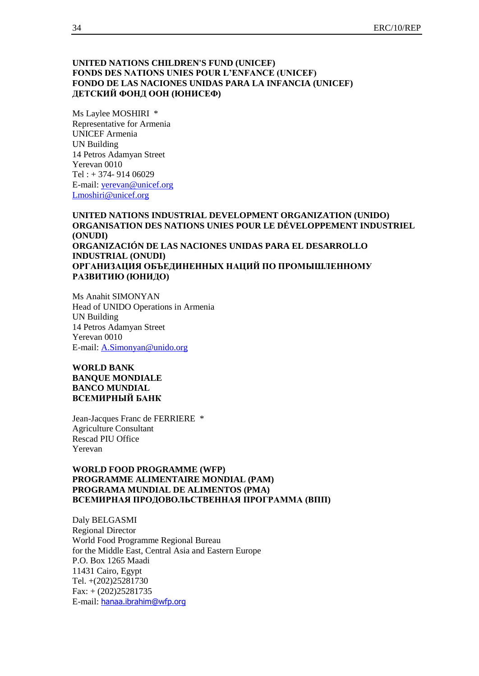#### **UNITED NATIONS CHILDREN'S FUND (UNICEF) FONDS DES NATIONS UNIES POUR L'ENFANCE (UNICEF) FONDO DE LAS NACIONES UNIDAS PARA LA INFANCIA (UNICEF) ДЕТСКИЙ ФОНД ООН (ЮНИСЕФ)**

Ms Laylee MOSHIRI \* Representative for Armenia UNICEF Armenia UN Building 14 Petros Adamyan Street Yerevan 0010 Tel : + 374- 914 06029 E-mail[: yerevan@unicef.org](mailto:yerevan@unicef.org) [Lmoshiri@unicef.org](mailto:Lmoshiri@unicef.org)

**UNITED NATIONS INDUSTRIAL DEVELOPMENT ORGANIZATION (UNIDO) ORGANISATION DES NATIONS UNIES POUR LE DÉVELOPPEMENT INDUSTRIEL (ONUDI) ORGANIZACIÓN DE LAS NACIONES UNIDAS PARA EL DESARROLLO INDUSTRIAL (ONUDI) ОРГАНИЗАЦИЯ ОБЪЕДИНЕННЫХ НАЦИЙ ПО ПРОМЫШЛЕННОМУ РАЗВИТИЮ (ЮНИДО)**

Ms Anahit SIMONYAN Head of UNIDO Operations in Armenia UN Building 14 Petros Adamyan Street Yerevan 0010 E-mail[: A.Simonyan@unido.org](mailto:A.Simonyan@unido.org)

**WORLD BANK BANQUE MONDIALE BANCO MUNDIAL ВСЕМИРНЫЙ БАНК**

Jean-Jacques Franc de FERRIERE \* Agriculture Consultant Rescad PIU Office Yerevan

#### **WORLD FOOD PROGRAMME (WFP) PROGRAMME ALIMENTAIRE MONDIAL (PAM) PROGRAMA MUNDIAL DE ALIMENTOS (PMA) ВСЕМИРНАЯ ПРОДОВОЛЬСТВЕННАЯ ПРОГРАММА (ВПП)**

Daly BELGASMI Regional Director World Food Programme Regional Bureau for the Middle East, Central Asia and Eastern Europe P.O. Box 1265 Maadi 11431 Cairo, Egypt Tel. +(202)25281730 Fax: + (202)25281735 E-mail: [hanaa.ibrahim@wfp.org](mailto:hanaa.ibrahim@wfp.org)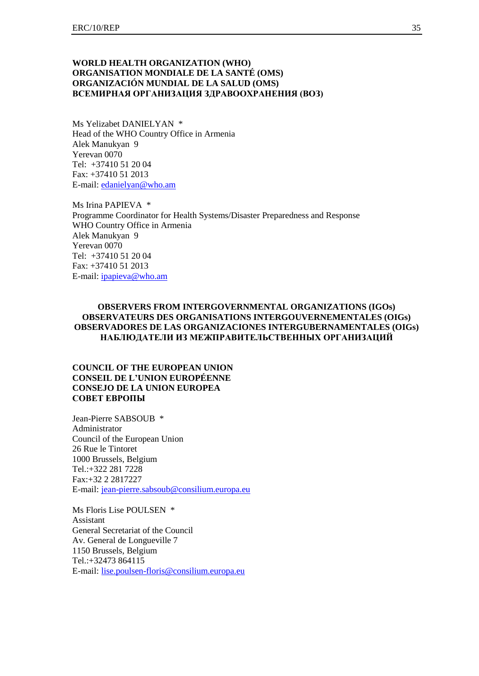#### **WORLD HEALTH ORGANIZATION (WHO) ORGANISATION MONDIALE DE LA SANTÉ (OMS) ORGANIZACIÓN MUNDIAL DE LA SALUD (OMS) ВСЕМИРНАЯ ОРГАНИЗАЦИЯ ЗДРАВООХРАНЕНИЯ (ВОЗ)**

Ms Yelizabet DANIELYAN \* Head of the WHO Country Office in Armenia Alek Manukyan 9 Yerevan 0070 Tel: +37410 51 20 04 Fax: +37410 51 2013 E-mail[: edanielyan@who.am](mailto:edanielyan@who.am)

Ms Irina PAPIEVA \* Programme Coordinator for Health Systems/Disaster Preparedness and Response WHO Country Office in Armenia Alek Manukyan 9 Yerevan 0070 Tel: +37410 51 20 04 Fax: +37410 51 2013 E-mail[: ipapieva@who.am](mailto:ipapieva@who.am)

#### **OBSERVERS FROM INTERGOVERNMENTAL ORGANIZATIONS (IGOs) OBSERVATEURS DES ORGANISATIONS INTERGOUVERNEMENTALES (OIGs) OBSERVADORES DE LAS ORGANIZACIONES INTERGUBERNAMENTALES (OIGs) НАБЛЮДАТЕЛИ ИЗ МЕЖПРАВИТЕЛЬСТВЕННЫХ ОРГАНИЗАЦИЙ**

### **COUNCIL OF THE EUROPEAN UNION CONSEIL DE L'UNION EUROPÉENNE CONSEJO DE LA UNION EUROPEA СОВЕТ ЕВРОПЫ**

Jean-Pierre SABSOUB \* Administrator Council of the European Union 26 Rue le Tintoret 1000 Brussels, Belgium Tel.:+322 281 7228 Fax:+32 2 2817227 E-mail: [jean-pierre.sabsoub@consilium.europa.eu](mailto:jean-pierre.sabsoub@consilium.europa.eu)

Ms Floris Lise POULSEN \* Assistant General Secretariat of the Council Av. General de Longueville 7 1150 Brussels, Belgium Tel.:+32473 864115 E-mail: [lise.poulsen-floris@consilium.europa.eu](mailto:lise.poulsen-floris@consilium.europa.eu)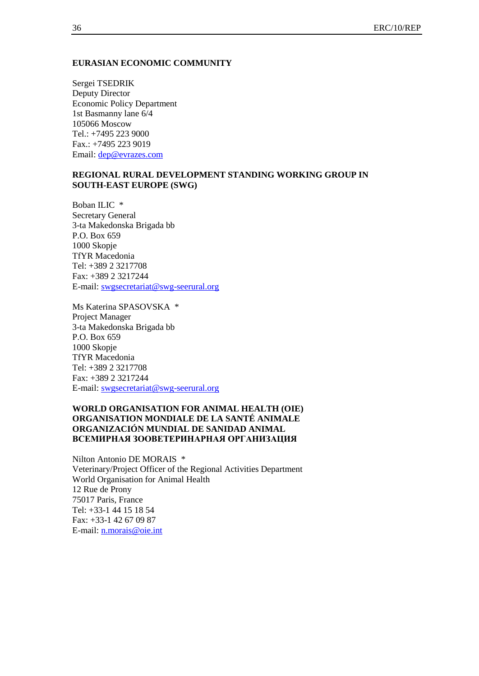#### **EURASIAN ECONOMIC COMMUNITY**

Sergei TSEDRIK Deputy Director Economic Policy Department 1st Basmanny lane 6/4 105066 Moscow Tel.: +7495 223 9000 Fax.: +7495 223 9019 Email: [dep@evrazes.com](mailto:dep@evrazes.com)

#### **REGIONAL RURAL DEVELOPMENT STANDING WORKING GROUP IN SOUTH-EAST EUROPE (SWG)**

Boban ILIC \* Secretary General 3-ta Makedonska Brigada bb P.O. Box 659 1000 Skopje TfYR Macedonia Tel: +389 2 3217708 Fax: +389 2 3217244 E-mail[: swgsecretariat@swg-seerural.org](mailto:swgsecretariat@swg-seerural.org)

Ms Katerina SPASOVSKA \* Project Manager 3-ta Makedonska Brigada bb P.O. Box 659 1000 Skopje TfYR Macedonia Tel: +389 2 3217708 Fax: +389 2 3217244 E-mail[: swgsecretariat@swg-seerural.org](mailto:swgsecretariat@swg-seerural.org)

## **WORLD ORGANISATION FOR ANIMAL HEALTH (OIE) ORGANISATION MONDIALE DE LA SANTÉ ANIMALE ORGANIZACIÓN MUNDIAL DE SANIDAD ANIMAL ВСЕМИРНАЯ ЗООВЕТЕРИНАРНАЯ ОРГАНИЗАЦИЯ**

Nilton Antonio DE MORAIS \* Veterinary/Project Officer of the Regional Activities Department World Organisation for Animal Health 12 Rue de Prony 75017 Paris, France Tel: +33-1 44 15 18 54 Fax: +33-1 42 67 09 87 E-mail[: n.morais@oie.int](mailto:n.morais@oie.int)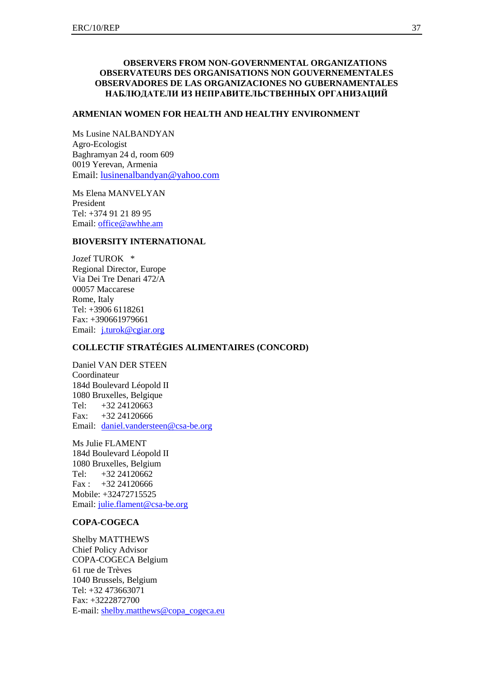#### **OBSERVERS FROM NON-GOVERNMENTAL ORGANIZATIONS OBSERVATEURS DES ORGANISATIONS NON GOUVERNEMENTALES OBSERVADORES DE LAS ORGANIZACIONES NO GUBERNAMENTALES НАБЛЮДАТЕЛИ ИЗ НЕПРАВИТЕЛЬСТВЕННЫХ ОРГАНИЗАЦИЙ**

#### **ARMENIAN WOMEN FOR HEALTH AND HEALTHY ENVIRONMENT**

Ms Lusine NALBANDYAN Agro-Ecologist Baghramyan 24 d, room 609 0019 Yerevan, Armenia Email: [lusinenalbandyan@yahoo.com](mailto:lusinenalbandyan@yahoo.com)

Ms Elena MANVELYAN President Tel: +374 91 21 89 95 Email: [office@awhhe.am](mailto:office@awhhe.am)

#### **BIOVERSITY INTERNATIONAL**

Jozef TUROK \* Regional Director, Europe Via Dei Tre Denari 472/A 00057 Maccarese Rome, Italy Tel: +3906 6118261 Fax: +390661979661 Email: [j.turok@cgiar.org](mailto:j.turok@cgiar.org)

## **COLLECTIF STRATÉGIES ALIMENTAIRES (CONCORD)**

Daniel VAN DER STEEN Coordinateur 184d Boulevard Léopold II 1080 Bruxelles, Belgique Tel:  $+32\,24120663$ Fax: +32 24120666 Email: [daniel.vandersteen@csa-be.org](mailto:daniel.vandersteen@csa-be.org)

Ms Julie FLAMENT 184d Boulevard Léopold II 1080 Bruxelles, Belgium Tel: +32 24120662  $Fax: +32 24120666$ Mobile: +32472715525 Email: [julie.flament@csa-be.org](mailto:julie.flament@csa-be.org)

## **COPA-COGECA**

Shelby MATTHEWS Chief Policy Advisor COPA-COGECA Belgium 61 rue de Trèves 1040 Brussels, Belgium Tel: +32 473663071 Fax: +3222872700 E-mail[: shelby.matthews@copa\\_cogeca.eu](mailto:shelby.matthews@copa_cogeca.eu)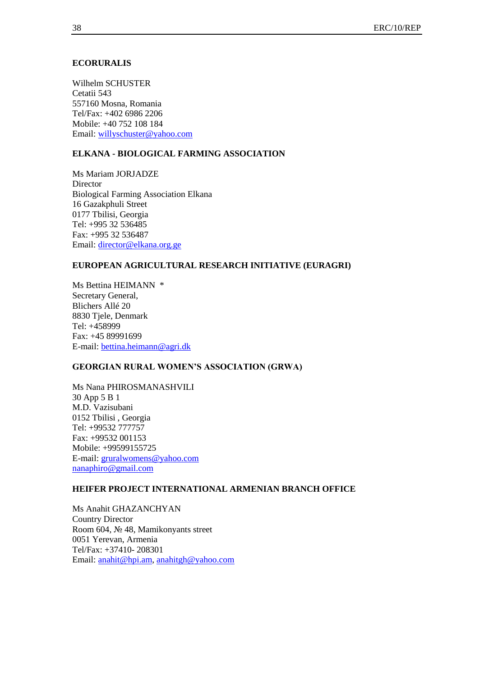#### **ECORURALIS**

Wilhelm SCHUSTER Cetatii 543 557160 Mosna, Romania Tel/Fax: +402 6986 2206 Mobile: +40 752 108 184 Email: [willyschuster@yahoo.com](mailto:willyschuster@yahoo.com)

#### **ELKANA - BIOLOGICAL FARMING ASSOCIATION**

Ms Mariam JORJADZE **Director** Biological Farming Association Elkana 16 Gazakphuli Street 0177 Tbilisi, Georgia Tel: +995 32 536485 Fax: +995 32 536487 Email: [director@elkana.org.ge](mailto:director@elkana.org.ge)

#### **EUROPEAN AGRICULTURAL RESEARCH INITIATIVE (EURAGRI)**

Ms Bettina HEIMANN \* Secretary General, Blichers Allé 20 8830 Tjele, Denmark Tel: +458999 Fax: +45 89991699 E-mail[: bettina.heimann@agri.dk](mailto:bettina.heimann@agri.dk)

## **GEORGIAN RURAL WOMEN'S ASSOCIATION (GRWA)**

Ms Nana PHIROSMANASHVILI 30 App 5 B 1 M.D. Vazisubani 0152 Tbilisi , Georgia Tel: +99532 777757 Fax: +99532 001153 Mobile: +99599155725 E-mail[: gruralwomens@yahoo.com](mailto:gruralwomens@yahoo.com) [nanaphiro@gmail.com](mailto:nanaphiro@gmail.com)

## **HEIFER PROJECT INTERNATIONAL ARMENIAN BRANCH OFFICE**

Ms Anahit GHAZANCHYAN Country Director Room 604, № 48, Mamikonyants street 0051 Yerevan, Armenia Tel/Fax: +37410- 208301 Email: [anahit@hpi.am,](mailto:anahit@hpi.am) [anahitgh@yahoo.com](mailto:anahitgh@yahoo.com)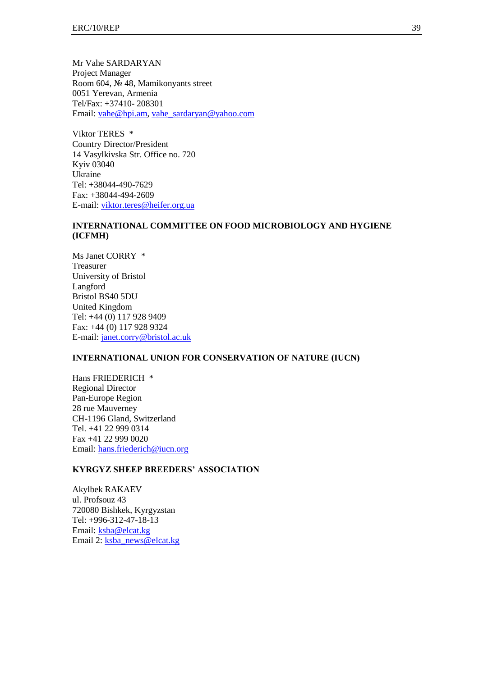Mr Vahe SARDARYAN Project Manager Room 604, № 48, Mamikonyants street 0051 Yerevan, Armenia Tel/Fax: +37410- 208301 Email: [vahe@hpi.am,](mailto:vahe@hpi.am) [vahe\\_sardaryan@yahoo.com](mailto:vahe_sardaryan@yahoo.com)

Viktor TERES \* Country Director/President 14 Vasylkivska Str. Office no. 720 Kyiv 03040 Ukraine Tel: +38044-490-7629 Fax: +38044-494-2609 E-mail[: viktor.teres@heifer.org.ua](mailto:viktor.teres@heifer.org.ua)

## **INTERNATIONAL COMMITTEE ON FOOD MICROBIOLOGY AND HYGIENE (ICFMH)**

Ms Janet CORRY \* Treasurer University of Bristol Langford Bristol BS40 5DU United Kingdom Tel: +44 (0) 117 928 9409 Fax: +44 (0) 117 928 9324 E-mail[: janet.corry@bristol.ac.uk](mailto:janet.corry@bristol.ac.uk)

#### **INTERNATIONAL UNION FOR CONSERVATION OF NATURE (IUCN)**

Hans FRIEDERICH \* Regional Director Pan-Europe Region 28 rue Mauverney CH-1196 Gland, Switzerland Tel. +41 22 999 0314 Fax +41 22 999 0020 Email: [hans.friederich@iucn.org](mailto:hans.friederich@iucn.org)

## **KYRGYZ SHEEP BREEDERS' ASSOCIATION**

Akylbek RAKAEV ul. Profsouz 43 720080 Bishkek, Kyrgyzstan Tel: +996-312-47-18-13 Email: [ksba@elcat.kg](mailto:ksba@elcat.kg) Email 2: [ksba\\_news@elcat.kg](mailto:ksba_news@elcat.kg)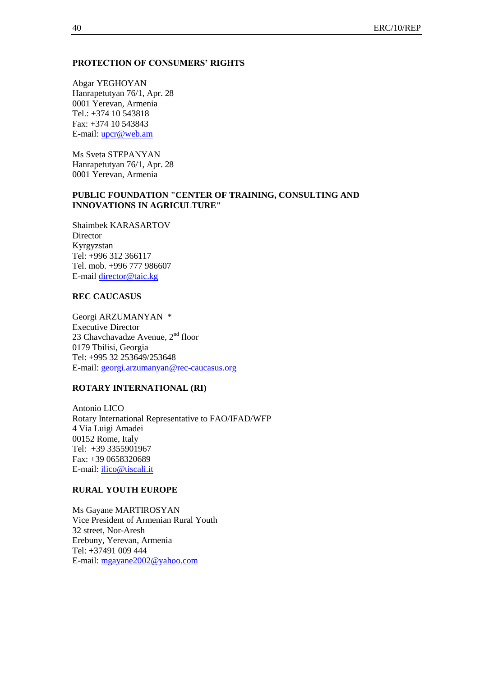#### **PROTECTION OF CONSUMERS' RIGHTS**

Abgar YEGHOYAN Hanrapetutyan 76/1, Apr. 28 0001 Yerevan, Armenia Tel.: +374 10 543818 Fax: +374 10 543843 E-mail[: upcr@web.am](mailto:upcr@web.am)

Ms Sveta STEPANYAN Hanrapetutyan 76/1, Apr. 28 0001 Yerevan, Armenia

### **PUBLIC FOUNDATION "CENTER OF TRAINING, CONSULTING AND INNOVATIONS IN AGRICULTURE"**

Shaimbek KARASARTOV Director Kyrgyzstan Tel: +996 312 366117 Tel. mob. +996 777 986607 E-mail [director@taic.kg](mailto:director@taic.kg)

# **REC CAUCASUS**

Georgi ARZUMANYAN \* Executive Director 23 Chavchavadze Avenue,  $2<sup>nd</sup>$  floor 0179 Tbilisi, Georgia Tel: +995 32 253649/253648 E-mail[: georgi.arzumanyan@rec-caucasus.org](mailto:georgi.arzumanyan@rec-caucasus.org)

#### **ROTARY INTERNATIONAL (RI)**

Antonio LICO Rotary International Representative to FAO/IFAD/WFP 4 Via Luigi Amadei 00152 Rome, Italy Tel: +39 3355901967 Fax: +39 0658320689 E-mail: *ilico@tiscali.it* 

#### **RURAL YOUTH EUROPE**

Ms Gayane MARTIROSYAN Vice President of Armenian Rural Youth 32 street, Nor-Aresh Erebuny, Yerevan, Armenia Tel: +37491 009 444 E-mail[: mgayane2002@yahoo.com](mailto:mgayane2002@yahoo.com)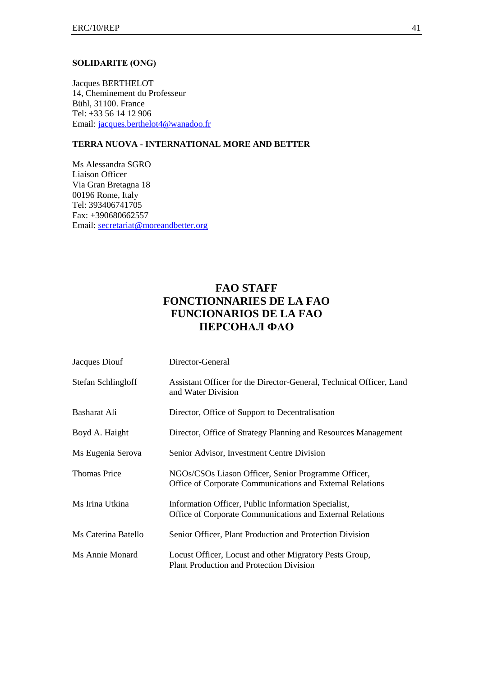#### **SOLIDARITE (ONG)**

Jacques BERTHELOT 14, Cheminement du Professeur Bühl, 31100. France Tel: +33 56 14 12 906 Email: [jacques.berthelot4@wanadoo.fr](mailto:jacques.berthelot4@wanadoo.fr)

# **TERRA NUOVA - INTERNATIONAL MORE AND BETTER**

Ms Alessandra SGRO Liaison Officer Via Gran Bretagna 18 00196 Rome, Italy Tel: 393406741705 Fax: +390680662557 Email: [secretariat@moreandbetter.org](mailto:secretariat@moreandbetter.org)

# **FAO STAFF FONCTIONNARIES DE LA FAO FUNCIONARIOS DE LA FAO ПЕРСОНАЛ ФАО**

| Jacques Diouf       | Director-General                                                                                                 |
|---------------------|------------------------------------------------------------------------------------------------------------------|
| Stefan Schlingloff  | Assistant Officer for the Director-General, Technical Officer, Land<br>and Water Division                        |
| Basharat Ali        | Director, Office of Support to Decentralisation                                                                  |
| Boyd A. Haight      | Director, Office of Strategy Planning and Resources Management                                                   |
| Ms Eugenia Serova   | Senior Advisor, Investment Centre Division                                                                       |
| <b>Thomas Price</b> | NGOs/CSOs Liason Officer, Senior Programme Officer,<br>Office of Corporate Communications and External Relations |
| Ms Irina Utkina     | Information Officer, Public Information Specialist,<br>Office of Corporate Communications and External Relations |
| Ms Caterina Batello | Senior Officer, Plant Production and Protection Division                                                         |
| Ms Annie Monard     | Locust Officer, Locust and other Migratory Pests Group,<br><b>Plant Production and Protection Division</b>       |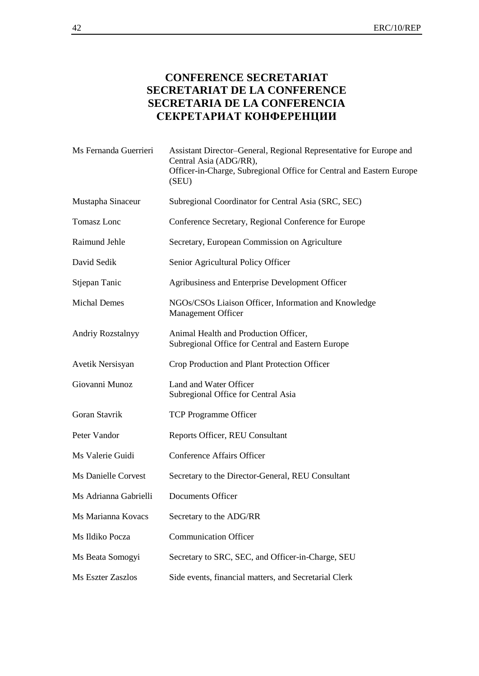# **CONFERENCE SECRETARIAT SECRETARIAT DE LA CONFERENCE SECRETARIA DE LA CONFERENCIA СЕКРЕТАРИАТ КОНФЕРЕНЦИИ**

| Ms Fernanda Guerrieri      | Assistant Director-General, Regional Representative for Europe and<br>Central Asia (ADG/RR),<br>Officer-in-Charge, Subregional Office for Central and Eastern Europe<br>(SEU) |
|----------------------------|-------------------------------------------------------------------------------------------------------------------------------------------------------------------------------|
| Mustapha Sinaceur          | Subregional Coordinator for Central Asia (SRC, SEC)                                                                                                                           |
| Tomasz Lonc                | Conference Secretary, Regional Conference for Europe                                                                                                                          |
| Raimund Jehle              | Secretary, European Commission on Agriculture                                                                                                                                 |
| David Sedik                | Senior Agricultural Policy Officer                                                                                                                                            |
| Stjepan Tanic              | Agribusiness and Enterprise Development Officer                                                                                                                               |
| <b>Michal Demes</b>        | NGOs/CSOs Liaison Officer, Information and Knowledge<br><b>Management Officer</b>                                                                                             |
| Andriy Rozstalnyy          | Animal Health and Production Officer,<br>Subregional Office for Central and Eastern Europe                                                                                    |
| Avetik Nersisyan           | Crop Production and Plant Protection Officer                                                                                                                                  |
| Giovanni Munoz             | Land and Water Officer<br>Subregional Office for Central Asia                                                                                                                 |
| Goran Stavrik              | <b>TCP Programme Officer</b>                                                                                                                                                  |
| Peter Vandor               | Reports Officer, REU Consultant                                                                                                                                               |
| Ms Valerie Guidi           | <b>Conference Affairs Officer</b>                                                                                                                                             |
| <b>Ms Danielle Corvest</b> | Secretary to the Director-General, REU Consultant                                                                                                                             |
| Ms Adrianna Gabrielli      | <b>Documents Officer</b>                                                                                                                                                      |
| Ms Marianna Kovacs         | Secretary to the ADG/RR                                                                                                                                                       |
| Ms Ildiko Pocza            | <b>Communication Officer</b>                                                                                                                                                  |
| Ms Beata Somogyi           | Secretary to SRC, SEC, and Officer-in-Charge, SEU                                                                                                                             |
| Ms Eszter Zaszlos          | Side events, financial matters, and Secretarial Clerk                                                                                                                         |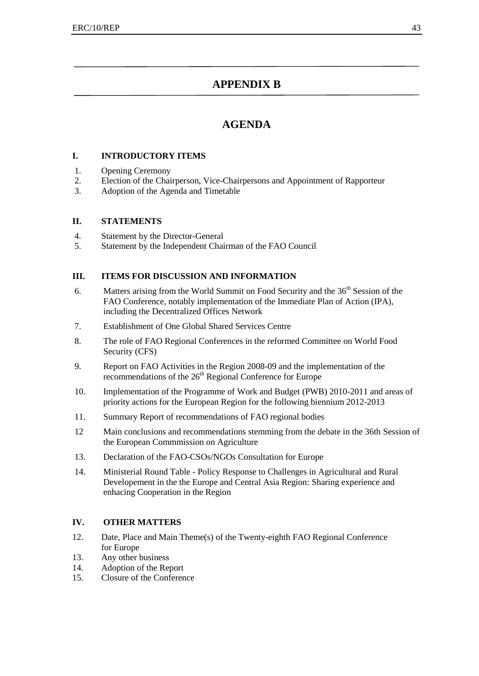# **APPENDIX B**

# **AGENDA**

## **I. INTRODUCTORY ITEMS**

- 1. Opening Ceremony
- 2. Election of the Chairperson, Vice-Chairpersons and Appointment of Rapporteur
- 3. Adoption of the Agenda and Timetable

# **II. STATEMENTS**

- 4. Statement by the Director-General
- 5. Statement by the Independent Chairman of the FAO Council

# **III. ITEMS FOR DISCUSSION AND INFORMATION**

- 6. Matters arising from the World Summit on Food Security and the  $36<sup>th</sup>$  Session of the FAO Conference, notably implementation of the Immediate Plan of Action (IPA), including the Decentralized Offices Network
- 7. Establishment of One Global Shared Services Centre
- 8. The role of FAO Regional Conferences in the reformed Committee on World Food Security (CFS)
- 9. Report on FAO Activities in the Region 2008-09 and the implementation of the recommendations of the 26<sup>th</sup> Regional Conference for Europe
- 10. Implementation of the Programme of Work and Budget (PWB) 2010-2011 and areas of priority actions for the European Region for the following biennium 2012-2013
- 11. Summary Report of recommendations of FAO regional bodies
- 12 Main conclusions and recommendations stemming from the debate in the 36th Session of the European Commmission on Agriculture
- 13. Declaration of the FAO-CSOs/NGOs Consultation for Europe
- 14. Ministerial Round Table Policy Response to Challenges in Agricultural and Rural Developement in the the Europe and Central Asia Region: Sharing experience and enhacing Cooperation in the Region

# **IV. OTHER MATTERS**

- 12. Date, Place and Main Theme(s) of the Twenty-eighth FAO Regional Conference for Europe
- 13. Any other business
- 14. Adoption of the Report
- 15. Closure of the Conference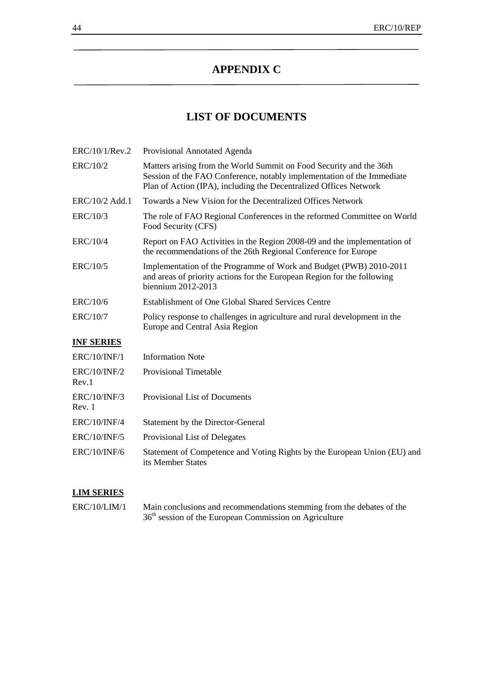# **APPENDIX C**

# **LIST OF DOCUMENTS**

| ERC/10/1/Rev.2                | Provisional Annotated Agenda                                                                                                                                                                                       |
|-------------------------------|--------------------------------------------------------------------------------------------------------------------------------------------------------------------------------------------------------------------|
| ERC/10/2                      | Matters arising from the World Summit on Food Security and the 36th<br>Session of the FAO Conference, notably implementation of the Immediate<br>Plan of Action (IPA), including the Decentralized Offices Network |
| ERC/10/2 Add.1                | Towards a New Vision for the Decentralized Offices Network                                                                                                                                                         |
| ERC/10/3                      | The role of FAO Regional Conferences in the reformed Committee on World<br>Food Security (CFS)                                                                                                                     |
| ERC/10/4                      | Report on FAO Activities in the Region 2008-09 and the implementation of<br>the recommendations of the 26th Regional Conference for Europe                                                                         |
| ERC/10/5                      | Implementation of the Programme of Work and Budget (PWB) 2010-2011<br>and areas of priority actions for the European Region for the following<br>biennium 2012-2013                                                |
| ERC/10/6                      | <b>Establishment of One Global Shared Services Centre</b>                                                                                                                                                          |
| ERC/10/7                      | Policy response to challenges in agriculture and rural development in the<br>Europe and Central Asia Region                                                                                                        |
| <b>INF SERIES</b>             |                                                                                                                                                                                                                    |
| <b>ERC/10/INF/1</b>           | <b>Information Note</b>                                                                                                                                                                                            |
| <b>ERC/10/INF/2</b><br>Rev.1  | <b>Provisional Timetable</b>                                                                                                                                                                                       |
| <b>ERC/10/INF/3</b><br>Rev. 1 | Provisional List of Documents                                                                                                                                                                                      |
| <b>ERC/10/INF/4</b>           | <b>Statement by the Director-General</b>                                                                                                                                                                           |
| <b>ERC/10/INF/5</b>           | Provisional List of Delegates                                                                                                                                                                                      |
| <b>ERC/10/INF/6</b>           | Statement of Competence and Voting Rights by the European Union (EU) and                                                                                                                                           |

# **LIM SERIES**

ERC/10/LIM/1 Main conclusions and recommendations stemming from the debates of the 36<sup>th</sup> session of the European Commission on Agriculture

its Member States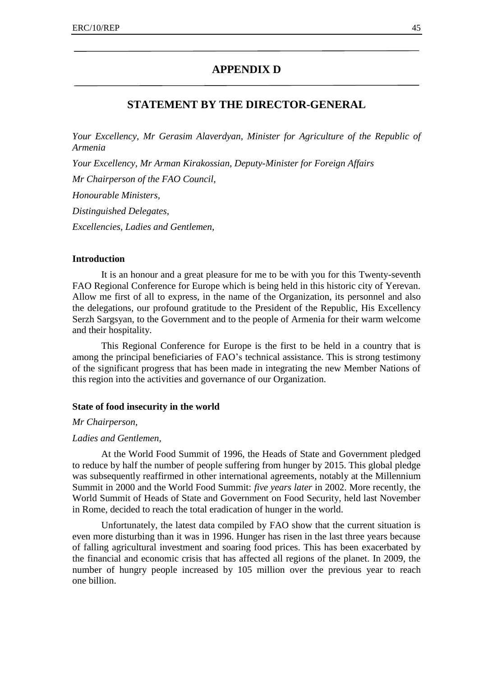# **APPENDIX D**

# **STATEMENT BY THE DIRECTOR-GENERAL**

*Your Excellency, Mr Gerasim Alaverdyan, Minister for Agriculture of the Republic of Armenia*

*Your Excellency, Mr Arman Kirakossian, Deputy-Minister for Foreign Affairs Mr Chairperson of the FAO Council, Honourable Ministers, Distinguished Delegates, Excellencies, Ladies and Gentlemen,*

#### **Introduction**

It is an honour and a great pleasure for me to be with you for this Twenty-seventh FAO Regional Conference for Europe which is being held in this historic city of Yerevan. Allow me first of all to express, in the name of the Organization, its personnel and also the delegations, our profound gratitude to the President of the Republic, His Excellency Serzh Sargsyan, to the Government and to the people of Armenia for their warm welcome and their hospitality.

This Regional Conference for Europe is the first to be held in a country that is among the principal beneficiaries of FAO's technical assistance. This is strong testimony of the significant progress that has been made in integrating the new Member Nations of this region into the activities and governance of our Organization.

#### **State of food insecurity in the world**

#### *Mr Chairperson,*

#### *Ladies and Gentlemen,*

At the World Food Summit of 1996, the Heads of State and Government pledged to reduce by half the number of people suffering from hunger by 2015. This global pledge was subsequently reaffirmed in other international agreements, notably at the Millennium Summit in 2000 and the World Food Summit: *five years later* in 2002. More recently, the World Summit of Heads of State and Government on Food Security, held last November in Rome, decided to reach the total eradication of hunger in the world.

Unfortunately, the latest data compiled by FAO show that the current situation is even more disturbing than it was in 1996. Hunger has risen in the last three years because of falling agricultural investment and soaring food prices. This has been exacerbated by the financial and economic crisis that has affected all regions of the planet. In 2009, the number of hungry people increased by 105 million over the previous year to reach one billion.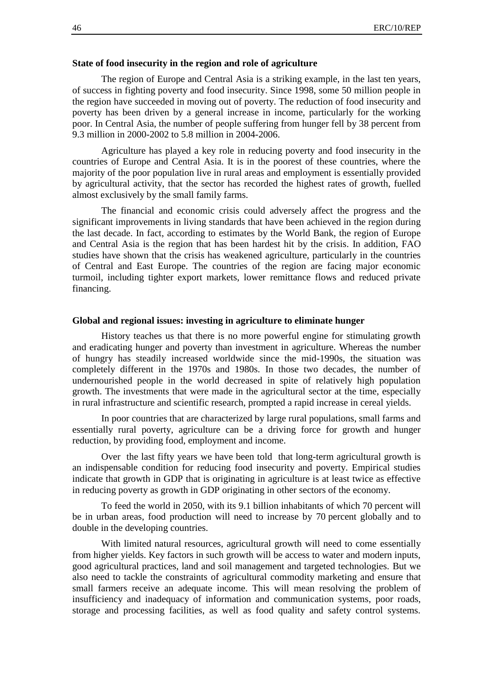#### **State of food insecurity in the region and role of agriculture**

The region of Europe and Central Asia is a striking example, in the last ten years, of success in fighting poverty and food insecurity. Since 1998, some 50 million people in the region have succeeded in moving out of poverty. The reduction of food insecurity and poverty has been driven by a general increase in income, particularly for the working poor. In Central Asia, the number of people suffering from hunger fell by 38 percent from 9.3 million in 2000-2002 to 5.8 million in 2004-2006.

Agriculture has played a key role in reducing poverty and food insecurity in the countries of Europe and Central Asia. It is in the poorest of these countries, where the majority of the poor population live in rural areas and employment is essentially provided by agricultural activity, that the sector has recorded the highest rates of growth, fuelled almost exclusively by the small family farms.

The financial and economic crisis could adversely affect the progress and the significant improvements in living standards that have been achieved in the region during the last decade. In fact, according to estimates by the World Bank, the region of Europe and Central Asia is the region that has been hardest hit by the crisis. In addition, FAO studies have shown that the crisis has weakened agriculture, particularly in the countries of Central and East Europe. The countries of the region are facing major economic turmoil, including tighter export markets, lower remittance flows and reduced private financing.

#### **Global and regional issues: investing in agriculture to eliminate hunger**

History teaches us that there is no more powerful engine for stimulating growth and eradicating hunger and poverty than investment in agriculture. Whereas the number of hungry has steadily increased worldwide since the mid-1990s, the situation was completely different in the 1970s and 1980s. In those two decades, the number of undernourished people in the world decreased in spite of relatively high population growth. The investments that were made in the agricultural sector at the time, especially in rural infrastructure and scientific research, prompted a rapid increase in cereal yields.

In poor countries that are characterized by large rural populations, small farms and essentially rural poverty, agriculture can be a driving force for growth and hunger reduction, by providing food, employment and income.

Over the last fifty years we have been told that long-term agricultural growth is an indispensable condition for reducing food insecurity and poverty. Empirical studies indicate that growth in GDP that is originating in agriculture is at least twice as effective in reducing poverty as growth in GDP originating in other sectors of the economy.

To feed the world in 2050, with its 9.1 billion inhabitants of which 70 percent will be in urban areas, food production will need to increase by 70 percent globally and to double in the developing countries.

With limited natural resources, agricultural growth will need to come essentially from higher yields. Key factors in such growth will be access to water and modern inputs, good agricultural practices, land and soil management and targeted technologies. But we also need to tackle the constraints of agricultural commodity marketing and ensure that small farmers receive an adequate income. This will mean resolving the problem of insufficiency and inadequacy of information and communication systems, poor roads, storage and processing facilities, as well as food quality and safety control systems.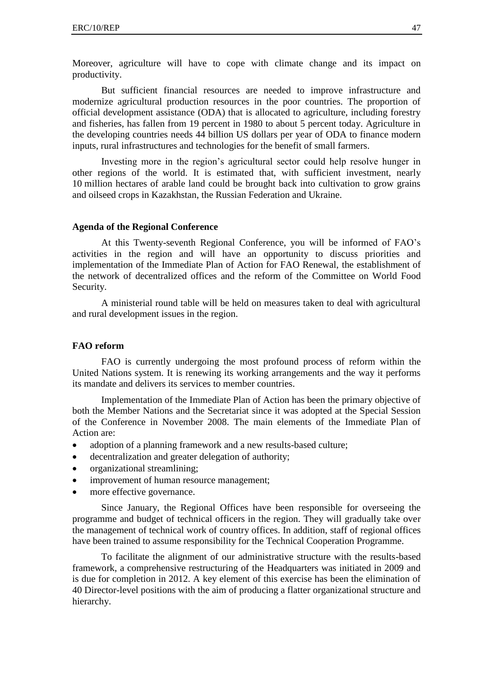Moreover, agriculture will have to cope with climate change and its impact on productivity.

But sufficient financial resources are needed to improve infrastructure and modernize agricultural production resources in the poor countries. The proportion of official development assistance (ODA) that is allocated to agriculture, including forestry and fisheries, has fallen from 19 percent in 1980 to about 5 percent today. Agriculture in the developing countries needs 44 billion US dollars per year of ODA to finance modern inputs, rural infrastructures and technologies for the benefit of small farmers.

Investing more in the region's agricultural sector could help resolve hunger in other regions of the world. It is estimated that, with sufficient investment, nearly 10 million hectares of arable land could be brought back into cultivation to grow grains and oilseed crops in Kazakhstan, the Russian Federation and Ukraine.

#### **Agenda of the Regional Conference**

At this Twenty-seventh Regional Conference, you will be informed of FAO's activities in the region and will have an opportunity to discuss priorities and implementation of the Immediate Plan of Action for FAO Renewal, the establishment of the network of decentralized offices and the reform of the Committee on World Food Security.

A ministerial round table will be held on measures taken to deal with agricultural and rural development issues in the region.

#### **FAO reform**

FAO is currently undergoing the most profound process of reform within the United Nations system. It is renewing its working arrangements and the way it performs its mandate and delivers its services to member countries.

Implementation of the Immediate Plan of Action has been the primary objective of both the Member Nations and the Secretariat since it was adopted at the Special Session of the Conference in November 2008. The main elements of the Immediate Plan of Action are:

- adoption of a planning framework and a new results-based culture;
- decentralization and greater delegation of authority;
- organizational streamlining;
- improvement of human resource management;
- more effective governance.

Since January, the Regional Offices have been responsible for overseeing the programme and budget of technical officers in the region. They will gradually take over the management of technical work of country offices. In addition, staff of regional offices have been trained to assume responsibility for the Technical Cooperation Programme.

To facilitate the alignment of our administrative structure with the results-based framework, a comprehensive restructuring of the Headquarters was initiated in 2009 and is due for completion in 2012. A key element of this exercise has been the elimination of 40 Director-level positions with the aim of producing a flatter organizational structure and hierarchy.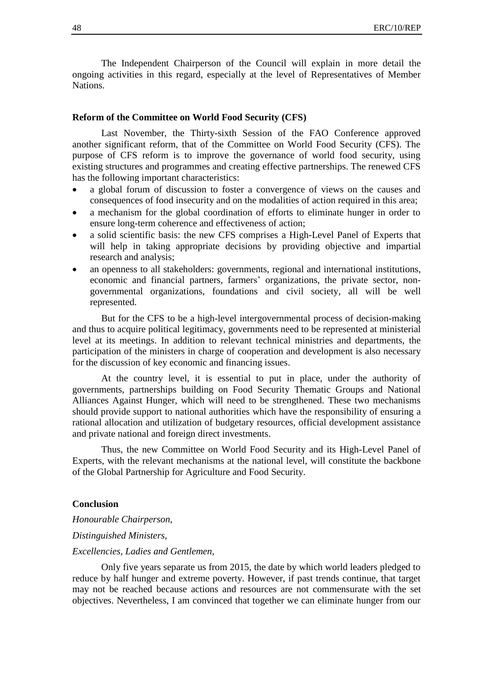The Independent Chairperson of the Council will explain in more detail the ongoing activities in this regard, especially at the level of Representatives of Member **Nations** 

#### **Reform of the Committee on World Food Security (CFS)**

Last November, the Thirty-sixth Session of the FAO Conference approved another significant reform, that of the Committee on World Food Security (CFS). The purpose of CFS reform is to improve the governance of world food security, using existing structures and programmes and creating effective partnerships. The renewed CFS has the following important characteristics:

- a global forum of discussion to foster a convergence of views on the causes and consequences of food insecurity and on the modalities of action required in this area;
- a mechanism for the global coordination of efforts to eliminate hunger in order to ensure long-term coherence and effectiveness of action;
- a solid scientific basis: the new CFS comprises a High-Level Panel of Experts that will help in taking appropriate decisions by providing objective and impartial research and analysis;
- an openness to all stakeholders: governments, regional and international institutions, economic and financial partners, farmers' organizations, the private sector, nongovernmental organizations, foundations and civil society, all will be well represented.

But for the CFS to be a high-level intergovernmental process of decision-making and thus to acquire political legitimacy, governments need to be represented at ministerial level at its meetings. In addition to relevant technical ministries and departments, the participation of the ministers in charge of cooperation and development is also necessary for the discussion of key economic and financing issues.

At the country level, it is essential to put in place, under the authority of governments, partnerships building on Food Security Thematic Groups and National Alliances Against Hunger, which will need to be strengthened. These two mechanisms should provide support to national authorities which have the responsibility of ensuring a rational allocation and utilization of budgetary resources, official development assistance and private national and foreign direct investments.

Thus, the new Committee on World Food Security and its High-Level Panel of Experts, with the relevant mechanisms at the national level, will constitute the backbone of the Global Partnership for Agriculture and Food Security.

#### **Conclusion**

*Honourable Chairperson,* 

*Distinguished Ministers,*

#### *Excellencies, Ladies and Gentlemen,*

Only five years separate us from 2015, the date by which world leaders pledged to reduce by half hunger and extreme poverty. However, if past trends continue, that target may not be reached because actions and resources are not commensurate with the set objectives. Nevertheless, I am convinced that together we can eliminate hunger from our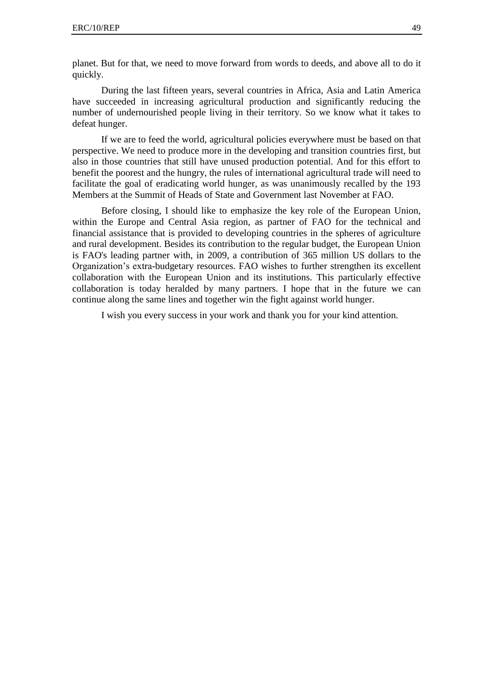planet. But for that, we need to move forward from words to deeds, and above all to do it quickly.

During the last fifteen years, several countries in Africa, Asia and Latin America have succeeded in increasing agricultural production and significantly reducing the number of undernourished people living in their territory. So we know what it takes to defeat hunger.

If we are to feed the world, agricultural policies everywhere must be based on that perspective. We need to produce more in the developing and transition countries first, but also in those countries that still have unused production potential. And for this effort to benefit the poorest and the hungry, the rules of international agricultural trade will need to facilitate the goal of eradicating world hunger, as was unanimously recalled by the 193 Members at the Summit of Heads of State and Government last November at FAO.

Before closing, I should like to emphasize the key role of the European Union, within the Europe and Central Asia region, as partner of FAO for the technical and financial assistance that is provided to developing countries in the spheres of agriculture and rural development. Besides its contribution to the regular budget, the European Union is FAO's leading partner with, in 2009, a contribution of 365 million US dollars to the Organization's extra-budgetary resources. FAO wishes to further strengthen its excellent collaboration with the European Union and its institutions. This particularly effective collaboration is today heralded by many partners. I hope that in the future we can continue along the same lines and together win the fight against world hunger.

I wish you every success in your work and thank you for your kind attention.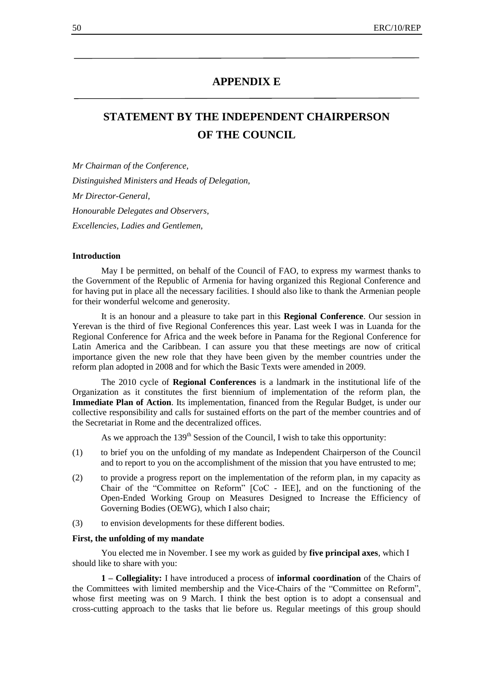# **APPENDIX E**

# **STATEMENT BY THE INDEPENDENT CHAIRPERSON OF THE COUNCIL**

*Mr Chairman of the Conference, Distinguished Ministers and Heads of Delegation, Mr Director-General, Honourable Delegates and Observers, Excellencies, Ladies and Gentlemen,*

#### **Introduction**

May I be permitted, on behalf of the Council of FAO, to express my warmest thanks to the Government of the Republic of Armenia for having organized this Regional Conference and for having put in place all the necessary facilities. I should also like to thank the Armenian people for their wonderful welcome and generosity.

It is an honour and a pleasure to take part in this **Regional Conference**. Our session in Yerevan is the third of five Regional Conferences this year. Last week I was in Luanda for the Regional Conference for Africa and the week before in Panama for the Regional Conference for Latin America and the Caribbean. I can assure you that these meetings are now of critical importance given the new role that they have been given by the member countries under the reform plan adopted in 2008 and for which the Basic Texts were amended in 2009.

The 2010 cycle of **Regional Conferences** is a landmark in the institutional life of the Organization as it constitutes the first biennium of implementation of the reform plan, the **Immediate Plan of Action**. Its implementation, financed from the Regular Budget, is under our collective responsibility and calls for sustained efforts on the part of the member countries and of the Secretariat in Rome and the decentralized offices.

As we approach the  $139<sup>th</sup>$  Session of the Council, I wish to take this opportunity:

- (1) to brief you on the unfolding of my mandate as Independent Chairperson of the Council and to report to you on the accomplishment of the mission that you have entrusted to me;
- (2) to provide a progress report on the implementation of the reform plan, in my capacity as Chair of the "Committee on Reform" [CoC - IEE], and on the functioning of the Open-Ended Working Group on Measures Designed to Increase the Efficiency of Governing Bodies (OEWG), which I also chair;
- (3) to envision developments for these different bodies.

#### **First, the unfolding of my mandate**

You elected me in November. I see my work as guided by **five principal axes**, which I should like to share with you:

**1 – Collegiality:** I have introduced a process of **informal coordination** of the Chairs of the Committees with limited membership and the Vice-Chairs of the "Committee on Reform", whose first meeting was on 9 March. I think the best option is to adopt a consensual and cross-cutting approach to the tasks that lie before us. Regular meetings of this group should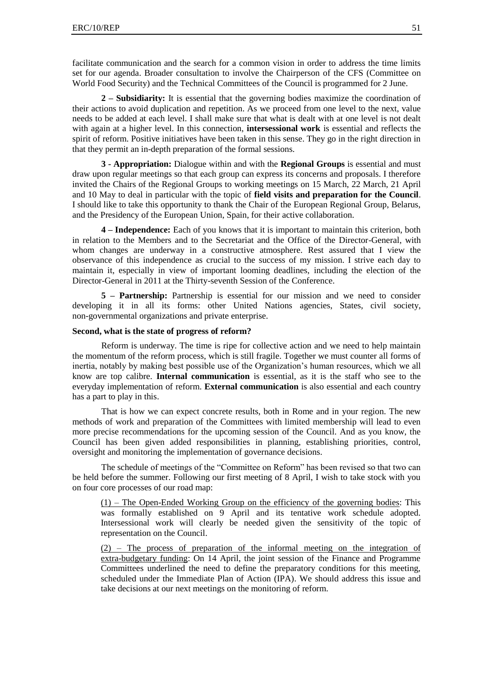facilitate communication and the search for a common vision in order to address the time limits set for our agenda. Broader consultation to involve the Chairperson of the CFS (Committee on World Food Security) and the Technical Committees of the Council is programmed for 2 June.

**2 – Subsidiarity:** It is essential that the governing bodies maximize the coordination of their actions to avoid duplication and repetition. As we proceed from one level to the next, value needs to be added at each level. I shall make sure that what is dealt with at one level is not dealt with again at a higher level. In this connection, **intersessional work** is essential and reflects the spirit of reform. Positive initiatives have been taken in this sense. They go in the right direction in that they permit an in-depth preparation of the formal sessions.

**3 - Appropriation:** Dialogue within and with the **Regional Groups** is essential and must draw upon regular meetings so that each group can express its concerns and proposals. I therefore invited the Chairs of the Regional Groups to working meetings on 15 March, 22 March, 21 April and 10 May to deal in particular with the topic of **field visits and preparation for the Council**. I should like to take this opportunity to thank the Chair of the European Regional Group, Belarus, and the Presidency of the European Union, Spain, for their active collaboration.

**4 – Independence:** Each of you knows that it is important to maintain this criterion, both in relation to the Members and to the Secretariat and the Office of the Director-General, with whom changes are underway in a constructive atmosphere. Rest assured that I view the observance of this independence as crucial to the success of my mission. I strive each day to maintain it, especially in view of important looming deadlines, including the election of the Director-General in 2011 at the Thirty-seventh Session of the Conference.

**5 – Partnership:** Partnership is essential for our mission and we need to consider developing it in all its forms: other United Nations agencies, States, civil society, non-governmental organizations and private enterprise.

#### **Second, what is the state of progress of reform?**

Reform is underway. The time is ripe for collective action and we need to help maintain the momentum of the reform process, which is still fragile. Together we must counter all forms of inertia, notably by making best possible use of the Organization's human resources, which we all know are top calibre. **Internal communication** is essential, as it is the staff who see to the everyday implementation of reform. **External communication** is also essential and each country has a part to play in this.

That is how we can expect concrete results, both in Rome and in your region. The new methods of work and preparation of the Committees with limited membership will lead to even more precise recommendations for the upcoming session of the Council. And as you know, the Council has been given added responsibilities in planning, establishing priorities, control, oversight and monitoring the implementation of governance decisions.

The schedule of meetings of the "Committee on Reform" has been revised so that two can be held before the summer. Following our first meeting of 8 April, I wish to take stock with you on four core processes of our road map:

(1) – The Open-Ended Working Group on the efficiency of the governing bodies: This was formally established on 9 April and its tentative work schedule adopted. Intersessional work will clearly be needed given the sensitivity of the topic of representation on the Council.

(2) – The process of preparation of the informal meeting on the integration of extra-budgetary funding: On 14 April, the joint session of the Finance and Programme Committees underlined the need to define the preparatory conditions for this meeting, scheduled under the Immediate Plan of Action (IPA). We should address this issue and take decisions at our next meetings on the monitoring of reform.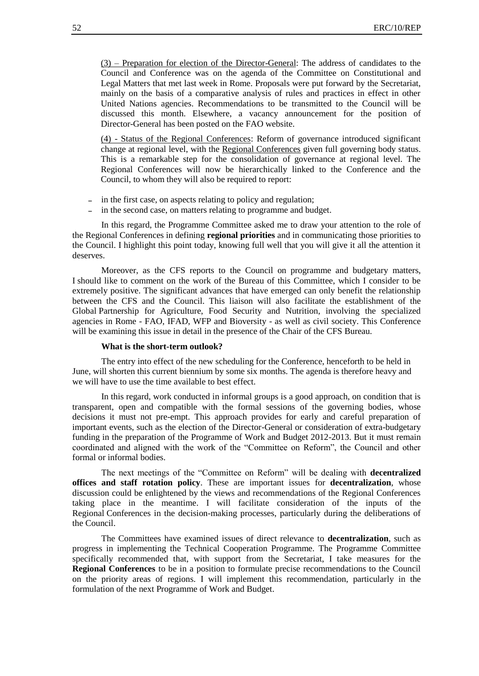(3) – Preparation for election of the Director-General: The address of candidates to the Council and Conference was on the agenda of the Committee on Constitutional and Legal Matters that met last week in Rome. Proposals were put forward by the Secretariat, mainly on the basis of a comparative analysis of rules and practices in effect in other United Nations agencies. Recommendations to be transmitted to the Council will be discussed this month. Elsewhere, a vacancy announcement for the position of Director-General has been posted on the FAO website.

(4) - Status of the Regional Conferences: Reform of governance introduced significant change at regional level, with the Regional Conferences given full governing body status. This is a remarkable step for the consolidation of governance at regional level. The Regional Conferences will now be hierarchically linked to the Conference and the Council, to whom they will also be required to report:

- in the first case, on aspects relating to policy and regulation;
- in the second case, on matters relating to programme and budget.

In this regard, the Programme Committee asked me to draw your attention to the role of the Regional Conferences in defining **regional priorities** and in communicating those priorities to the Council. I highlight this point today, knowing full well that you will give it all the attention it deserves.

Moreover, as the CFS reports to the Council on programme and budgetary matters, I should like to comment on the work of the Bureau of this Committee, which I consider to be extremely positive. The significant advances that have emerged can only benefit the relationship between the CFS and the Council. This liaison will also facilitate the establishment of the Global Partnership for Agriculture, Food Security and Nutrition, involving the specialized agencies in Rome - FAO, IFAD, WFP and Bioversity - as well as civil society. This Conference will be examining this issue in detail in the presence of the Chair of the CFS Bureau.

#### **What is the short-term outlook?**

The entry into effect of the new scheduling for the Conference, henceforth to be held in June, will shorten this current biennium by some six months. The agenda is therefore heavy and we will have to use the time available to best effect.

In this regard, work conducted in informal groups is a good approach, on condition that is transparent, open and compatible with the formal sessions of the governing bodies, whose decisions it must not pre-empt. This approach provides for early and careful preparation of important events, such as the election of the Director-General or consideration of extra-budgetary funding in the preparation of the Programme of Work and Budget 2012-2013. But it must remain coordinated and aligned with the work of the "Committee on Reform", the Council and other formal or informal bodies.

The next meetings of the "Committee on Reform" will be dealing with **decentralized offices and staff rotation policy**. These are important issues for **decentralization**, whose discussion could be enlightened by the views and recommendations of the Regional Conferences taking place in the meantime. I will facilitate consideration of the inputs of the Regional Conferences in the decision-making processes, particularly during the deliberations of the Council.

The Committees have examined issues of direct relevance to **decentralization**, such as progress in implementing the Technical Cooperation Programme. The Programme Committee specifically recommended that, with support from the Secretariat, I take measures for the **Regional Conferences** to be in a position to formulate precise recommendations to the Council on the priority areas of regions. I will implement this recommendation, particularly in the formulation of the next Programme of Work and Budget.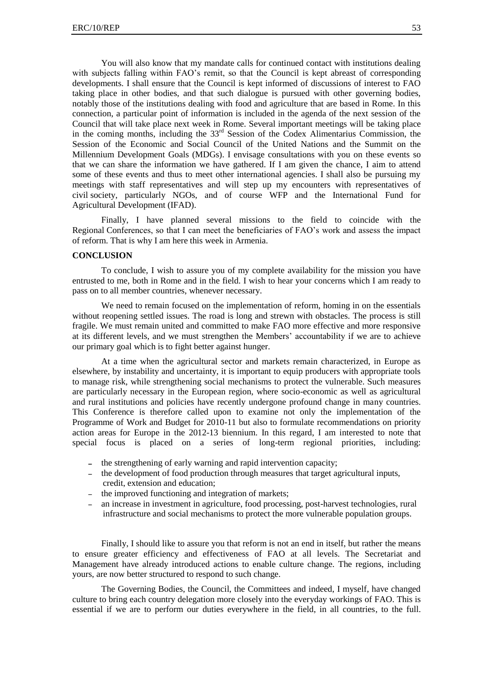You will also know that my mandate calls for continued contact with institutions dealing with subjects falling within FAO's remit, so that the Council is kept abreast of corresponding developments. I shall ensure that the Council is kept informed of discussions of interest to FAO taking place in other bodies, and that such dialogue is pursued with other governing bodies, notably those of the institutions dealing with food and agriculture that are based in Rome. In this connection, a particular point of information is included in the agenda of the next session of the Council that will take place next week in Rome. Several important meetings will be taking place in the coming months, including the  $33<sup>rd</sup>$  Session of the Codex Alimentarius Commission, the Session of the Economic and Social Council of the United Nations and the Summit on the Millennium Development Goals (MDGs). I envisage consultations with you on these events so that we can share the information we have gathered. If I am given the chance, I aim to attend some of these events and thus to meet other international agencies. I shall also be pursuing my meetings with staff representatives and will step up my encounters with representatives of civil society, particularly NGOs, and of course WFP and the International Fund for Agricultural Development (IFAD).

Finally, I have planned several missions to the field to coincide with the Regional Conferences, so that I can meet the beneficiaries of FAO's work and assess the impact of reform. That is why I am here this week in Armenia.

#### **CONCLUSION**

To conclude, I wish to assure you of my complete availability for the mission you have entrusted to me, both in Rome and in the field. I wish to hear your concerns which I am ready to pass on to all member countries, whenever necessary.

We need to remain focused on the implementation of reform, homing in on the essentials without reopening settled issues. The road is long and strewn with obstacles. The process is still fragile. We must remain united and committed to make FAO more effective and more responsive at its different levels, and we must strengthen the Members' accountability if we are to achieve our primary goal which is to fight better against hunger.

At a time when the agricultural sector and markets remain characterized, in Europe as elsewhere, by instability and uncertainty, it is important to equip producers with appropriate tools to manage risk, while strengthening social mechanisms to protect the vulnerable. Such measures are particularly necessary in the European region, where socio-economic as well as agricultural and rural institutions and policies have recently undergone profound change in many countries. This Conference is therefore called upon to examine not only the implementation of the Programme of Work and Budget for 2010-11 but also to formulate recommendations on priority action areas for Europe in the 2012-13 biennium. In this regard, I am interested to note that special focus is placed on a series of long-term regional priorities, including:

- the strengthening of early warning and rapid intervention capacity;
- the development of food production through measures that target agricultural inputs, credit, extension and education;
- the improved functioning and integration of markets;
- an increase in investment in agriculture, food processing, post-harvest technologies, rural infrastructure and social mechanisms to protect the more vulnerable population groups.

Finally, I should like to assure you that reform is not an end in itself, but rather the means to ensure greater efficiency and effectiveness of FAO at all levels. The Secretariat and Management have already introduced actions to enable culture change. The regions, including yours, are now better structured to respond to such change.

The Governing Bodies, the Council, the Committees and indeed, I myself, have changed culture to bring each country delegation more closely into the everyday workings of FAO. This is essential if we are to perform our duties everywhere in the field, in all countries, to the full.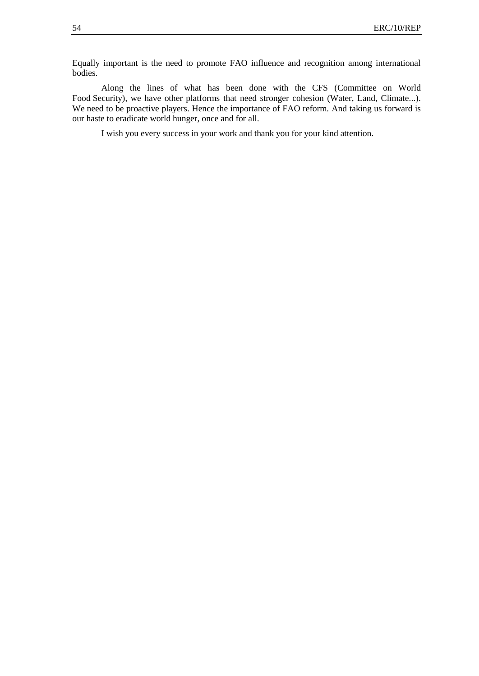Equally important is the need to promote FAO influence and recognition among international bodies.

Along the lines of what has been done with the CFS (Committee on World Food Security), we have other platforms that need stronger cohesion (Water, Land, Climate...). We need to be proactive players. Hence the importance of FAO reform. And taking us forward is our haste to eradicate world hunger, once and for all.

I wish you every success in your work and thank you for your kind attention.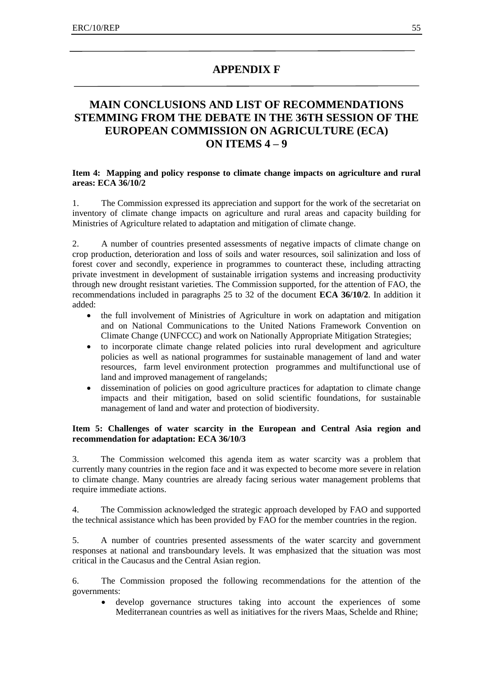# **APPENDIX F**

# **MAIN CONCLUSIONS AND LIST OF RECOMMENDATIONS STEMMING FROM THE DEBATE IN THE 36TH SESSION OF THE EUROPEAN COMMISSION ON AGRICULTURE (ECA) ON ITEMS 4 – 9**

#### **Item 4: Mapping and policy response to climate change impacts on agriculture and rural areas: ECA 36/10/2**

1. The Commission expressed its appreciation and support for the work of the secretariat on inventory of climate change impacts on agriculture and rural areas and capacity building for Ministries of Agriculture related to adaptation and mitigation of climate change.

2. A number of countries presented assessments of negative impacts of climate change on crop production, deterioration and loss of soils and water resources, soil salinization and loss of forest cover and secondly, experience in programmes to counteract these, including attracting private investment in development of sustainable irrigation systems and increasing productivity through new drought resistant varieties. The Commission supported, for the attention of FAO, the recommendations included in paragraphs 25 to 32 of the document **ECA 36/10/2**. In addition it added:

- the full involvement of Ministries of Agriculture in work on adaptation and mitigation and on National Communications to the United Nations Framework Convention on Climate Change (UNFCCC) and work on Nationally Appropriate Mitigation Strategies;
- to incorporate climate change related policies into rural development and agriculture policies as well as national programmes for sustainable management of land and water resources, farm level environment protection programmes and multifunctional use of land and improved management of rangelands;
- dissemination of policies on good agriculture practices for adaptation to climate change impacts and their mitigation, based on solid scientific foundations, for sustainable management of land and water and protection of biodiversity.

#### **Item 5: Challenges of water scarcity in the European and Central Asia region and recommendation for adaptation: ECA 36/10/3**

3. The Commission welcomed this agenda item as water scarcity was a problem that currently many countries in the region face and it was expected to become more severe in relation to climate change. Many countries are already facing serious water management problems that require immediate actions.

4. The Commission acknowledged the strategic approach developed by FAO and supported the technical assistance which has been provided by FAO for the member countries in the region.

5. A number of countries presented assessments of the water scarcity and government responses at national and transboundary levels. It was emphasized that the situation was most critical in the Caucasus and the Central Asian region.

6. The Commission proposed the following recommendations for the attention of the governments:

 develop governance structures taking into account the experiences of some Mediterranean countries as well as initiatives for the rivers Maas, Schelde and Rhine;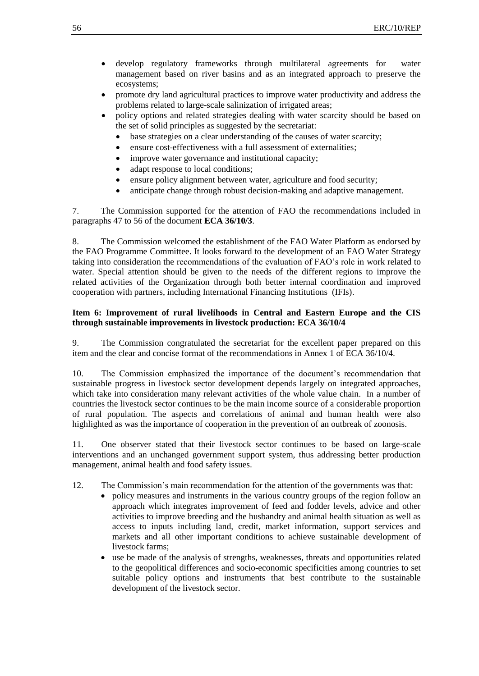- develop regulatory frameworks through multilateral agreements for water management based on river basins and as an integrated approach to preserve the ecosystems;
- promote dry land agricultural practices to improve water productivity and address the problems related to large-scale salinization of irrigated areas;
- policy options and related strategies dealing with water scarcity should be based on the set of solid principles as suggested by the secretariat:
	- base strategies on a clear understanding of the causes of water scarcity;
	- ensure cost-effectiveness with a full assessment of externalities;
	- improve water governance and institutional capacity;
	- adapt response to local conditions;
	- ensure policy alignment between water, agriculture and food security;
	- anticipate change through robust decision-making and adaptive management.

7. The Commission supported for the attention of FAO the recommendations included in paragraphs 47 to 56 of the document **ECA 36/10/3**.

8. The Commission welcomed the establishment of the FAO Water Platform as endorsed by the FAO Programme Committee. It looks forward to the development of an FAO Water Strategy taking into consideration the recommendations of the evaluation of FAO's role in work related to water. Special attention should be given to the needs of the different regions to improve the related activities of the Organization through both better internal coordination and improved cooperation with partners, including International Financing Institutions (IFIs).

#### **Item 6: Improvement of rural livelihoods in Central and Eastern Europe and the CIS through sustainable improvements in livestock production: ECA 36/10/4**

9. The Commission congratulated the secretariat for the excellent paper prepared on this item and the clear and concise format of the recommendations in Annex 1 of ECA 36/10/4.

10. The Commission emphasized the importance of the document's recommendation that sustainable progress in livestock sector development depends largely on integrated approaches, which take into consideration many relevant activities of the whole value chain. In a number of countries the livestock sector continues to be the main income source of a considerable proportion of rural population. The aspects and correlations of animal and human health were also highlighted as was the importance of cooperation in the prevention of an outbreak of zoonosis.

11. One observer stated that their livestock sector continues to be based on large-scale interventions and an unchanged government support system, thus addressing better production management, animal health and food safety issues.

- 12. The Commission's main recommendation for the attention of the governments was that:
	- policy measures and instruments in the various country groups of the region follow an approach which integrates improvement of feed and fodder levels, advice and other activities to improve breeding and the husbandry and animal health situation as well as access to inputs including land, credit, market information, support services and markets and all other important conditions to achieve sustainable development of livestock farms;
		- use be made of the analysis of strengths, weaknesses, threats and opportunities related to the geopolitical differences and socio-economic specificities among countries to set suitable policy options and instruments that best contribute to the sustainable development of the livestock sector.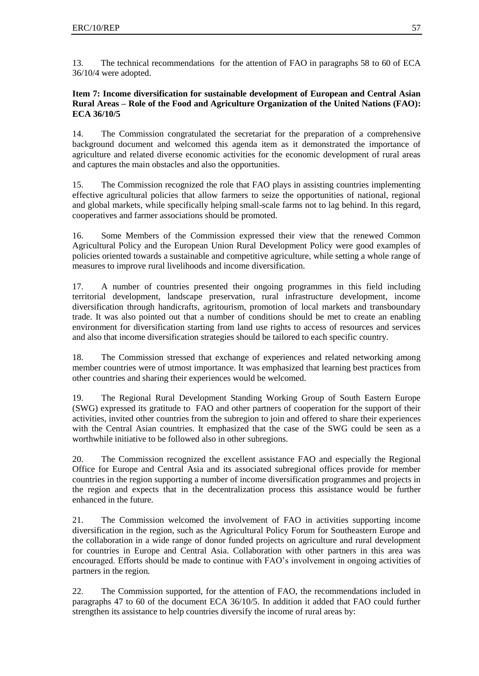13. The technical recommendations for the attention of FAO in paragraphs 58 to 60 of ECA 36/10/4 were adopted.

## **Item 7: Income diversification for sustainable development of European and Central Asian Rural Areas – Role of the Food and Agriculture Organization of the United Nations (FAO): ECA 36/10/5**

14. The Commission congratulated the secretariat for the preparation of a comprehensive background document and welcomed this agenda item as it demonstrated the importance of agriculture and related diverse economic activities for the economic development of rural areas and captures the main obstacles and also the opportunities.

15. The Commission recognized the role that FAO plays in assisting countries implementing effective agricultural policies that allow farmers to seize the opportunities of national, regional and global markets, while specifically helping small-scale farms not to lag behind. In this regard, cooperatives and farmer associations should be promoted.

16. Some Members of the Commission expressed their view that the renewed Common Agricultural Policy and the European Union Rural Development Policy were good examples of policies oriented towards a sustainable and competitive agriculture, while setting a whole range of measures to improve rural livelihoods and income diversification.

17. A number of countries presented their ongoing programmes in this field including territorial development, landscape preservation, rural infrastructure development, income diversification through handicrafts, agritourism, promotion of local markets and transboundary trade. It was also pointed out that a number of conditions should be met to create an enabling environment for diversification starting from land use rights to access of resources and services and also that income diversification strategies should be tailored to each specific country.

18. The Commission stressed that exchange of experiences and related networking among member countries were of utmost importance. It was emphasized that learning best practices from other countries and sharing their experiences would be welcomed.

19. The Regional Rural Development Standing Working Group of South Eastern Europe (SWG) expressed its gratitude to FAO and other partners of cooperation for the support of their activities, invited other countries from the subregion to join and offered to share their experiences with the Central Asian countries. It emphasized that the case of the SWG could be seen as a worthwhile initiative to be followed also in other subregions.

20. The Commission recognized the excellent assistance FAO and especially the Regional Office for Europe and Central Asia and its associated subregional offices provide for member countries in the region supporting a number of income diversification programmes and projects in the region and expects that in the decentralization process this assistance would be further enhanced in the future.

21. The Commission welcomed the involvement of FAO in activities supporting income diversification in the region, such as the Agricultural Policy Forum for Southeastern Europe and the collaboration in a wide range of donor funded projects on agriculture and rural development for countries in Europe and Central Asia. Collaboration with other partners in this area was encouraged. Efforts should be made to continue with FAO's involvement in ongoing activities of partners in the region.

22. The Commission supported, for the attention of FAO, the recommendations included in paragraphs 47 to 60 of the document ECA 36/10/5. In addition it added that FAO could further strengthen its assistance to help countries diversify the income of rural areas by: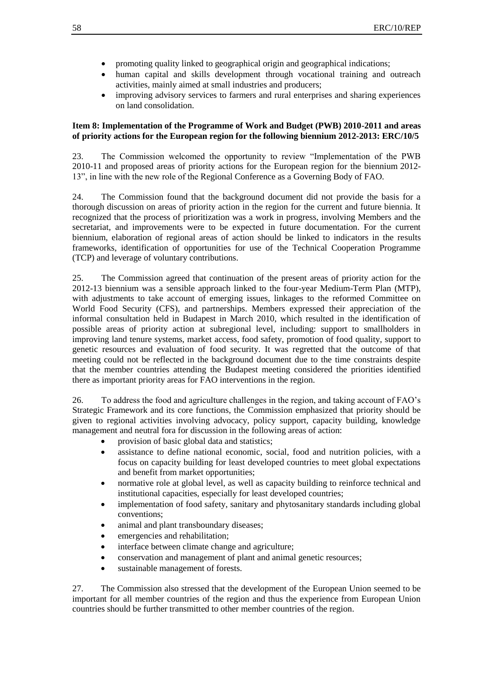- promoting quality linked to geographical origin and geographical indications;
- human capital and skills development through vocational training and outreach activities, mainly aimed at small industries and producers;
- improving advisory services to farmers and rural enterprises and sharing experiences on land consolidation.

#### **Item 8: Implementation of the Programme of Work and Budget (PWB) 2010-2011 and areas of priority actions for the European region for the following biennium 2012-2013: ERC/10/5**

23. The Commission welcomed the opportunity to review "Implementation of the PWB 2010-11 and proposed areas of priority actions for the European region for the biennium 2012- 13", in line with the new role of the Regional Conference as a Governing Body of FAO.

24. The Commission found that the background document did not provide the basis for a thorough discussion on areas of priority action in the region for the current and future biennia. It recognized that the process of prioritization was a work in progress, involving Members and the secretariat, and improvements were to be expected in future documentation. For the current biennium, elaboration of regional areas of action should be linked to indicators in the results frameworks, identification of opportunities for use of the Technical Cooperation Programme (TCP) and leverage of voluntary contributions.

25. The Commission agreed that continuation of the present areas of priority action for the 2012-13 biennium was a sensible approach linked to the four-year Medium-Term Plan (MTP), with adjustments to take account of emerging issues, linkages to the reformed Committee on World Food Security (CFS), and partnerships. Members expressed their appreciation of the informal consultation held in Budapest in March 2010, which resulted in the identification of possible areas of priority action at subregional level, including: support to smallholders in improving land tenure systems, market access, food safety, promotion of food quality, support to genetic resources and evaluation of food security. It was regretted that the outcome of that meeting could not be reflected in the background document due to the time constraints despite that the member countries attending the Budapest meeting considered the priorities identified there as important priority areas for FAO interventions in the region.

26. To address the food and agriculture challenges in the region, and taking account of FAO's Strategic Framework and its core functions, the Commission emphasized that priority should be given to regional activities involving advocacy, policy support, capacity building, knowledge management and neutral fora for discussion in the following areas of action:

- provision of basic global data and statistics;
- assistance to define national economic, social, food and nutrition policies, with a focus on capacity building for least developed countries to meet global expectations and benefit from market opportunities;
- normative role at global level, as well as capacity building to reinforce technical and institutional capacities, especially for least developed countries;
- implementation of food safety, sanitary and phytosanitary standards including global conventions;
- animal and plant transboundary diseases;
- emergencies and rehabilitation;
- interface between climate change and agriculture;
- conservation and management of plant and animal genetic resources;
- sustainable management of forests.

27. The Commission also stressed that the development of the European Union seemed to be important for all member countries of the region and thus the experience from European Union countries should be further transmitted to other member countries of the region.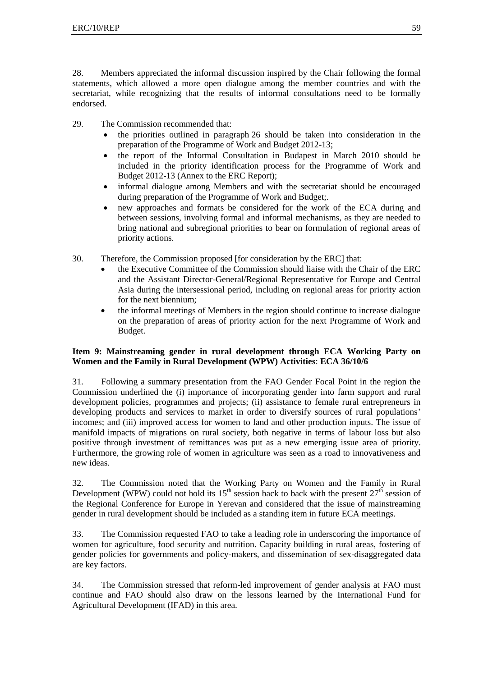28. Members appreciated the informal discussion inspired by the Chair following the formal statements, which allowed a more open dialogue among the member countries and with the secretariat, while recognizing that the results of informal consultations need to be formally endorsed.

29. The Commission recommended that:

- the priorities outlined in paragraph 26 should be taken into consideration in the preparation of the Programme of Work and Budget 2012-13;
- the report of the Informal Consultation in Budapest in March 2010 should be included in the priority identification process for the Programme of Work and Budget 2012-13 (Annex to the ERC Report);
- informal dialogue among Members and with the secretariat should be encouraged during preparation of the Programme of Work and Budget;.
- new approaches and formats be considered for the work of the ECA during and between sessions, involving formal and informal mechanisms, as they are needed to bring national and subregional priorities to bear on formulation of regional areas of priority actions.
- 30. Therefore, the Commission proposed [for consideration by the ERC] that:
	- the Executive Committee of the Commission should liaise with the Chair of the ERC and the Assistant Director-General/Regional Representative for Europe and Central Asia during the intersessional period, including on regional areas for priority action for the next biennium;
	- the informal meetings of Members in the region should continue to increase dialogue on the preparation of areas of priority action for the next Programme of Work and Budget.

## **Item 9: Mainstreaming gender in rural development through ECA Working Party on Women and the Family in Rural Development (WPW) Activities**: **ECA 36/10/6**

31. Following a summary presentation from the FAO Gender Focal Point in the region the Commission underlined the (i) importance of incorporating gender into farm support and rural development policies, programmes and projects; (ii) assistance to female rural entrepreneurs in developing products and services to market in order to diversify sources of rural populations' incomes; and (iii) improved access for women to land and other production inputs. The issue of manifold impacts of migrations on rural society, both negative in terms of labour loss but also positive through investment of remittances was put as a new emerging issue area of priority. Furthermore, the growing role of women in agriculture was seen as a road to innovativeness and new ideas.

32. The Commission noted that the Working Party on Women and the Family in Rural Development (WPW) could not hold its  $15<sup>th</sup>$  session back to back with the present  $27<sup>th</sup>$  session of the Regional Conference for Europe in Yerevan and considered that the issue of mainstreaming gender in rural development should be included as a standing item in future ECA meetings.

33. The Commission requested FAO to take a leading role in underscoring the importance of women for agriculture, food security and nutrition. Capacity building in rural areas, fostering of gender policies for governments and policy-makers, and dissemination of sex-disaggregated data are key factors.

34. The Commission stressed that reform-led improvement of gender analysis at FAO must continue and FAO should also draw on the lessons learned by the International Fund for Agricultural Development (IFAD) in this area.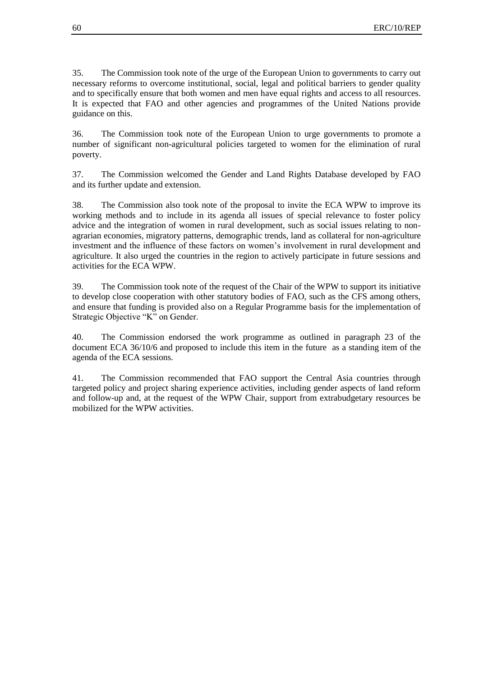35. The Commission took note of the urge of the European Union to governments to carry out necessary reforms to overcome institutional, social, legal and political barriers to gender quality and to specifically ensure that both women and men have equal rights and access to all resources. It is expected that FAO and other agencies and programmes of the United Nations provide guidance on this.

36. The Commission took note of the European Union to urge governments to promote a number of significant non-agricultural policies targeted to women for the elimination of rural poverty.

37. The Commission welcomed the Gender and Land Rights Database developed by FAO and its further update and extension.

38. The Commission also took note of the proposal to invite the ECA WPW to improve its working methods and to include in its agenda all issues of special relevance to foster policy advice and the integration of women in rural development, such as social issues relating to nonagrarian economies, migratory patterns, demographic trends, land as collateral for non-agriculture investment and the influence of these factors on women's involvement in rural development and agriculture. It also urged the countries in the region to actively participate in future sessions and activities for the ECA WPW.

39. The Commission took note of the request of the Chair of the WPW to support its initiative to develop close cooperation with other statutory bodies of FAO, such as the CFS among others, and ensure that funding is provided also on a Regular Programme basis for the implementation of Strategic Objective "K" on Gender.

40. The Commission endorsed the work programme as outlined in paragraph 23 of the document ECA 36/10/6 and proposed to include this item in the future as a standing item of the agenda of the ECA sessions.

41. The Commission recommended that FAO support the Central Asia countries through targeted policy and project sharing experience activities, including gender aspects of land reform and follow-up and, at the request of the WPW Chair, support from extrabudgetary resources be mobilized for the WPW activities.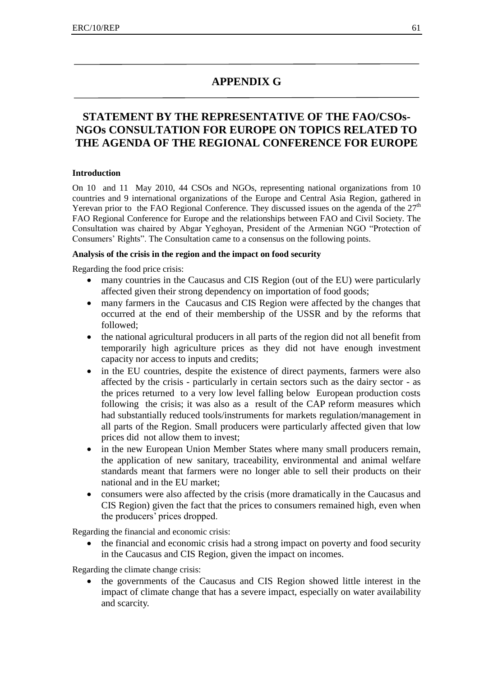# **APPENDIX G**

# **STATEMENT BY THE REPRESENTATIVE OF THE FAO/CSOs-NGOs CONSULTATION FOR EUROPE ON TOPICS RELATED TO THE AGENDA OF THE REGIONAL CONFERENCE FOR EUROPE**

#### **Introduction**

On 10 and 11 May 2010, 44 CSOs and NGOs, representing national organizations from 10 countries and 9 international organizations of the Europe and Central Asia Region, gathered in Yerevan prior to the FAO Regional Conference. They discussed issues on the agenda of the  $27<sup>th</sup>$ FAO Regional Conference for Europe and the relationships between FAO and Civil Society. The Consultation was chaired by Abgar Yeghoyan, President of the Armenian NGO "Protection of Consumers' Rights". The Consultation came to a consensus on the following points.

#### **Analysis of the crisis in the region and the impact on food security**

Regarding the food price crisis:

- many countries in the Caucasus and CIS Region (out of the EU) were particularly affected given their strong dependency on importation of food goods;
- many farmers in the Caucasus and CIS Region were affected by the changes that occurred at the end of their membership of the USSR and by the reforms that followed;
- the national agricultural producers in all parts of the region did not all benefit from temporarily high agriculture prices as they did not have enough investment capacity nor access to inputs and credits;
- in the EU countries, despite the existence of direct payments, farmers were also affected by the crisis - particularly in certain sectors such as the dairy sector - as the prices returned to a very low level falling below European production costs following the crisis; it was also as a result of the CAP reform measures which had substantially reduced tools/instruments for markets regulation/management in all parts of the Region. Small producers were particularly affected given that low prices did not allow them to invest;
- in the new European Union Member States where many small producers remain, the application of new sanitary, traceability, environmental and animal welfare standards meant that farmers were no longer able to sell their products on their national and in the EU market;
- consumers were also affected by the crisis (more dramatically in the Caucasus and CIS Region) given the fact that the prices to consumers remained high, even when the producers' prices dropped.

Regarding the financial and economic crisis:

 the financial and economic crisis had a strong impact on poverty and food security in the Caucasus and CIS Region, given the impact on incomes.

Regarding the climate change crisis:

 the governments of the Caucasus and CIS Region showed little interest in the impact of climate change that has a severe impact, especially on water availability and scarcity.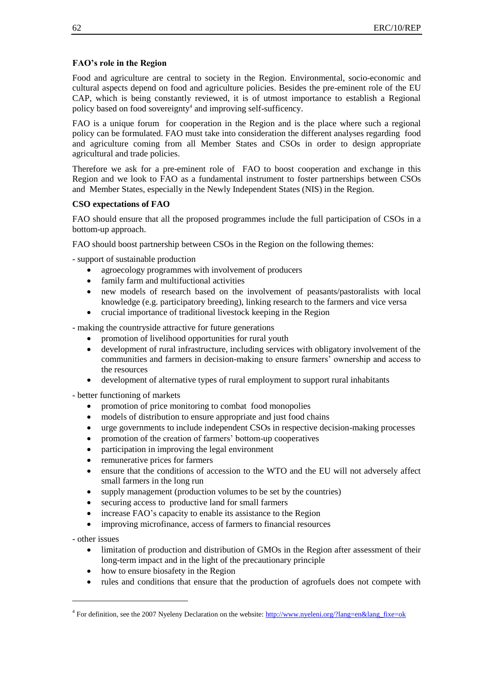#### **FAO's role in the Region**

Food and agriculture are central to society in the Region. Environmental, socio-economic and cultural aspects depend on food and agriculture policies. Besides the pre-eminent role of the EU CAP, which is being constantly reviewed, it is of utmost importance to establish a Regional policy based on food sovereignty<sup>4</sup> and improving self-sufficency.

FAO is a unique forum for cooperation in the Region and is the place where such a regional policy can be formulated. FAO must take into consideration the different analyses regarding food and agriculture coming from all Member States and CSOs in order to design appropriate agricultural and trade policies.

Therefore we ask for a pre-eminent role of FAO to boost cooperation and exchange in this Region and we look to FAO as a fundamental instrument to foster partnerships between CSOs and Member States, especially in the Newly Independent States (NIS) in the Region.

#### **CSO expectations of FAO**

FAO should ensure that all the proposed programmes include the full participation of CSOs in a bottom-up approach.

FAO should boost partnership between CSOs in the Region on the following themes:

- support of sustainable production

- agroecology programmes with involvement of producers
- family farm and multifuctional activities
- new models of research based on the involvement of peasants/pastoralists with local knowledge (e.g. participatory breeding), linking research to the farmers and vice versa
- crucial importance of traditional livestock keeping in the Region

- making the countryside attractive for future generations

- promotion of livelihood opportunities for rural youth
- development of rural infrastructure, including services with obligatory involvement of the communities and farmers in decision-making to ensure farmers' ownership and access to the resources
- development of alternative types of rural employment to support rural inhabitants

- better functioning of markets

- promotion of price monitoring to combat food monopolies
- models of distribution to ensure appropriate and just food chains
- urge governments to include independent CSOs in respective decision-making processes
- promotion of the creation of farmers' bottom-up cooperatives
- participation in improving the legal environment
- remunerative prices for farmers
- ensure that the conditions of accession to the WTO and the EU will not adversely affect small farmers in the long run
- supply management (production volumes to be set by the countries)
- securing access to productive land for small farmers
- increase FAO's capacity to enable its assistance to the Region
- improving microfinance, access of farmers to financial resources

- other issues

1

- limitation of production and distribution of GMOs in the Region after assessment of their long-term impact and in the light of the precautionary principle
- how to ensure biosafety in the Region
- rules and conditions that ensure that the production of agrofuels does not compete with

<sup>&</sup>lt;sup>4</sup> For definition, see the 2007 Nyeleny Declaration on the website: [http://www.nyeleni.org/?lang=en&lang\\_fixe=ok](http://www.nyeleni.org/?lang=en&lang_fixe=ok)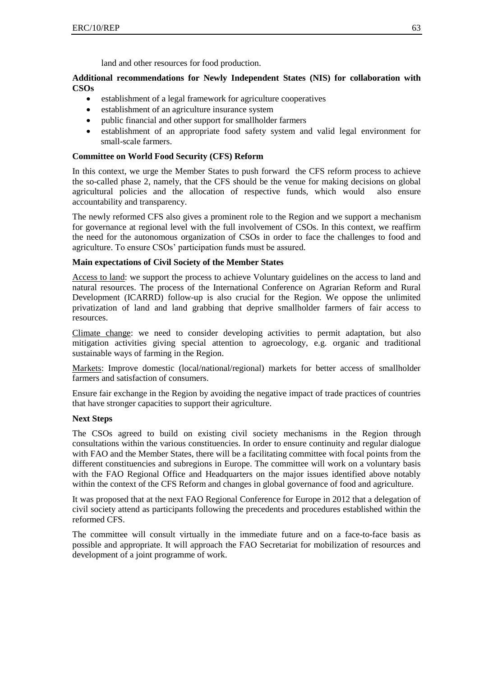land and other resources for food production.

#### **Additional recommendations for Newly Independent States (NIS) for collaboration with CSOs**

- establishment of a legal framework for agriculture cooperatives
- establishment of an agriculture insurance system
- public financial and other support for smallholder farmers
- establishment of an appropriate food safety system and valid legal environment for small-scale farmers.

#### **Committee on World Food Security (CFS) Reform**

In this context, we urge the Member States to push forward the CFS reform process to achieve the so-called phase 2, namely, that the CFS should be the venue for making decisions on global agricultural policies and the allocation of respective funds, which would also ensure accountability and transparency.

The newly reformed CFS also gives a prominent role to the Region and we support a mechanism for governance at regional level with the full involvement of CSOs. In this context, we reaffirm the need for the autonomous organization of CSOs in order to face the challenges to food and agriculture. To ensure CSOs' participation funds must be assured.

## **Main expectations of Civil Society of the Member States**

Access to land: we support the process to achieve Voluntary guidelines on the access to land and natural resources. The process of the International Conference on Agrarian Reform and Rural Development (ICARRD) follow-up is also crucial for the Region. We oppose the unlimited privatization of land and land grabbing that deprive smallholder farmers of fair access to resources.

Climate change: we need to consider developing activities to permit adaptation, but also mitigation activities giving special attention to agroecology, e.g. organic and traditional sustainable ways of farming in the Region.

Markets: Improve domestic (local/national/regional) markets for better access of smallholder farmers and satisfaction of consumers.

Ensure fair exchange in the Region by avoiding the negative impact of trade practices of countries that have stronger capacities to support their agriculture.

#### **Next Steps**

The CSOs agreed to build on existing civil society mechanisms in the Region through consultations within the various constituencies. In order to ensure continuity and regular dialogue with FAO and the Member States, there will be a facilitating committee with focal points from the different constituencies and subregions in Europe. The committee will work on a voluntary basis with the FAO Regional Office and Headquarters on the major issues identified above notably within the context of the CFS Reform and changes in global governance of food and agriculture.

It was proposed that at the next FAO Regional Conference for Europe in 2012 that a delegation of civil society attend as participants following the precedents and procedures established within the reformed CFS.

The committee will consult virtually in the immediate future and on a face-to-face basis as possible and appropriate. It will approach the FAO Secretariat for mobilization of resources and development of a joint programme of work.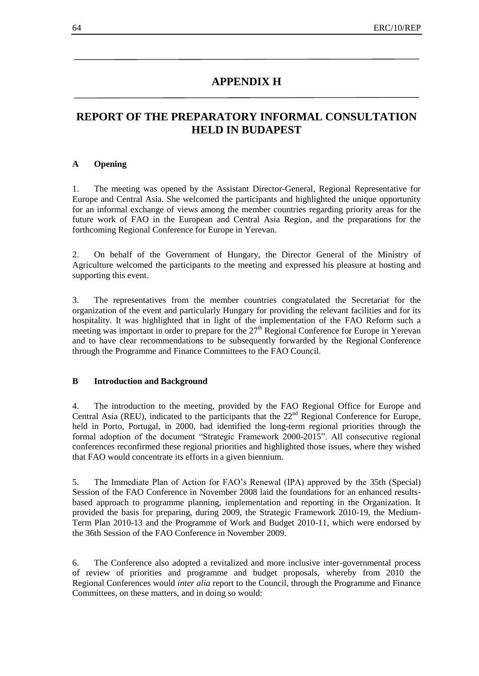# **APPENDIX H**

# **REPORT OF THE PREPARATORY INFORMAL CONSULTATION HELD IN BUDAPEST**

#### **A Opening**

1. The meeting was opened by the Assistant Director-General, Regional Representative for Europe and Central Asia. She welcomed the participants and highlighted the unique opportunity for an informal exchange of views among the member countries regarding priority areas for the future work of FAO in the European and Central Asia Region, and the preparations for the forthcoming Regional Conference for Europe in Yerevan.

2. On behalf of the Government of Hungary, the Director General of the Ministry of Agriculture welcomed the participants to the meeting and expressed his pleasure at hosting and supporting this event.

3. The representatives from the member countries congratulated the Secretariat for the organization of the event and particularly Hungary for providing the relevant facilities and for its hospitality. It was highlighted that in light of the implementation of the FAO Reform such a meeting was important in order to prepare for the  $27<sup>th</sup>$  Regional Conference for Europe in Yerevan and to have clear recommendations to be subsequently forwarded by the Regional Conference through the Programme and Finance Committees to the FAO Council.

#### **B Introduction and Background**

4. The introduction to the meeting, provided by the FAO Regional Office for Europe and Central Asia (REU), indicated to the participants that the  $22<sup>nd</sup>$  Regional Conference for Europe, held in Porto, Portugal, in 2000, had identified the long-term regional priorities through the formal adoption of the document "Strategic Framework 2000-2015". All consecutive regional conferences reconfirmed these regional priorities and highlighted those issues, where they wished that FAO would concentrate its efforts in a given biennium.

5. The Immediate Plan of Action for FAO's Renewal (IPA) approved by the 35th (Special) Session of the FAO Conference in November 2008 laid the foundations for an enhanced resultsbased approach to programme planning, implementation and reporting in the Organization. It provided the basis for preparing, during 2009, the Strategic Framework 2010-19, the Medium-Term Plan 2010-13 and the Programme of Work and Budget 2010-11, which were endorsed by the 36th Session of the FAO Conference in November 2009.

6. The Conference also adopted a revitalized and more inclusive inter-governmental process of review of priorities and programme and budget proposals, whereby from 2010 the Regional Conferences would *inter alia* report to the Council, through the Programme and Finance Committees, on these matters, and in doing so would: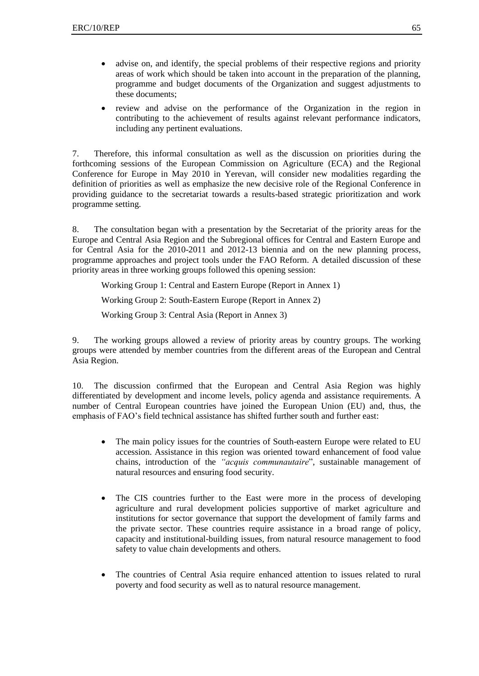- advise on, and identify, the special problems of their respective regions and priority areas of work which should be taken into account in the preparation of the planning, programme and budget documents of the Organization and suggest adjustments to these documents;
- review and advise on the performance of the Organization in the region in contributing to the achievement of results against relevant performance indicators, including any pertinent evaluations.

7. Therefore, this informal consultation as well as the discussion on priorities during the forthcoming sessions of the European Commission on Agriculture (ECA) and the Regional Conference for Europe in May 2010 in Yerevan, will consider new modalities regarding the definition of priorities as well as emphasize the new decisive role of the Regional Conference in providing guidance to the secretariat towards a results-based strategic prioritization and work programme setting.

8. The consultation began with a presentation by the Secretariat of the priority areas for the Europe and Central Asia Region and the Subregional offices for Central and Eastern Europe and for Central Asia for the 2010-2011 and 2012-13 biennia and on the new planning process, programme approaches and project tools under the FAO Reform. A detailed discussion of these priority areas in three working groups followed this opening session:

Working Group 1: Central and Eastern Europe (Report in Annex 1)

Working Group 2: South-Eastern Europe (Report in Annex 2)

Working Group 3: Central Asia (Report in Annex 3)

9. The working groups allowed a review of priority areas by country groups. The working groups were attended by member countries from the different areas of the European and Central Asia Region.

10. The discussion confirmed that the European and Central Asia Region was highly differentiated by development and income levels, policy agenda and assistance requirements. A number of Central European countries have joined the European Union (EU) and, thus, the emphasis of FAO's field technical assistance has shifted further south and further east:

- The main policy issues for the countries of South-eastern Europe were related to EU accession. Assistance in this region was oriented toward enhancement of food value chains, introduction of the *"acquis communautaire*", sustainable management of natural resources and ensuring food security.
- The CIS countries further to the East were more in the process of developing agriculture and rural development policies supportive of market agriculture and institutions for sector governance that support the development of family farms and the private sector. These countries require assistance in a broad range of policy, capacity and institutional-building issues, from natural resource management to food safety to value chain developments and others.
- The countries of Central Asia require enhanced attention to issues related to rural poverty and food security as well as to natural resource management.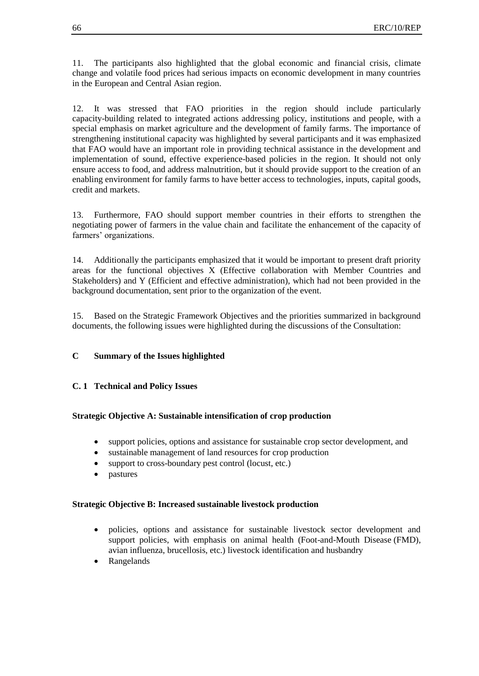11. The participants also highlighted that the global economic and financial crisis, climate change and volatile food prices had serious impacts on economic development in many countries in the European and Central Asian region.

12. It was stressed that FAO priorities in the region should include particularly capacity-building related to integrated actions addressing policy, institutions and people, with a special emphasis on market agriculture and the development of family farms. The importance of strengthening institutional capacity was highlighted by several participants and it was emphasized that FAO would have an important role in providing technical assistance in the development and implementation of sound, effective experience-based policies in the region. It should not only ensure access to food, and address malnutrition, but it should provide support to the creation of an enabling environment for family farms to have better access to technologies, inputs, capital goods, credit and markets.

13. Furthermore, FAO should support member countries in their efforts to strengthen the negotiating power of farmers in the value chain and facilitate the enhancement of the capacity of farmers' organizations.

14. Additionally the participants emphasized that it would be important to present draft priority areas for the functional objectives X (Effective collaboration with Member Countries and Stakeholders) and Y (Efficient and effective administration), which had not been provided in the background documentation, sent prior to the organization of the event.

15. Based on the Strategic Framework Objectives and the priorities summarized in background documents, the following issues were highlighted during the discussions of the Consultation:

#### **C Summary of the Issues highlighted**

#### **C. 1 Technical and Policy Issues**

#### **Strategic Objective A: Sustainable intensification of crop production**

- support policies, options and assistance for sustainable crop sector development, and
- sustainable management of land resources for crop production
- support to cross-boundary pest control (locust, etc.)
- pastures

#### **Strategic Objective B: Increased sustainable livestock production**

- policies, options and assistance for sustainable livestock sector development and support policies, with emphasis on animal health (Foot-and-Mouth Disease (FMD), avian influenza, brucellosis, etc.) livestock identification and husbandry
- Rangelands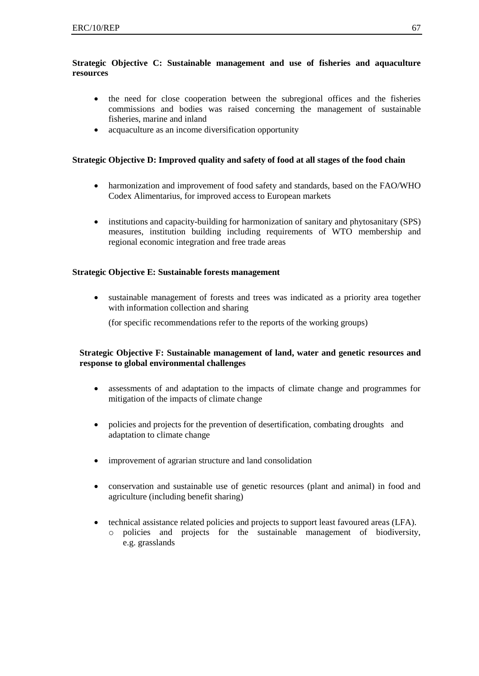# **Strategic Objective C: Sustainable management and use of fisheries and aquaculture resources**

- the need for close cooperation between the subregional offices and the fisheries commissions and bodies was raised concerning the management of sustainable fisheries, marine and inland
- acquaculture as an income diversification opportunity

# **Strategic Objective D: Improved quality and safety of food at all stages of the food chain**

- harmonization and improvement of food safety and standards, based on the FAO/WHO Codex Alimentarius, for improved access to European markets
- institutions and capacity-building for harmonization of sanitary and phytosanitary (SPS) measures, institution building including requirements of WTO membership and regional economic integration and free trade areas

## **Strategic Objective E: Sustainable forests management**

 sustainable management of forests and trees was indicated as a priority area together with information collection and sharing

(for specific recommendations refer to the reports of the working groups)

## **Strategic Objective F: Sustainable management of land, water and genetic resources and response to global environmental challenges**

- assessments of and adaptation to the impacts of climate change and programmes for mitigation of the impacts of climate change
- policies and projects for the prevention of desertification, combating droughts and adaptation to climate change
- improvement of agrarian structure and land consolidation
- conservation and sustainable use of genetic resources (plant and animal) in food and agriculture (including benefit sharing)
- technical assistance related policies and projects to support least favoured areas (LFA). o policies and projects for the sustainable management of biodiversity, e.g. grasslands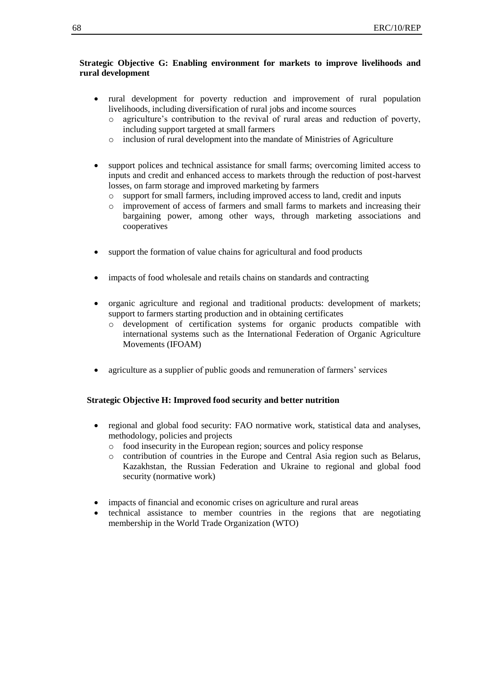### **Strategic Objective G: Enabling environment for markets to improve livelihoods and rural development**

- rural development for poverty reduction and improvement of rural population livelihoods, including diversification of rural jobs and income sources
	- o agriculture's contribution to the revival of rural areas and reduction of poverty, including support targeted at small farmers
	- o inclusion of rural development into the mandate of Ministries of Agriculture
- support polices and technical assistance for small farms; overcoming limited access to inputs and credit and enhanced access to markets through the reduction of post-harvest losses, on farm storage and improved marketing by farmers
	- o support for small farmers, including improved access to land, credit and inputs
	- o improvement of access of farmers and small farms to markets and increasing their bargaining power, among other ways, through marketing associations and cooperatives
- support the formation of value chains for agricultural and food products
- impacts of food wholesale and retails chains on standards and contracting
- organic agriculture and regional and traditional products: development of markets; support to farmers starting production and in obtaining certificates
	- o development of certification systems for organic products compatible with international systems such as the International Federation of Organic Agriculture Movements (IFOAM)
- agriculture as a supplier of public goods and remuneration of farmers' services

#### **Strategic Objective H: Improved food security and better nutrition**

- regional and global food security: FAO normative work, statistical data and analyses, methodology, policies and projects
	- o food insecurity in the European region; sources and policy response
	- o contribution of countries in the Europe and Central Asia region such as Belarus, Kazakhstan, the Russian Federation and Ukraine to regional and global food security (normative work)
- impacts of financial and economic crises on agriculture and rural areas
- technical assistance to member countries in the regions that are negotiating membership in the World Trade Organization (WTO)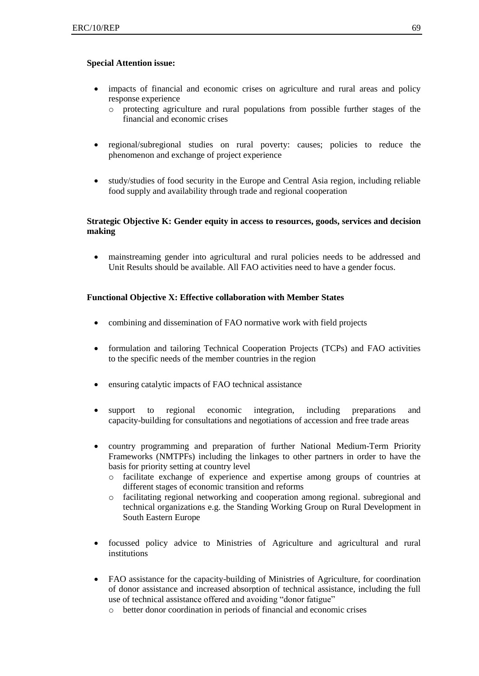### **Special Attention issue:**

- impacts of financial and economic crises on agriculture and rural areas and policy response experience
	- o protecting agriculture and rural populations from possible further stages of the financial and economic crises
- regional/subregional studies on rural poverty: causes; policies to reduce the phenomenon and exchange of project experience
- study/studies of food security in the Europe and Central Asia region, including reliable food supply and availability through trade and regional cooperation

## **Strategic Objective K: Gender equity in access to resources, goods, services and decision making**

 mainstreaming gender into agricultural and rural policies needs to be addressed and Unit Results should be available. All FAO activities need to have a gender focus.

### **Functional Objective X: Effective collaboration with Member States**

- combining and dissemination of FAO normative work with field projects
- formulation and tailoring Technical Cooperation Projects (TCPs) and FAO activities to the specific needs of the member countries in the region
- ensuring catalytic impacts of FAO technical assistance
- support to regional economic integration, including preparations and capacity-building for consultations and negotiations of accession and free trade areas
- country programming and preparation of further National Medium-Term Priority Frameworks (NMTPFs) including the linkages to other partners in order to have the basis for priority setting at country level
	- o facilitate exchange of experience and expertise among groups of countries at different stages of economic transition and reforms
	- o facilitating regional networking and cooperation among regional. subregional and technical organizations e.g. the Standing Working Group on Rural Development in South Eastern Europe
- focussed policy advice to Ministries of Agriculture and agricultural and rural institutions
- FAO assistance for the capacity-building of Ministries of Agriculture, for coordination of donor assistance and increased absorption of technical assistance, including the full use of technical assistance offered and avoiding "donor fatigue"
	- o better donor coordination in periods of financial and economic crises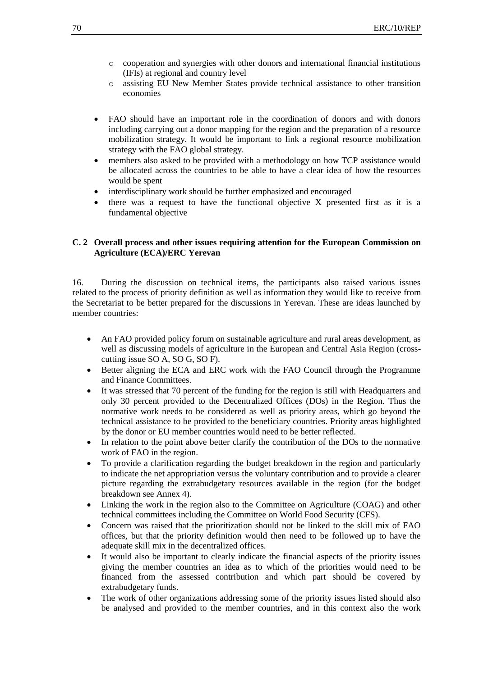- $\circ$  cooperation and synergies with other donors and international financial institutions (IFIs) at regional and country level
- o assisting EU New Member States provide technical assistance to other transition economies
- FAO should have an important role in the coordination of donors and with donors including carrying out a donor mapping for the region and the preparation of a resource mobilization strategy. It would be important to link a regional resource mobilization strategy with the FAO global strategy.
- members also asked to be provided with a methodology on how TCP assistance would be allocated across the countries to be able to have a clear idea of how the resources would be spent
- interdisciplinary work should be further emphasized and encouraged
- there was a request to have the functional objective X presented first as it is a fundamental objective

### **C. 2 Overall process and other issues requiring attention for the European Commission on Agriculture (ECA)/ERC Yerevan**

16. During the discussion on technical items, the participants also raised various issues related to the process of priority definition as well as information they would like to receive from the Secretariat to be better prepared for the discussions in Yerevan. These are ideas launched by member countries:

- An FAO provided policy forum on sustainable agriculture and rural areas development, as well as discussing models of agriculture in the European and Central Asia Region (crosscutting issue SO A, SO G, SO F).
- Better aligning the ECA and ERC work with the FAO Council through the Programme and Finance Committees.
- It was stressed that 70 percent of the funding for the region is still with Headquarters and only 30 percent provided to the Decentralized Offices (DOs) in the Region. Thus the normative work needs to be considered as well as priority areas, which go beyond the technical assistance to be provided to the beneficiary countries. Priority areas highlighted by the donor or EU member countries would need to be better reflected.
- In relation to the point above better clarify the contribution of the DOs to the normative work of FAO in the region.
- To provide a clarification regarding the budget breakdown in the region and particularly to indicate the net appropriation versus the voluntary contribution and to provide a clearer picture regarding the extrabudgetary resources available in the region (for the budget breakdown see Annex 4).
- Linking the work in the region also to the Committee on Agriculture (COAG) and other technical committees including the Committee on World Food Security (CFS).
- Concern was raised that the prioritization should not be linked to the skill mix of FAO offices, but that the priority definition would then need to be followed up to have the adequate skill mix in the decentralized offices.
- It would also be important to clearly indicate the financial aspects of the priority issues giving the member countries an idea as to which of the priorities would need to be financed from the assessed contribution and which part should be covered by extrabudgetary funds.
- The work of other organizations addressing some of the priority issues listed should also be analysed and provided to the member countries, and in this context also the work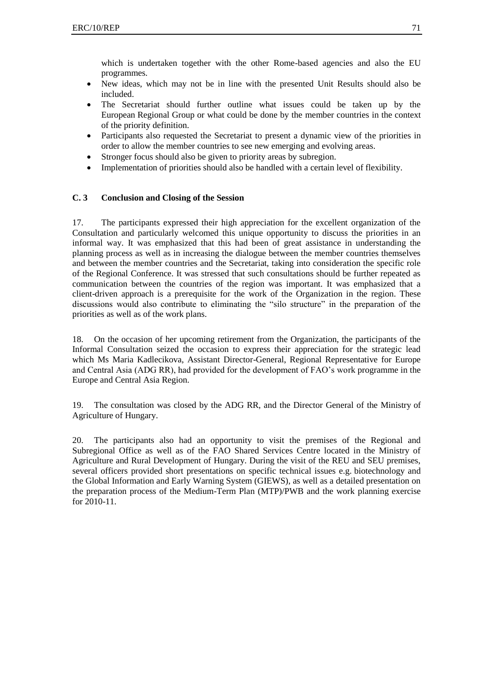which is undertaken together with the other Rome-based agencies and also the EU programmes.

- New ideas, which may not be in line with the presented Unit Results should also be included.
- The Secretariat should further outline what issues could be taken up by the European Regional Group or what could be done by the member countries in the context of the priority definition.
- Participants also requested the Secretariat to present a dynamic view of the priorities in order to allow the member countries to see new emerging and evolving areas.
- Stronger focus should also be given to priority areas by subregion.
- Implementation of priorities should also be handled with a certain level of flexibility.

# **C. 3 Conclusion and Closing of the Session**

17. The participants expressed their high appreciation for the excellent organization of the Consultation and particularly welcomed this unique opportunity to discuss the priorities in an informal way. It was emphasized that this had been of great assistance in understanding the planning process as well as in increasing the dialogue between the member countries themselves and between the member countries and the Secretariat, taking into consideration the specific role of the Regional Conference. It was stressed that such consultations should be further repeated as communication between the countries of the region was important. It was emphasized that a client-driven approach is a prerequisite for the work of the Organization in the region. These discussions would also contribute to eliminating the "silo structure" in the preparation of the priorities as well as of the work plans.

18. On the occasion of her upcoming retirement from the Organization, the participants of the Informal Consultation seized the occasion to express their appreciation for the strategic lead which Ms Maria Kadlecikova, Assistant Director-General, Regional Representative for Europe and Central Asia (ADG RR), had provided for the development of FAO's work programme in the Europe and Central Asia Region.

19. The consultation was closed by the ADG RR, and the Director General of the Ministry of Agriculture of Hungary.

20. The participants also had an opportunity to visit the premises of the Regional and Subregional Office as well as of the FAO Shared Services Centre located in the Ministry of Agriculture and Rural Development of Hungary. During the visit of the REU and SEU premises, several officers provided short presentations on specific technical issues e.g. biotechnology and the Global Information and Early Warning System (GIEWS), as well as a detailed presentation on the preparation process of the Medium-Term Plan (MTP)/PWB and the work planning exercise for 2010-11.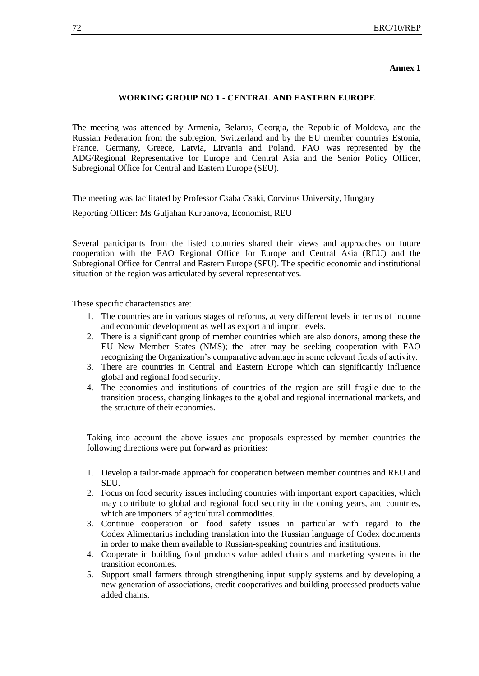**Annex 1**

#### **WORKING GROUP NO 1 - CENTRAL AND EASTERN EUROPE**

The meeting was attended by Armenia, Belarus, Georgia, the Republic of Moldova, and the Russian Federation from the subregion, Switzerland and by the EU member countries Estonia, France, Germany, Greece, Latvia, Litvania and Poland. FAO was represented by the ADG/Regional Representative for Europe and Central Asia and the Senior Policy Officer, Subregional Office for Central and Eastern Europe (SEU).

The meeting was facilitated by Professor Csaba Csaki, Corvinus University, Hungary

Reporting Officer: Ms Guljahan Kurbanova, Economist, REU

Several participants from the listed countries shared their views and approaches on future cooperation with the FAO Regional Office for Europe and Central Asia (REU) and the Subregional Office for Central and Eastern Europe (SEU). The specific economic and institutional situation of the region was articulated by several representatives.

These specific characteristics are:

- 1. The countries are in various stages of reforms, at very different levels in terms of income and economic development as well as export and import levels.
- 2. There is a significant group of member countries which are also donors, among these the EU New Member States (NMS); the latter may be seeking cooperation with FAO recognizing the Organization's comparative advantage in some relevant fields of activity.
- 3. There are countries in Central and Eastern Europe which can significantly influence global and regional food security.
- 4. The economies and institutions of countries of the region are still fragile due to the transition process, changing linkages to the global and regional international markets, and the structure of their economies.

Taking into account the above issues and proposals expressed by member countries the following directions were put forward as priorities:

- 1. Develop a tailor-made approach for cooperation between member countries and REU and SEU.
- 2. Focus on food security issues including countries with important export capacities, which may contribute to global and regional food security in the coming years, and countries, which are importers of agricultural commodities.
- 3. Continue cooperation on food safety issues in particular with regard to the Codex Alimentarius including translation into the Russian language of Codex documents in order to make them available to Russian-speaking countries and institutions.
- 4. Cooperate in building food products value added chains and marketing systems in the transition economies.
- 5. Support small farmers through strengthening input supply systems and by developing a new generation of associations, credit cooperatives and building processed products value added chains.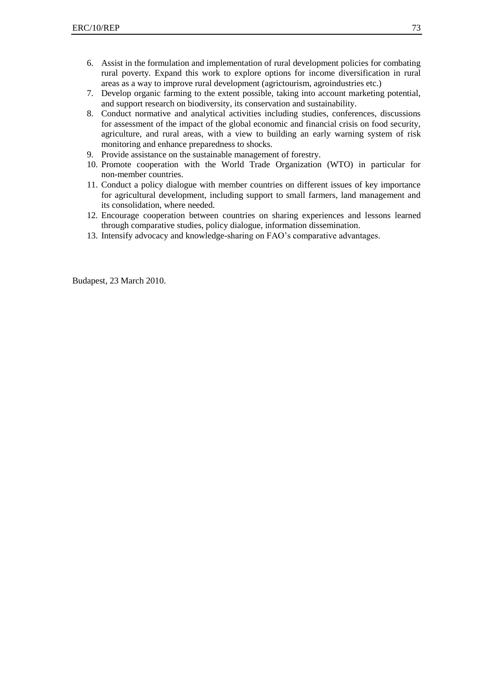- 6. Assist in the formulation and implementation of rural development policies for combating rural poverty. Expand this work to explore options for income diversification in rural areas as a way to improve rural development (agrictourism, agroindustries etc.)
- 7. Develop organic farming to the extent possible, taking into account marketing potential, and support research on biodiversity, its conservation and sustainability.
- 8. Conduct normative and analytical activities including studies, conferences, discussions for assessment of the impact of the global economic and financial crisis on food security, agriculture, and rural areas, with a view to building an early warning system of risk monitoring and enhance preparedness to shocks.
- 9. Provide assistance on the sustainable management of forestry.
- 10. Promote cooperation with the World Trade Organization (WTO) in particular for non-member countries.
- 11. Conduct a policy dialogue with member countries on different issues of key importance for agricultural development, including support to small farmers, land management and its consolidation, where needed.
- 12. Encourage cooperation between countries on sharing experiences and lessons learned through comparative studies, policy dialogue, information dissemination.
- 13. Intensify advocacy and knowledge-sharing on FAO's comparative advantages.

Budapest, 23 March 2010.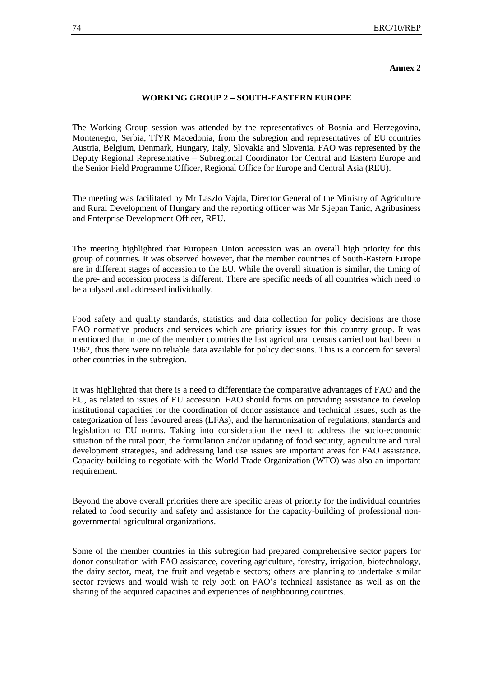#### **Annex 2**

#### **WORKING GROUP 2 – SOUTH-EASTERN EUROPE**

The Working Group session was attended by the representatives of Bosnia and Herzegovina, Montenegro, Serbia, TfYR Macedonia, from the subregion and representatives of EU countries Austria, Belgium, Denmark, Hungary, Italy, Slovakia and Slovenia. FAO was represented by the Deputy Regional Representative – Subregional Coordinator for Central and Eastern Europe and the Senior Field Programme Officer, Regional Office for Europe and Central Asia (REU).

The meeting was facilitated by Mr Laszlo Vajda, Director General of the Ministry of Agriculture and Rural Development of Hungary and the reporting officer was Mr Stjepan Tanic, Agribusiness and Enterprise Development Officer, REU.

The meeting highlighted that European Union accession was an overall high priority for this group of countries. It was observed however, that the member countries of South-Eastern Europe are in different stages of accession to the EU. While the overall situation is similar, the timing of the pre- and accession process is different. There are specific needs of all countries which need to be analysed and addressed individually.

Food safety and quality standards, statistics and data collection for policy decisions are those FAO normative products and services which are priority issues for this country group. It was mentioned that in one of the member countries the last agricultural census carried out had been in 1962, thus there were no reliable data available for policy decisions. This is a concern for several other countries in the subregion.

It was highlighted that there is a need to differentiate the comparative advantages of FAO and the EU, as related to issues of EU accession. FAO should focus on providing assistance to develop institutional capacities for the coordination of donor assistance and technical issues, such as the categorization of less favoured areas (LFAs), and the harmonization of regulations, standards and legislation to EU norms. Taking into consideration the need to address the socio-economic situation of the rural poor, the formulation and/or updating of food security, agriculture and rural development strategies, and addressing land use issues are important areas for FAO assistance. Capacity-building to negotiate with the World Trade Organization (WTO) was also an important requirement.

Beyond the above overall priorities there are specific areas of priority for the individual countries related to food security and safety and assistance for the capacity-building of professional nongovernmental agricultural organizations.

Some of the member countries in this subregion had prepared comprehensive sector papers for donor consultation with FAO assistance, covering agriculture, forestry, irrigation, biotechnology, the dairy sector, meat, the fruit and vegetable sectors; others are planning to undertake similar sector reviews and would wish to rely both on FAO's technical assistance as well as on the sharing of the acquired capacities and experiences of neighbouring countries.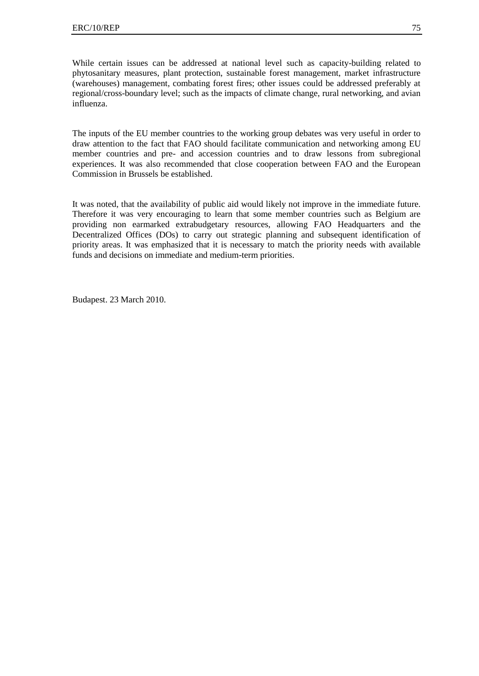While certain issues can be addressed at national level such as capacity-building related to phytosanitary measures, plant protection, sustainable forest management, market infrastructure (warehouses) management, combating forest fires; other issues could be addressed preferably at regional/cross-boundary level; such as the impacts of climate change, rural networking, and avian influenza.

The inputs of the EU member countries to the working group debates was very useful in order to draw attention to the fact that FAO should facilitate communication and networking among EU member countries and pre- and accession countries and to draw lessons from subregional experiences. It was also recommended that close cooperation between FAO and the European Commission in Brussels be established.

It was noted, that the availability of public aid would likely not improve in the immediate future. Therefore it was very encouraging to learn that some member countries such as Belgium are providing non earmarked extrabudgetary resources, allowing FAO Headquarters and the Decentralized Offices (DOs) to carry out strategic planning and subsequent identification of priority areas. It was emphasized that it is necessary to match the priority needs with available funds and decisions on immediate and medium-term priorities.

Budapest. 23 March 2010.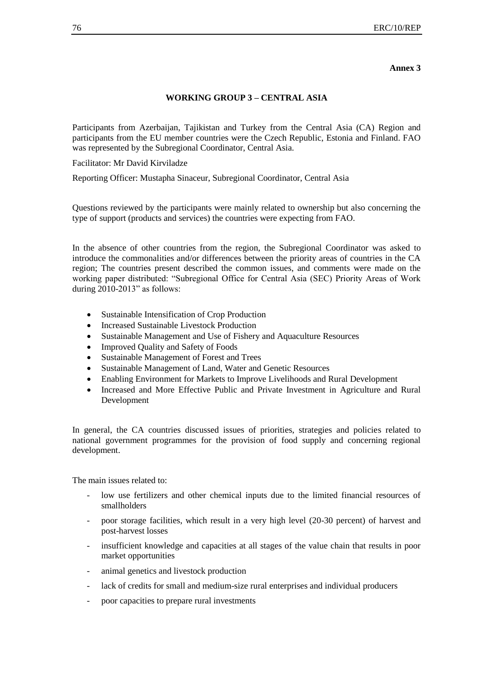#### **Annex 3**

#### **WORKING GROUP 3 – CENTRAL ASIA**

Participants from Azerbaijan, Tajikistan and Turkey from the Central Asia (CA) Region and participants from the EU member countries were the Czech Republic, Estonia and Finland. FAO was represented by the Subregional Coordinator, Central Asia.

Facilitator: Mr David Kirviladze

Reporting Officer: Mustapha Sinaceur, Subregional Coordinator, Central Asia

Questions reviewed by the participants were mainly related to ownership but also concerning the type of support (products and services) the countries were expecting from FAO.

In the absence of other countries from the region, the Subregional Coordinator was asked to introduce the commonalities and/or differences between the priority areas of countries in the CA region; The countries present described the common issues, and comments were made on the working paper distributed: "Subregional Office for Central Asia (SEC) Priority Areas of Work during  $2010$ -2013" as follows:

- Sustainable Intensification of Crop Production
- Increased Sustainable Livestock Production
- Sustainable Management and Use of Fishery and Aquaculture Resources
- Improved Quality and Safety of Foods
- Sustainable Management of Forest and Trees
- Sustainable Management of Land, Water and Genetic Resources
- Enabling Environment for Markets to Improve Livelihoods and Rural Development
- Increased and More Effective Public and Private Investment in Agriculture and Rural Development

In general, the CA countries discussed issues of priorities, strategies and policies related to national government programmes for the provision of food supply and concerning regional development.

The main issues related to:

- low use fertilizers and other chemical inputs due to the limited financial resources of smallholders
- poor storage facilities, which result in a very high level (20-30 percent) of harvest and post-harvest losses
- insufficient knowledge and capacities at all stages of the value chain that results in poor market opportunities
- animal genetics and livestock production
- lack of credits for small and medium-size rural enterprises and individual producers
- poor capacities to prepare rural investments